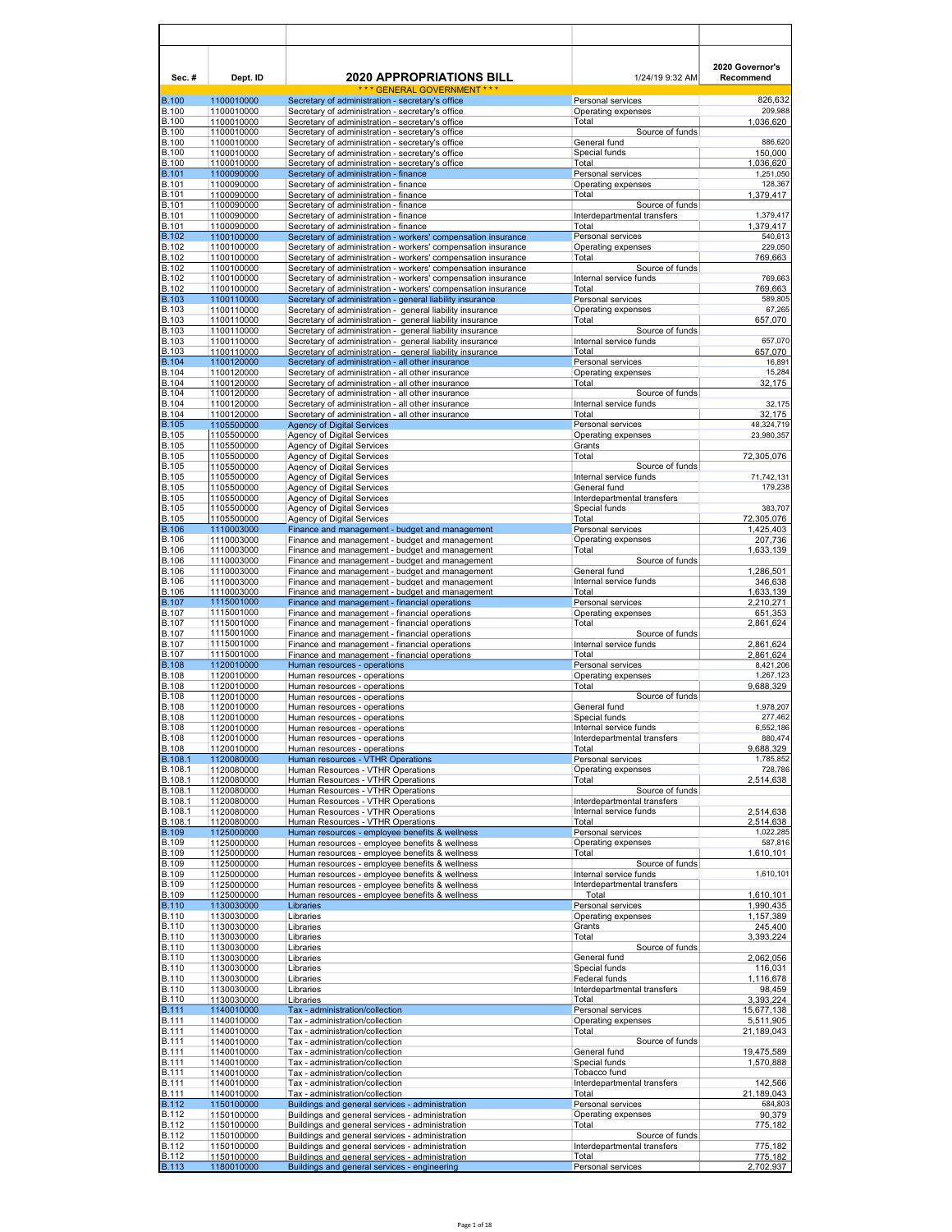| Sec.#                        | Dept. ID                 | <b>2020 APPROPRIATIONS BILL</b>                                                                                                | 1/24/19 9:32 AM                                       | 2020 Governor's<br>Recommend |
|------------------------------|--------------------------|--------------------------------------------------------------------------------------------------------------------------------|-------------------------------------------------------|------------------------------|
|                              | 1100010000               | *** GENERAL GOVERNMENT ***                                                                                                     | Personal services                                     | 826,632                      |
| <b>B.100</b><br><b>B.100</b> | 1100010000               | Secretary of administration - secretary's office<br>Secretary of administration - secretary's office                           | Operating expenses                                    | 209,988                      |
| <b>B.100</b><br><b>B.100</b> | 1100010000<br>1100010000 | Secretary of administration - secretary's office<br>Secretary of administration - secretary's office                           | Total<br>Source of funds                              | 1,036,620                    |
| <b>B.100</b>                 | 1100010000               | Secretary of administration - secretary's office                                                                               | General fund                                          | 886,620                      |
| <b>B.100</b><br><b>B.100</b> | 1100010000<br>1100010000 | Secretary of administration - secretary's office<br>Secretary of administration - secretary's office                           | Special funds<br>Total                                | 150,000<br>1,036,620         |
| <b>B.101</b>                 | 1100090000               | Secretary of administration - finance                                                                                          | Personal services                                     | 1,251,050                    |
| <b>B.101</b><br><b>B.101</b> | 1100090000<br>1100090000 | Secretary of administration - finance<br>Secretary of administration - finance                                                 | Operating expenses<br>Total                           | 128,367<br>1,379,417         |
| <b>B.101</b>                 | 1100090000               | Secretary of administration - finance                                                                                          | Source of funds                                       |                              |
| <b>B.101</b><br><b>B.101</b> | 1100090000<br>1100090000 | Secretary of administration - finance<br>Secretary of administration - finance                                                 | Interdepartmental transfers<br>Total                  | 1,379,417<br>1,379,417       |
| <b>B.102</b>                 | 1100100000               | Secretary of administration - workers' compensation insurance                                                                  | Personal services                                     | 540,613                      |
| <b>B.102</b><br><b>B.102</b> | 1100100000<br>1100100000 | Secretary of administration - workers' compensation insurance<br>Secretary of administration - workers' compensation insurance | Operating expenses<br>Total                           | 229,050<br>769,663           |
| <b>B.102</b>                 | 1100100000               | Secretary of administration - workers' compensation insurance                                                                  | Source of funds                                       |                              |
| <b>B.102</b><br><b>B.102</b> | 1100100000<br>1100100000 | Secretary of administration - workers' compensation insurance<br>Secretary of administration - workers' compensation insurance | Internal service funds<br>Total                       | 769,663<br>769,663           |
| <b>B.103</b>                 | 1100110000               | Secretary of administration - general liability insurance                                                                      | Personal services                                     | 589,805                      |
| <b>B.103</b><br><b>B.103</b> | 1100110000<br>1100110000 | Secretary of administration - general liability insurance<br>Secretary of administration - general liability insurance         | Operating expenses<br>Total                           | 67,265<br>657,070            |
| <b>B.103</b>                 | 1100110000               | Secretary of administration - general liability insurance                                                                      | Source of funds                                       |                              |
| <b>B.103</b>                 | 1100110000               | Secretary of administration - general liability insurance                                                                      | Internal service funds                                | 657,070                      |
| <b>B.103</b><br><b>B.104</b> | 1100110000<br>1100120000 | Secretary of administration - general liability insurance<br>Secretary of administration - all other insurance                 | Total<br>Personal services                            | 657,070<br>16,891            |
| <b>B.104</b>                 | 1100120000               | Secretary of administration - all other insurance                                                                              | Operating expenses                                    | 15,284                       |
| <b>B.104</b><br><b>B.104</b> | 1100120000<br>1100120000 | Secretary of administration - all other insurance<br>Secretary of administration - all other insurance                         | Total<br>Source of funds                              | 32,175                       |
| <b>B.104</b>                 | 1100120000               | Secretary of administration - all other insurance                                                                              | Internal service funds                                | 32,175                       |
| B.104<br><b>B.105</b>        | 1100120000<br>1105500000 | Secretary of administration - all other insurance<br><b>Agency of Digital Services</b>                                         | Total<br>Personal services                            | 32,175<br>48,324,719         |
| <b>B.105</b>                 | 1105500000               | Agency of Digital Services                                                                                                     | Operating expenses                                    | 23,980,357                   |
| <b>B.105</b><br><b>B.105</b> | 1105500000<br>1105500000 | Agency of Digital Services<br>Agency of Digital Services                                                                       | Grants<br>Total                                       | 72,305,076                   |
| <b>B.105</b>                 | 1105500000               | Agency of Digital Services                                                                                                     | Source of funds                                       |                              |
| <b>B.105</b><br><b>B.105</b> | 1105500000<br>1105500000 | Agency of Digital Services<br>Agency of Digital Services                                                                       | Internal service funds<br>General fund                | 71,742,131<br>179,238        |
| <b>B.105</b>                 | 1105500000               | Agency of Digital Services                                                                                                     | Interdepartmental transfers                           |                              |
| <b>B.105</b><br><b>B.105</b> | 1105500000               | Agency of Digital Services                                                                                                     | Special funds                                         | 383,707                      |
| <b>B.106</b>                 | 1105500000<br>1110003000 | Agency of Digital Services<br>Finance and management - budget and management                                                   | Total<br>Personal services                            | 72,305,076<br>1,425,403      |
| <b>B.106</b><br><b>B.106</b> | 1110003000               | Finance and management - budget and management                                                                                 | Operating expenses                                    | 207,736                      |
| <b>B.106</b>                 | 1110003000<br>1110003000 | Finance and management - budget and management<br>Finance and management - budget and management                               | Total<br>Source of funds                              | 1,633,139                    |
| <b>B.106</b>                 | 1110003000               | Finance and management - budget and management                                                                                 | General fund                                          | 1,286,501                    |
| <b>B.106</b><br><b>B.106</b> | 1110003000<br>1110003000 | Finance and management - budget and management<br>Finance and management - budget and management                               | Internal service funds<br>Total                       | 346,638<br>1,633,139         |
| <b>B.107</b>                 | 1115001000               | Finance and management - financial operations                                                                                  | Personal services                                     | 2,210,271                    |
| <b>B.107</b><br><b>B.107</b> | 1115001000<br>1115001000 | Finance and management - financial operations<br>Finance and management - financial operations                                 | Operating expenses<br>Total                           | 651,353<br>2,861,624         |
| <b>B.107</b>                 | 1115001000               | Finance and management - financial operations                                                                                  | Source of funds                                       |                              |
| <b>B.107</b><br><b>B.107</b> | 1115001000<br>1115001000 | Finance and management - financial operations<br>Finance and management - financial operations                                 | Internal service funds<br>Total                       | 2,861,624<br>2,861,624       |
| <b>B.108</b>                 | 1120010000               | Human resources - operations                                                                                                   | Personal services                                     | 8,421,206                    |
| <b>B.108</b><br><b>B.108</b> | 1120010000<br>1120010000 | Human resources - operations<br>Human resources - operations                                                                   | Operating expenses<br>Total                           | 1,267,123<br>9,688,329       |
| <b>B.108</b>                 | 1120010000               | Human resources - operations                                                                                                   | Source of funds                                       |                              |
| <b>B.108</b><br><b>B.108</b> | 1120010000<br>1120010000 | Human resources - operations<br>Human resources - operations                                                                   | General fund<br>Special funds                         | 1,978,207<br>277,462         |
| <b>B.108</b>                 | 1120010000               | Human resources - operations                                                                                                   | Internal service funds                                | 6,552,186                    |
| <b>B.108</b><br><b>B.108</b> | 1120010000<br>1120010000 | Human resources - operations<br>Human resources - operations                                                                   | Interdepartmental transfers<br>Total                  | 880,474<br>9,688,329         |
| B.108.1                      | 1120080000               | Human resources - VTHR Operations                                                                                              | Personal services                                     | 1,785,852                    |
| B.108.1<br>B.108.1           | 1120080000<br>1120080000 | Human Resources - VTHR Operations<br>Human Resources - VTHR Operations                                                         | Operating expenses<br>Total                           | 728,786                      |
| B.108.1                      | 1120080000               | Human Resources - VTHR Operations                                                                                              | Source of funds                                       | 2,514,638                    |
| B.108.1                      | 1120080000               | Human Resources - VTHR Operations                                                                                              | Interdepartmental transfers<br>Internal service funds |                              |
| B.108.1<br>B.108.1           | 1120080000<br>1120080000 | Human Resources - VTHR Operations<br>Human Resources - VTHR Operations                                                         | Total                                                 | 2,514,638<br>2,514,638       |
| <b>B.109</b>                 | 1125000000               | Human resources - employee benefits & wellness                                                                                 | Personal services                                     | 1,022,285                    |
| <b>B.109</b><br><b>B.109</b> | 1125000000<br>1125000000 | Human resources - employee benefits & wellness<br>Human resources - employee benefits & wellness                               | Operating expenses<br>Total                           | 587,816<br>1,610,101         |
| <b>B.109</b>                 | 1125000000               | Human resources - employee benefits & wellness                                                                                 | Source of funds                                       |                              |
| <b>B.109</b><br><b>B.109</b> | 1125000000<br>1125000000 | Human resources - employee benefits & wellness<br>Human resources - employee benefits & wellness                               | Internal service funds<br>Interdepartmental transfers | 1,610,101                    |
| <b>B.109</b>                 | 1125000000               | Human resources - employee benefits & wellness                                                                                 | Total                                                 | 1,610,101                    |
| <b>B.110</b><br><b>B.110</b> | 1130030000<br>1130030000 | Libraries<br>Libraries                                                                                                         | Personal services<br>Operating expenses               | 1,990,435<br>1,157,389       |
| B.110                        | 1130030000               | Libraries                                                                                                                      | Grants                                                | 245,400                      |
| <b>B.110</b><br><b>B.110</b> | 1130030000<br>1130030000 | Libraries<br>Libraries                                                                                                         | Total<br>Source of funds                              | 3,393,224                    |
| <b>B.110</b>                 | 1130030000               | Libraries                                                                                                                      | General fund                                          | 2,062,056                    |
| <b>B.110</b><br>B.110        | 1130030000<br>1130030000 | Libraries<br>Libraries                                                                                                         | Special funds<br>Federal funds                        | 116,031<br>1,116,678         |
| <b>B.110</b>                 | 1130030000               | Libraries                                                                                                                      | Interdepartmental transfers                           | 98,459                       |
| <b>B.110</b><br><b>B.111</b> | 1130030000<br>1140010000 | Libraries<br>Tax - administration/collection                                                                                   | Total<br>Personal services                            | 3,393,224<br>15,677,138      |
| <b>B.111</b>                 | 1140010000               | Tax - administration/collection                                                                                                | Operating expenses                                    | 5,511,905                    |
| <b>B.111</b>                 | 1140010000               | Tax - administration/collection                                                                                                | Total                                                 | 21,189,043                   |
| <b>B.111</b><br><b>B.111</b> | 1140010000<br>1140010000 | Tax - administration/collection<br>Tax - administration/collection                                                             | Source of funds<br>General fund                       | 19,475,589                   |
| <b>B.111</b>                 | 1140010000               | Tax - administration/collection                                                                                                | Special funds                                         | 1,570,888                    |
| <b>B.111</b><br><b>B.111</b> | 1140010000<br>1140010000 | Tax - administration/collection<br>Tax - administration/collection                                                             | Tobacco fund<br>Interdepartmental transfers           | 142,566                      |
| <b>B.111</b>                 | 1140010000               | Tax - administration/collection                                                                                                | Total                                                 | 21,189,043                   |
| <b>B.112</b><br><b>B.112</b> | 1150100000<br>1150100000 | Buildings and general services - administration<br>Buildings and general services - administration                             | Personal services<br>Operating expenses               | 684,803<br>90,379            |
| <b>B.112</b>                 | 1150100000               | Buildings and general services - administration                                                                                | Total                                                 | 775,182                      |
| <b>B.112</b><br><b>B.112</b> | 1150100000<br>1150100000 | Buildings and general services - administration<br>Buildings and general services - administration                             | Source of funds<br>Interdepartmental transfers        | 775,182                      |
| <b>B.112</b>                 | 1150100000               | Buildings and general services - administration                                                                                | Total                                                 | 775,182                      |
| <b>B.113</b>                 | 1180010000               | Buildings and general services - engineering                                                                                   | Personal services                                     | 2,702,937                    |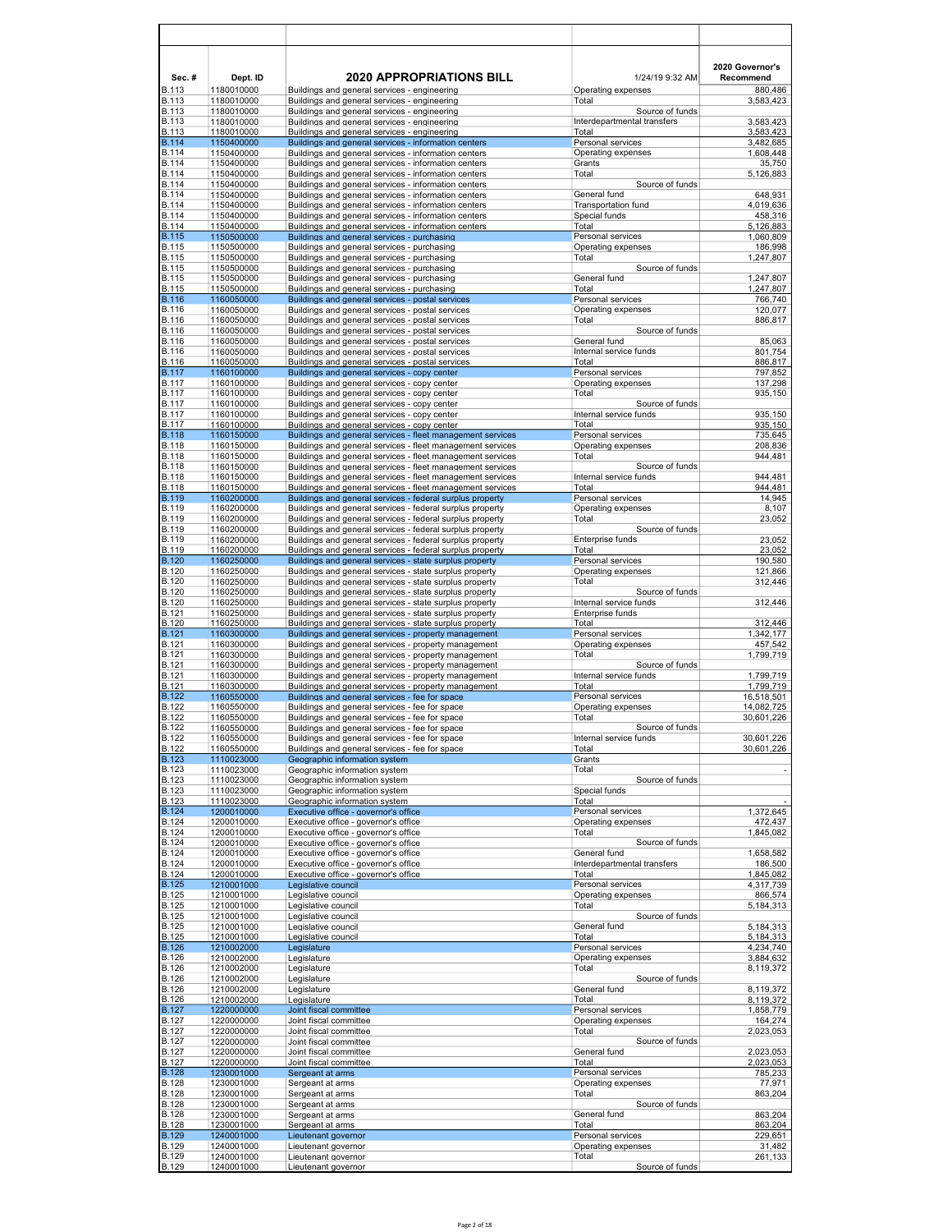| Sec.#                        | Dept. ID                 | <b>2020 APPROPRIATIONS BILL</b>                                                                                          | 1/24/19 9:32 AM                                | 2020 Governor's<br>Recommend |
|------------------------------|--------------------------|--------------------------------------------------------------------------------------------------------------------------|------------------------------------------------|------------------------------|
| <b>B.113</b><br><b>B.113</b> | 1180010000<br>1180010000 | Buildings and general services - engineering<br>Buildings and general services - engineering                             | Operating expenses<br>Total                    | 880,486<br>3,583,423         |
| <b>B.113</b><br><b>B.113</b> | 1180010000<br>1180010000 | Buildings and general services - engineering                                                                             | Source of funds<br>Interdepartmental transfers | 3,583,423                    |
| <b>B.113</b>                 | 1180010000               | Buildings and general services - engineering<br>Buildings and general services - engineering                             | Total                                          | 3,583,423                    |
| <b>B.114</b><br><b>B.114</b> | 1150400000<br>1150400000 | Buildings and general services - information centers<br>Buildings and general services - information centers             | Personal services                              | 3,482,685<br>1,608,448       |
| <b>B.114</b>                 | 1150400000               | Buildings and general services - information centers                                                                     | Operating expenses<br>Grants                   | 35,750                       |
| <b>B.114</b><br><b>B.114</b> | 1150400000<br>1150400000 | Buildings and general services - information centers<br>Buildings and general services - information centers             | Total<br>Source of funds                       | 5,126,883                    |
| <b>B.114</b>                 | 1150400000               | Buildings and general services - information centers                                                                     | General fund                                   | 648,931                      |
| <b>B.114</b><br><b>B.114</b> | 1150400000<br>1150400000 | Buildings and general services - information centers<br>Buildings and general services - information centers             | <b>Transportation fund</b><br>Special funds    | 4.019.636<br>458,316         |
| <b>B.114</b>                 | 1150400000               | Buildings and general services - information centers                                                                     | Total                                          | 5,126,883                    |
| <b>B.115</b><br><b>B.115</b> | 1150500000<br>1150500000 | Buildings and general services - purchasing<br>Buildings and general services - purchasing                               | Personal services<br>Operating expenses        | 1,060,809<br>186,998         |
| <b>B.115</b>                 | 1150500000               | Buildings and general services - purchasing                                                                              | Total                                          | 1,247,807                    |
| <b>B.115</b><br><b>B.115</b> | 1150500000<br>1150500000 | Buildings and general services - purchasing<br>Buildings and general services - purchasing                               | Source of funds<br>General fund                | 1,247,807                    |
| <b>B.115</b>                 | 1150500000               | Buildings and general services - purchasing                                                                              | Total                                          | 1,247,807                    |
| <b>B.116</b><br><b>B.116</b> | 1160050000<br>1160050000 | Buildings and general services - postal services<br>Buildings and general services - postal services                     | Personal services<br>Operating expenses        | 766,740<br>120,077           |
| <b>B.116</b>                 | 1160050000               | Buildings and general services - postal services                                                                         | Total                                          | 886,817                      |
| <b>B.116</b>                 | 1160050000               | Buildings and general services - postal services                                                                         | Source of funds<br>General fund                | 85,063                       |
| <b>B.116</b><br><b>B.116</b> | 1160050000<br>1160050000 | Buildings and general services - postal services<br>Buildings and general services - postal services                     | Internal service funds                         | 801,754                      |
| <b>B.116</b>                 | 1160050000               | Buildings and general services - postal services                                                                         | Total                                          | 886,817                      |
| <b>B.117</b><br><b>B.117</b> | 1160100000<br>1160100000 | Buildings and general services - copy center<br>Buildings and general services - copy center                             | Personal services<br>Operating expenses        | 797,852<br>137,298           |
| <b>B.117</b>                 | 1160100000               | Buildings and general services - copy center                                                                             | Total                                          | 935,150                      |
| <b>B.117</b><br><b>B.117</b> | 1160100000<br>1160100000 | Buildings and general services - copy center<br>Buildings and general services - copy center                             | Source of funds<br>Internal service funds      | 935,150                      |
| <b>B.117</b>                 | 1160100000               | Buildings and general services - copy center                                                                             | Total                                          | 935,150                      |
| <b>B.118</b><br><b>B.118</b> | 1160150000<br>1160150000 | Buildings and general services - fleet management services<br>Buildings and general services - fleet management services | Personal services<br>Operating expenses        | 735,645<br>208,836           |
| <b>B.118</b>                 | 1160150000               | Buildings and general services - fleet management services                                                               | Total                                          | 944,481                      |
| <b>B.118</b><br><b>B.118</b> | 1160150000<br>1160150000 | Buildings and general services - fleet management services<br>Buildings and general services - fleet management services | Source of funds<br>Internal service funds      | 944.481                      |
| <b>B.118</b>                 | 1160150000               | Buildings and general services - fleet management services                                                               | Total                                          | 944,481                      |
| <b>B.119</b><br><b>B.119</b> | 1160200000<br>1160200000 | Buildings and general services - federal surplus property<br>Buildings and general services - federal surplus property   | Personal services<br>Operating expenses        | 14,945<br>8,107              |
| <b>B.119</b>                 | 1160200000               | Buildings and general services - federal surplus property                                                                | Total                                          | 23,052                       |
| <b>B.119</b><br><b>B.119</b> | 1160200000<br>1160200000 | Buildings and general services - federal surplus property<br>Buildings and general services - federal surplus property   | Source of funds<br>Enterprise funds            | 23,052                       |
| <b>B.119</b>                 | 1160200000               | Buildings and general services - federal surplus property                                                                | Total                                          | 23,052                       |
| <b>B.120</b><br><b>B.120</b> | 1160250000<br>1160250000 | Buildings and general services - state surplus property<br>Buildings and general services - state surplus property       | Personal services<br>Operating expenses        | 190,580<br>121,866           |
| <b>B.120</b>                 | 1160250000               | Buildings and general services - state surplus property                                                                  | Total                                          | 312,446                      |
| <b>B.120</b><br><b>B.120</b> | 1160250000<br>1160250000 | Buildings and general services - state surplus property<br>Buildings and general services - state surplus property       | Source of funds<br>Internal service funds      | 312,446                      |
| <b>B.121</b>                 | 1160250000               | Buildings and general services - state surplus property                                                                  | Enterprise funds                               |                              |
| <b>B.120</b><br><b>B.121</b> | 1160250000<br>1160300000 | Buildings and general services - state surplus property<br>Buildings and general services - property management          | Total<br>Personal services                     | 312,446<br>1,342,177         |
| <b>B.121</b>                 | 1160300000               | Buildings and general services - property management                                                                     | Operating expenses                             | 457,542                      |
| <b>B.121</b><br><b>B.121</b> | 1160300000<br>1160300000 | Buildings and general services - property management<br>Buildings and general services - property management             | Total<br>Source of funds                       | 1,799,719                    |
| <b>B.121</b>                 | 1160300000               | Buildings and general services - property management                                                                     | Internal service funds                         | 1,799,719                    |
| <b>B.121</b><br><b>B.122</b> | 1160300000<br>1160550000 | Buildings and general services - property management<br>Buildings and general services - fee for space                   | Total<br>Personal services                     | 1,799,719<br>16,518,501      |
| <b>B.122</b>                 | 1160550000               | Buildings and general services - fee for space                                                                           | Operating expenses                             | 14,082,725                   |
| <b>B.122</b><br><b>B.122</b> | 1160550000<br>1160550000 | Buildings and general services - fee for space<br>Buildings and general services - fee for space                         | Total<br>Source of funds                       | 30,601,226                   |
| <b>B.122</b>                 | 1160550000               | Buildings and general services - fee for space                                                                           | Internal service funds                         | 30,601,226                   |
| <b>B.122</b><br><b>B.123</b> | 1160550000<br>1110023000 | Buildings and general services - fee for space<br>Geographic information system                                          | Total<br>Grants                                | 30,601,226                   |
| <b>B.123</b>                 | 1110023000               | Geographic information system                                                                                            | Total                                          |                              |
| <b>B.123</b><br><b>B.123</b> | 1110023000<br>1110023000 | Geographic information system<br>Geographic information system                                                           | Source of funds<br>Special funds               |                              |
| <b>B.123</b>                 | 1110023000               | Geographic information system                                                                                            | Total                                          |                              |
| <b>B.124</b><br><b>B.124</b> | 1200010000<br>1200010000 | Executive office - governor's office<br>Executive office - governor's office                                             | Personal services<br>Operating expenses        | 1,372,645<br>472,437         |
| <b>B.124</b>                 | 1200010000               | Executive office - governor's office                                                                                     | Total                                          | 1,845,082                    |
| <b>B.124</b><br><b>B.124</b> | 1200010000<br>1200010000 | Executive office - governor's office<br>Executive office - governor's office                                             | Source of funds<br>General fund                | 1,658,582                    |
| <b>B.124</b>                 | 1200010000               | Executive office - governor's office                                                                                     | Interdepartmental transfers                    | 186,500                      |
| <b>B.124</b><br><b>B.125</b> | 1200010000<br>1210001000 | Executive office - governor's office<br>Legislative council                                                              | Total<br>Personal services                     | 1,845,082<br>4,317,739       |
| <b>B.125</b>                 | 1210001000               | Legislative council                                                                                                      | Operating expenses                             | 866,574                      |
| <b>B.125</b><br><b>B.125</b> | 1210001000<br>1210001000 | Legislative council<br>Legislative council                                                                               | Total<br>Source of funds                       | 5,184,313                    |
| <b>B.125</b>                 | 1210001000               | Legislative council                                                                                                      | General fund                                   | 5,184,313                    |
| <b>B.125</b><br><b>B.126</b> | 1210001000<br>1210002000 | Legislative council<br>Legislature                                                                                       | Total<br>Personal services                     | 5,184,313<br>4,234,740       |
| <b>B.126</b>                 | 1210002000               | Legislature                                                                                                              | Operating expenses                             | 3,884,632                    |
| <b>B.126</b><br><b>B.126</b> | 1210002000<br>1210002000 | Legislature<br>Legislature                                                                                               | Total<br>Source of funds                       | 8,119,372                    |
| <b>B.126</b>                 | 1210002000               | Legislature                                                                                                              | General fund                                   | 8,119,372                    |
| <b>B.126</b>                 | 1210002000               | Legislature                                                                                                              | Total<br>Personal services                     | 8,119,372                    |
| <b>B.127</b><br><b>B.127</b> | 1220000000<br>1220000000 | Joint fiscal committee<br>Joint fiscal committee                                                                         | Operating expenses                             | 1,858,779<br>164,274         |
| <b>B.127</b>                 | 1220000000               | Joint fiscal committee                                                                                                   | Total                                          | 2,023,053                    |
| <b>B.127</b><br><b>B.127</b> | 1220000000<br>1220000000 | Joint fiscal committee<br>Joint fiscal committee                                                                         | Source of funds<br>General fund                | 2,023,053                    |
| <b>B.127</b>                 | 1220000000               | Joint fiscal committee                                                                                                   | Total                                          | 2,023,053                    |
| <b>B.128</b><br><b>B.128</b> | 1230001000<br>1230001000 | Sergeant at arms<br>Sergeant at arms                                                                                     | Personal services<br>Operating expenses        | 785,233<br>77,971            |
| <b>B.128</b>                 | 1230001000               | Sergeant at arms                                                                                                         | Total                                          | 863,204                      |
| <b>B.128</b><br><b>B.128</b> | 1230001000<br>1230001000 | Sergeant at arms<br>Sergeant at arms                                                                                     | Source of funds<br>General fund                | 863,204                      |
| <b>B.128</b>                 | 1230001000               | Sergeant at arms                                                                                                         | Total                                          | 863,204                      |
| <b>B.129</b><br><b>B.129</b> | 1240001000<br>1240001000 | Lieutenant governor<br>Lieutenant governor                                                                               | Personal services<br>Operating expenses        | 229,651<br>31,482            |
| <b>B.129</b>                 | 1240001000               | Lieutenant governor                                                                                                      | Total                                          | 261,133                      |
| <b>B.129</b>                 | 1240001000               | Lieutenant governor                                                                                                      | Source of funds                                |                              |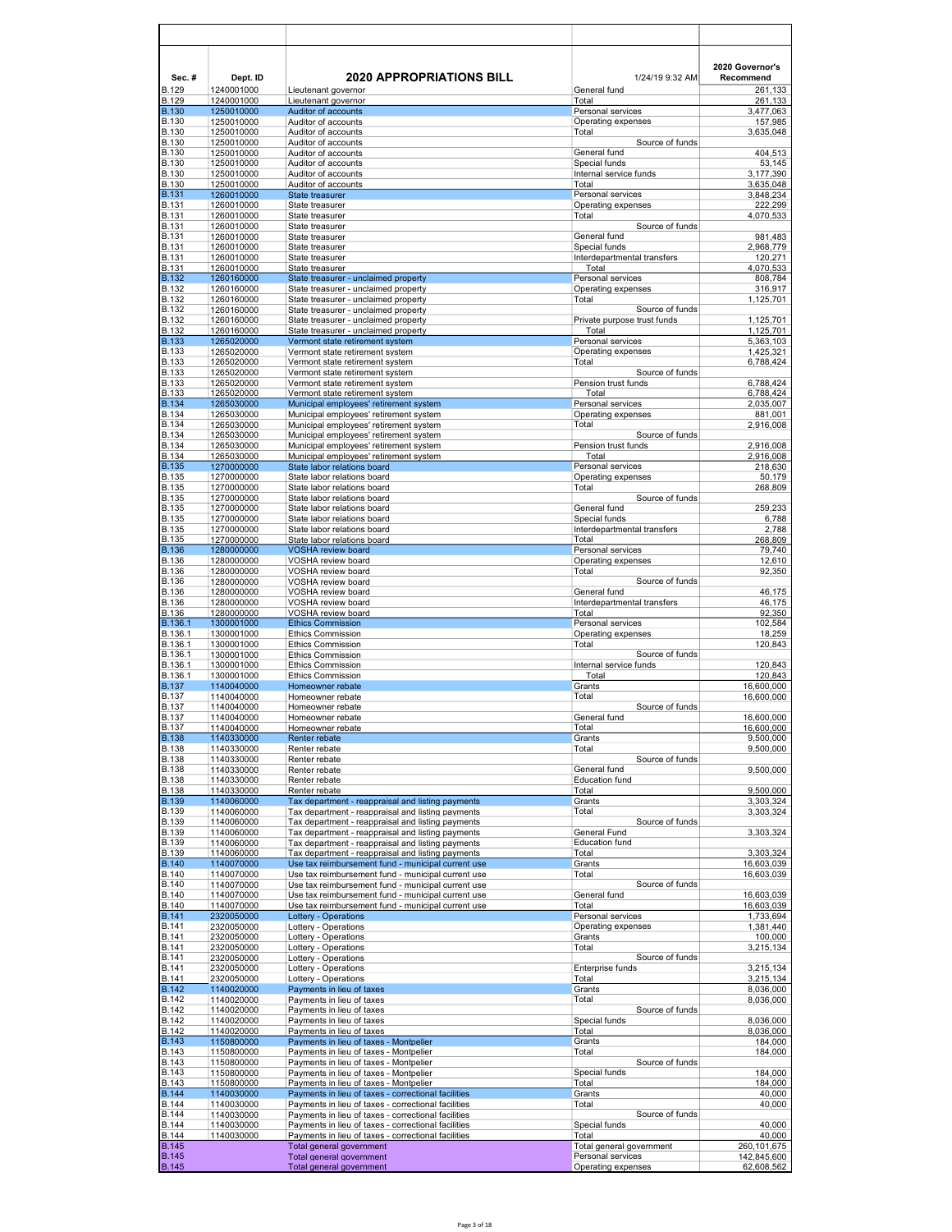| Sec.#<br><b>B.129</b>        | Dept. ID                 | <b>2020 APPROPRIATIONS BILL</b>                                                                            | 1/24/19 9:32 AM                           | 2020 Governor's<br>Recommend |
|------------------------------|--------------------------|------------------------------------------------------------------------------------------------------------|-------------------------------------------|------------------------------|
| <b>B.129</b>                 | 1240001000<br>1240001000 | Lieutenant governor<br>Lieutenant governor                                                                 | General fund<br>Total                     | 261,133<br>261,133           |
| <b>B.130</b><br><b>B.130</b> | 1250010000<br>1250010000 | Auditor of accounts<br>Auditor of accounts                                                                 | Personal services<br>Operating expenses   | 3,477,063                    |
| <b>B.130</b>                 | 1250010000               | Auditor of accounts                                                                                        | Total                                     | 157,985<br>3,635,048         |
| <b>B.130</b>                 | 1250010000               | Auditor of accounts                                                                                        | Source of funds                           |                              |
| <b>B.130</b><br><b>B.130</b> | 1250010000<br>1250010000 | Auditor of accounts<br>Auditor of accounts                                                                 | General fund<br>Special funds             | 404,513<br>53,145            |
| <b>B.130</b>                 | 1250010000               | Auditor of accounts                                                                                        | Internal service funds                    | 3,177,390                    |
| <b>B.130</b><br><b>B.131</b> | 1250010000<br>1260010000 | Auditor of accounts<br>State treasurer                                                                     | Total<br>Personal services                | 3,635,048<br>3,848,234       |
| <b>B.131</b>                 | 1260010000               | State treasurer                                                                                            | Operating expenses                        | 222,299                      |
| <b>B.131</b>                 | 1260010000               | State treasurer                                                                                            | Total                                     | 4,070,533                    |
| <b>B.131</b><br><b>B.131</b> | 1260010000<br>1260010000 | State treasurer<br>State treasurer                                                                         | Source of funds<br>General fund           | 981,483                      |
| <b>B.131</b>                 | 1260010000               | State treasurer                                                                                            | Special funds                             | 2,968,779                    |
| <b>B.131</b><br><b>B.131</b> | 1260010000<br>1260010000 | State treasurer<br>State treasurer                                                                         | Interdepartmental transfers<br>Total      | 120,271                      |
| <b>B.132</b>                 | 1260160000               | State treasurer - unclaimed property                                                                       | Personal services                         | 4,070,533<br>808,784         |
| <b>B.132</b>                 | 1260160000               | State treasurer - unclaimed property                                                                       | Operating expenses                        | 316,917                      |
| <b>B.132</b><br><b>B.132</b> | 1260160000<br>1260160000 | State treasurer - unclaimed property<br>State treasurer - unclaimed property                               | Total<br>Source of funds                  | 1,125,701                    |
| <b>B.132</b>                 | 1260160000               | State treasurer - unclaimed property                                                                       | Private purpose trust funds               | 1,125,701                    |
| <b>B.132</b>                 | 1260160000               | State treasurer - unclaimed property                                                                       | Total                                     | 1,125,701                    |
| <b>B.133</b><br><b>B.133</b> | 1265020000<br>1265020000 | Vermont state retirement system<br>Vermont state retirement system                                         | Personal services<br>Operating expenses   | 5,363,103<br>1,425,321       |
| <b>B.133</b>                 | 1265020000               | Vermont state retirement system                                                                            | Total                                     | 6,788,424                    |
| <b>B.133</b>                 | 1265020000               | Vermont state retirement system                                                                            | Source of funds                           |                              |
| <b>B.133</b><br><b>B.133</b> | 1265020000<br>1265020000 | Vermont state retirement system<br>Vermont state retirement system                                         | Pension trust funds<br>Total              | 6,788,424<br>6,788,424       |
| <b>B.134</b>                 | 1265030000               | Municipal employees' retirement system                                                                     | Personal services                         | 2,035,007                    |
| <b>B.134</b><br><b>B.134</b> | 1265030000<br>1265030000 | Municipal employees' retirement system<br>Municipal employees' retirement system                           | Operating expenses<br>Total               | 881,001<br>2,916,008         |
| <b>B.134</b>                 | 1265030000               | Municipal emplovees' retirement system                                                                     | Source of funds                           |                              |
| <b>B.134</b>                 | 1265030000               | Municipal employees' retirement system                                                                     | Pension trust funds                       | 2,916,008                    |
| <b>B.134</b><br><b>B.135</b> | 1265030000<br>1270000000 | Municipal employees' retirement system<br>State labor relations board                                      | Total<br>Personal services                | 2,916,008<br>218,630         |
| <b>B.135</b>                 | 1270000000               | State labor relations board                                                                                | Operating expenses                        | 50,179                       |
| <b>B.135</b>                 | 1270000000               | State labor relations board                                                                                | Total                                     | 268,809                      |
| <b>B.135</b><br><b>B.135</b> | 1270000000<br>1270000000 | State labor relations board<br>State labor relations board                                                 | Source of funds<br>General fund           | 259,233                      |
| <b>B.135</b>                 | 1270000000               | State labor relations board                                                                                | Special funds                             | 6,788                        |
| <b>B.135</b>                 | 1270000000               | State labor relations board                                                                                | Interdepartmental transfers               | 2,788                        |
| <b>B.135</b><br><b>B.136</b> | 1270000000<br>1280000000 | State labor relations board<br><b>VOSHA review board</b>                                                   | Total<br>Personal services                | 268,809<br>79,740            |
| <b>B.136</b>                 | 1280000000               | VOSHA review board                                                                                         | Operating expenses                        | 12,610                       |
| <b>B.136</b><br><b>B.136</b> | 1280000000               | VOSHA review board                                                                                         | Total<br>Source of funds                  | 92,350                       |
| <b>B.136</b>                 | 1280000000<br>1280000000 | VOSHA review board<br>VOSHA review board                                                                   | General fund                              | 46,175                       |
| <b>B.136</b>                 | 1280000000               | VOSHA review board                                                                                         | Interdepartmental transfers               | 46,175                       |
| <b>B.136</b><br>B.136.1      | 1280000000<br>1300001000 | VOSHA review board<br><b>Ethics Commission</b>                                                             | Total<br>Personal services                | 92,350<br>102,584            |
| B.136.1                      | 1300001000               | <b>Ethics Commission</b>                                                                                   | Operating expenses                        | 18,259                       |
| B.136.1                      | 1300001000               | <b>Ethics Commission</b>                                                                                   | Total                                     | 120,843                      |
| B.136.1<br>B.136.1           | 1300001000<br>1300001000 | <b>Ethics Commission</b><br><b>Ethics Commission</b>                                                       | Source of funds<br>Internal service funds | 120,843                      |
| B.136.1                      | 1300001000               | <b>Ethics Commission</b>                                                                                   | Total                                     | 120.843                      |
| <b>B.137</b>                 | 1140040000               | Homeowner rebate                                                                                           | Grants                                    | 16,600,000                   |
| <b>B.137</b><br><b>B.137</b> | 1140040000<br>1140040000 | Homeowner rebate<br>Homeowner rebate                                                                       | Total<br>Source of funds                  | 16,600,000                   |
| <b>B.137</b>                 | 1140040000               | Homeowner rebate                                                                                           | General fund                              | 16,600,000                   |
| <b>B.137</b><br><b>B.138</b> | 1140040000<br>1140330000 | Homeowner rebate<br>Renter rebate                                                                          | <b>Total</b><br>Grants                    | 16,600,000<br>9,500,000      |
| <b>B.138</b>                 | 1140330000               | Renter rebate                                                                                              | Total                                     | 9,500,000                    |
| <b>B.138</b>                 | 1140330000               | Renter rebate                                                                                              | Source of funds                           |                              |
| <b>B.138</b><br><b>B.138</b> | 1140330000<br>1140330000 | Renter rebate<br>Renter rebate                                                                             | General fund<br><b>Education fund</b>     | 9,500,000                    |
| <b>B.138</b>                 | 1140330000               | Renter rebate                                                                                              | Total                                     | 9,500,000                    |
| <b>B.139</b>                 | 1140060000               | Tax department - reappraisal and listing payments                                                          | Grants                                    | 3,303,324                    |
| <b>B.139</b><br><b>B.139</b> | 1140060000<br>1140060000 | Tax department - reappraisal and listing payments<br>Tax department - reappraisal and listing payments     | Total<br>Source of funds                  | 3,303,324                    |
| <b>B.139</b>                 | 1140060000               | Tax department - reappraisal and listing payments                                                          | General Fund                              | 3,303,324                    |
| <b>B.139</b><br><b>B.139</b> | 1140060000<br>1140060000 | Tax department - reappraisal and listing payments<br>Tax department - reappraisal and listing payments     | Education fund<br>Total                   | 3,303,324                    |
| <b>B.140</b>                 | 1140070000               | Use tax reimbursement fund - municipal current use                                                         | Grants                                    | 16,603,039                   |
| <b>B.140</b>                 | 1140070000               | Use tax reimbursement fund - municipal current use                                                         | Total                                     | 16,603,039                   |
| <b>B.140</b><br><b>B.140</b> | 1140070000<br>1140070000 | Use tax reimbursement fund - municipal current use<br>Use tax reimbursement fund - municipal current use   | Source of funds<br>General fund           | 16,603,039                   |
| <b>B.140</b>                 | 1140070000               | Use tax reimbursement fund - municipal current use                                                         | Total                                     | 16,603,039                   |
| <b>B.141</b>                 | 2320050000               | Lottery - Operations                                                                                       | Personal services                         | 1,733,694                    |
| <b>B.141</b><br><b>B.141</b> | 2320050000<br>2320050000 | Lottery - Operations<br>Lottery - Operations                                                               | Operating expenses<br>Grants              | 1,381,440<br>100,000         |
| <b>B.141</b>                 | 2320050000               | Lottery - Operations                                                                                       | Total                                     | 3,215,134                    |
| <b>B.141</b><br><b>B.141</b> | 2320050000               | Lottery - Operations<br>Lottery - Operations                                                               | Source of funds<br>Enterprise funds       |                              |
| <b>B.141</b>                 | 2320050000<br>2320050000 | Lottery - Operations                                                                                       | Total                                     | 3,215,134<br>3,215,134       |
| <b>B.142</b>                 | 1140020000               | Payments in lieu of taxes                                                                                  | Grants                                    | 8,036,000                    |
| <b>B.142</b><br><b>B.142</b> | 1140020000<br>1140020000 | Payments in lieu of taxes<br>Payments in lieu of taxes                                                     | Total<br>Source of funds                  | 8,036,000                    |
| <b>B.142</b>                 | 1140020000               | Payments in lieu of taxes                                                                                  | Special funds                             | 8,036,000                    |
| <b>B.142</b>                 | 1140020000               | Payments in lieu of taxes                                                                                  | Total                                     | 8,036,000                    |
| <b>B.143</b><br><b>B.143</b> | 1150800000<br>1150800000 | Payments in lieu of taxes - Montpelier<br>Payments in lieu of taxes - Montpelier                           | Grants<br>Total                           | 184,000<br>184,000           |
| <b>B.143</b>                 | 1150800000               | Payments in lieu of taxes - Montpelier                                                                     | Source of funds                           |                              |
| <b>B.143</b>                 | 1150800000               | Payments in lieu of taxes - Montpelier                                                                     | Special funds                             | 184,000                      |
| <b>B.143</b><br><b>B.144</b> | 1150800000<br>1140030000 | Payments in lieu of taxes - Montpelier<br>Payments in lieu of taxes - correctional facilities              | Total<br>Grants                           | 184,000<br>40,000            |
| <b>B.144</b>                 | 1140030000               | Payments in lieu of taxes - correctional facilities                                                        | Total                                     | 40,000                       |
| <b>B.144</b>                 | 1140030000               | Payments in lieu of taxes - correctional facilities                                                        | Source of funds                           |                              |
| <b>B.144</b><br><b>B.144</b> | 1140030000<br>1140030000 | Payments in lieu of taxes - correctional facilities<br>Payments in lieu of taxes - correctional facilities | Special funds<br>Total                    | 40,000<br>40,000             |
| <b>B.145</b>                 |                          | Total general government                                                                                   | Total general government                  | 260,101,675                  |
| <b>B.145</b><br><b>B.145</b> |                          | Total general government<br>Total general government                                                       | Personal services<br>Operating expenses   | 142,845,600<br>62,608,562    |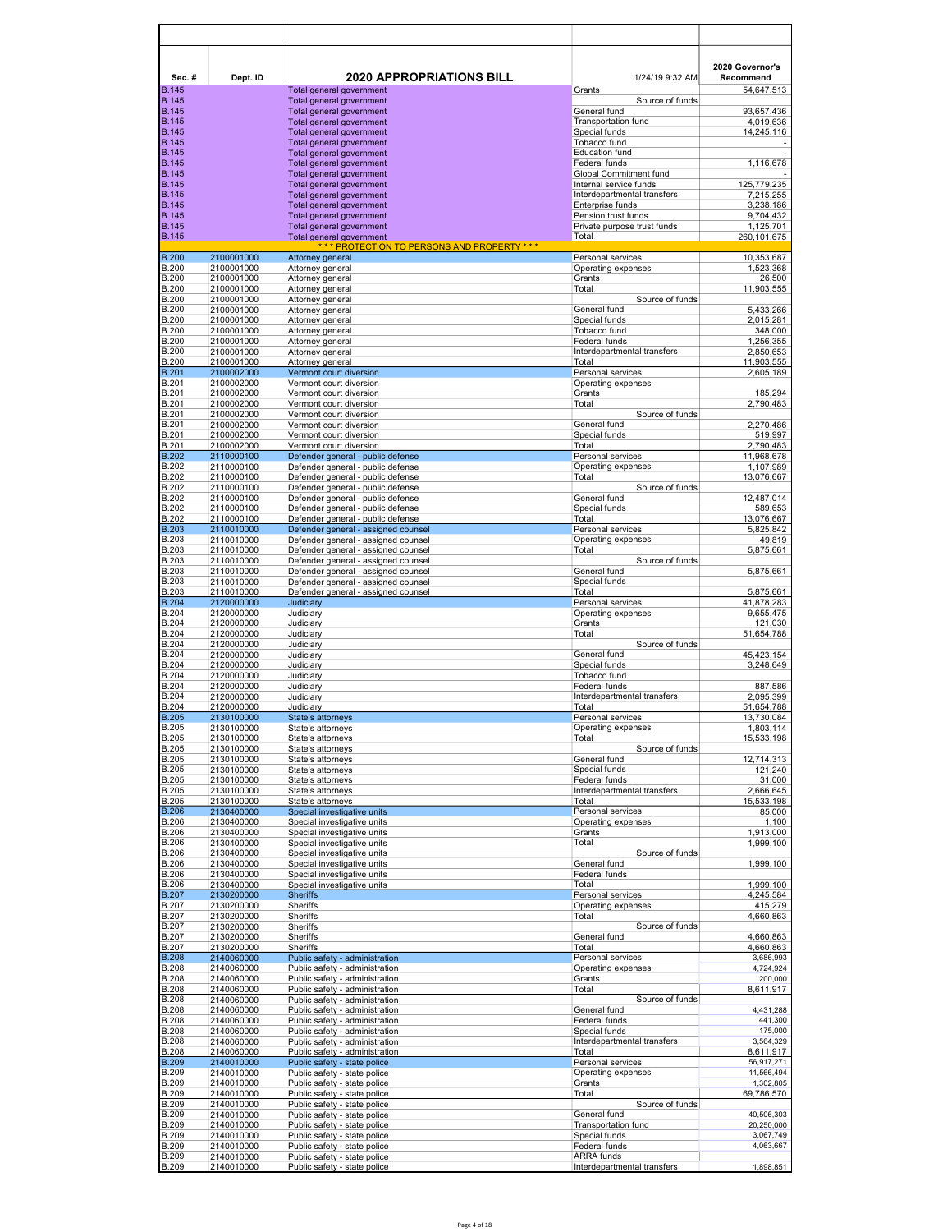| Sec.#                        | Dept. ID                 | <b>2020 APPROPRIATIONS BILL</b>                                            | 1/24/19 9:32 AM                              | 2020 Governor's<br>Recommend |
|------------------------------|--------------------------|----------------------------------------------------------------------------|----------------------------------------------|------------------------------|
| <b>B.145</b><br><b>B.145</b> |                          | Total general government<br>Total general government                       | Grants<br>Source of funds                    | 54,647,513                   |
| <b>B.145</b>                 |                          | Total general government                                                   | General fund                                 | 93,657,436                   |
| <b>B.145</b><br><b>B.145</b> |                          | Total general government                                                   | <b>Transportation fund</b>                   | 4,019,636<br>14,245,116      |
| <b>B.145</b>                 |                          | Total general government<br>Total general government                       | Special funds<br>Tobacco fund                |                              |
| <b>B.145</b>                 |                          | Total general government                                                   | <b>Education fund</b>                        |                              |
| <b>B.145</b><br><b>B.145</b> |                          | Total general government<br>Total general government                       | Federal funds<br>Global Commitment fund      | 1,116,678                    |
| <b>B.145</b>                 |                          | Total general government                                                   | Internal service funds                       | 125,779,235                  |
| <b>B.145</b>                 |                          | Total general government                                                   | Interdepartmental transfers                  | 7,215,255                    |
| <b>B.145</b><br><b>B.145</b> |                          | Total general government<br>Total general government                       | Enterprise funds<br>Pension trust funds      | 3,238,186<br>9,704,432       |
| <b>B.145</b>                 |                          | Total general government                                                   | Private purpose trust funds                  | 1,125,701                    |
| <b>B.145</b>                 |                          | Total general government<br>*** PROTECTION TO PERSONS AND PROPERTY ***     | Total                                        | 260, 101, 675                |
| <b>B.200</b>                 | 2100001000               | Attorney general                                                           | Personal services                            | 10,353,687                   |
| <b>B.200</b><br><b>B.200</b> | 2100001000<br>2100001000 | Attorney general<br>Attorney general                                       | Operating expenses<br>Grants                 | 1,523,368<br>26,500          |
| <b>B.200</b>                 | 2100001000               | Attorney general                                                           | Total                                        | 11,903,555                   |
| <b>B.200</b><br><b>B.200</b> | 2100001000<br>2100001000 | Attorney general                                                           | Source of funds<br>General fund              |                              |
| <b>B.200</b>                 | 2100001000               | Attorney general<br>Attorney general                                       | Special funds                                | 5,433,266<br>2,015,281       |
| <b>B.200</b>                 | 2100001000               | Attorney general                                                           | Tobacco fund                                 | 348,000                      |
| <b>B.200</b><br><b>B.200</b> | 2100001000<br>2100001000 | Attorney general<br>Attorney general                                       | Federal funds<br>Interdepartmental transfers | 1,256,355<br>2,850,653       |
| <b>B.200</b>                 | 2100001000               | Attorney general                                                           | Total                                        | 11,903,555                   |
| <b>B.201</b><br><b>B.201</b> | 2100002000<br>2100002000 | Vermont court diversion<br>Vermont court diversion                         | Personal services<br>Operating expenses      | 2,605,189                    |
| <b>B.201</b>                 | 2100002000               | Vermont court diversion                                                    | Grants                                       | 185,294                      |
| <b>B.201</b>                 | 2100002000               | Vermont court diversion                                                    | Total                                        | 2,790,483                    |
| <b>B.201</b><br><b>B.201</b> | 2100002000<br>2100002000 | Vermont court diversion<br>Vermont court diversion                         | Source of funds<br>General fund              | 2,270,486                    |
| <b>B.201</b>                 | 2100002000               | Vermont court diversion                                                    | Special funds                                | 519,997                      |
| <b>B.201</b><br><b>B.202</b> | 2100002000<br>2110000100 | Vermont court diversion<br>Defender general - public defense               | Total<br>Personal services                   | 2,790,483<br>11,968,678      |
| <b>B.202</b>                 | 2110000100               | Defender general - public defense                                          | Operating expenses                           | 1,107,989                    |
| <b>B.202</b><br><b>B.202</b> | 2110000100<br>2110000100 | Defender general - public defense<br>Defender general - public defense     | Total<br>Source of funds                     | 13,076,667                   |
| <b>B.202</b>                 | 2110000100               | Defender general - public defense                                          | General fund                                 | 12,487,014                   |
| <b>B.202</b><br><b>B.202</b> | 2110000100               | Defender general - public defense                                          | Special funds<br>Total                       | 589,653                      |
| <b>B.203</b>                 | 2110000100<br>2110010000 | Defender general - public defense<br>Defender general - assigned counsel   | Personal services                            | 13,076,667<br>5,825,842      |
| <b>B.203</b>                 | 2110010000               | Defender general - assigned counsel                                        | Operating expenses                           | 49,819                       |
| <b>B.203</b><br><b>B.203</b> | 2110010000<br>2110010000 | Defender general - assigned counsel<br>Defender general - assigned counsel | Total<br>Source of funds                     | 5,875,661                    |
| <b>B.203</b>                 | 2110010000               | Defender general - assigned counsel                                        | General fund                                 | 5,875,661                    |
| <b>B.203</b><br><b>B.203</b> | 2110010000<br>2110010000 | Defender general - assigned counsel<br>Defender general - assigned counsel | Special funds<br>Total                       | 5,875,661                    |
| <b>B.204</b>                 | 2120000000               | Judiciary                                                                  | Personal services                            | 41,878,283                   |
| <b>B.204</b><br><b>B.204</b> | 2120000000<br>2120000000 | Judiciary<br>Judiciary                                                     | Operating expenses<br>Grants                 | 9,655,475<br>121,030         |
| <b>B.204</b>                 | 2120000000               | Judiciary                                                                  | Total                                        | 51,654,788                   |
| <b>B.204</b><br><b>B.204</b> | 2120000000<br>2120000000 | Judiciary<br>Judiciary                                                     | Source of funds                              | 45,423,154                   |
| <b>B.204</b>                 | 2120000000               | Judiciarv                                                                  | General fund<br>Special funds                | 3,248,649                    |
| <b>B.204</b>                 | 2120000000               | Judiciary                                                                  | Tobacco fund                                 |                              |
| B.204<br><b>B.204</b>        | 2120000000<br>2120000000 | Judiciary<br>Judiciarv                                                     | Federal funds<br>Interdepartmental transfers | 887,586<br>2,095,399         |
| <b>B.204</b>                 | 2120000000               | Judiciarv                                                                  | Total                                        | 51,654,788                   |
| <b>B.205</b><br><b>B.205</b> | 2130100000<br>2130100000 | State's attorneys<br>State's attorneys                                     | Personal services<br>Operating expenses      | 13,730,084<br>1,803,114      |
| <b>B.205</b>                 | 2130100000               | State's attorneys                                                          | Total                                        | 15,533,198                   |
| <b>B.205</b><br><b>B.205</b> | 2130100000<br>2130100000 | State's attorneys<br>State's attorneys                                     | Source of funds<br>General fund              | 12,714,313                   |
| <b>B.205</b>                 | 2130100000               | State's attorneys                                                          | Special funds                                | 121,240                      |
| <b>B.205</b><br><b>B.205</b> | 2130100000<br>2130100000 | State's attorneys<br>State's attorneys                                     | Federal funds<br>Interdepartmental transfers | 31,000<br>2,666,645          |
| <b>B.205</b>                 | 2130100000               | State's attorneys                                                          | Total                                        | 15,533,198                   |
| <b>B.206</b><br><b>B.206</b> | 2130400000               | Special investigative units<br>Special investigative units                 | Personal services<br>Operating expenses      | 85,000                       |
| <b>B.206</b>                 | 2130400000<br>2130400000 | Special investigative units                                                | Grants                                       | 1,100<br>1,913,000           |
| <b>B.206</b>                 | 2130400000               | Special investigative units                                                | Total                                        | 1,999,100                    |
| <b>B.206</b><br>B.206        | 2130400000<br>2130400000 | Special investigative units<br>Special investigative units                 | Source of funds<br>General fund              | 1,999,100                    |
| <b>B.206</b>                 | 2130400000               | Special investigative units                                                | Federal funds                                |                              |
| <b>B.206</b><br><b>B.207</b> | 2130400000<br>2130200000 | Special investigative units<br><b>Sheriffs</b>                             | Total<br>Personal services                   | 1,999,100<br>4,245,584       |
| <b>B.207</b>                 | 2130200000               | <b>Sheriffs</b>                                                            | Operating expenses                           | 415,279                      |
| <b>B.207</b><br><b>B.207</b> | 2130200000<br>2130200000 | <b>Sheriffs</b><br>Sheriffs                                                | Total<br>Source of funds                     | 4,660,863                    |
| <b>B.207</b>                 | 2130200000               | Sheriffs                                                                   | General fund                                 | 4,660,863                    |
| B.207<br><b>B.208</b>        | 2130200000               | Sheriffs                                                                   | Total<br>Personal services                   | 4,660,863                    |
| <b>B.208</b>                 | 2140060000<br>2140060000 | Public safety - administration<br>Public safety - administration           | Operating expenses                           | 3,686,993<br>4,724,924       |
| <b>B.208</b>                 | 2140060000               | Public safety - administration                                             | Grants                                       | 200,000                      |
| <b>B.208</b><br><b>B.208</b> | 2140060000<br>2140060000 | Public safety - administration<br>Public safety - administration           | Total<br>Source of funds                     | 8,611,917                    |
| <b>B.208</b>                 | 2140060000               | Public safety - administration                                             | General fund                                 | 4,431,288                    |
| <b>B.208</b><br><b>B.208</b> | 2140060000<br>2140060000 | Public safety - administration<br>Public safety - administration           | Federal funds<br>Special funds               | 441,300<br>175,000           |
| <b>B.208</b>                 | 2140060000               | Public safety - administration                                             | Interdepartmental transfers                  | 3,564,329                    |
| <b>B.208</b><br><b>B.209</b> | 2140060000<br>2140010000 | Public safety - administration<br>Public safety - state police             | Total<br>Personal services                   | 8,611,917<br>56,917,271      |
| <b>B.209</b>                 | 2140010000               | Public safety - state police                                               | Operating expenses                           | 11,566,494                   |
| <b>B.209</b>                 | 2140010000               | Public safety - state police                                               | Grants                                       | 1,302,805                    |
| <b>B.209</b><br><b>B.209</b> | 2140010000<br>2140010000 | Public safety - state police<br>Public safety - state police               | Total<br>Source of funds                     | 69,786,570                   |
| <b>B.209</b>                 | 2140010000               | Public safety - state police                                               | General fund                                 | 40,506,303                   |
| <b>B.209</b><br><b>B.209</b> | 2140010000<br>2140010000 | Public safety - state police<br>Public safety - state police               | <b>Transportation fund</b><br>Special funds  | 20,250,000<br>3,067,749      |
| <b>B.209</b>                 | 2140010000               | Public safety - state police                                               | Federal funds                                | 4,063,667                    |
| <b>B.209</b><br><b>B.209</b> | 2140010000<br>2140010000 | Public safety - state police<br>Public safety - state police               | ARRA funds<br>Interdepartmental transfers    | 1,898,851                    |
|                              |                          |                                                                            |                                              |                              |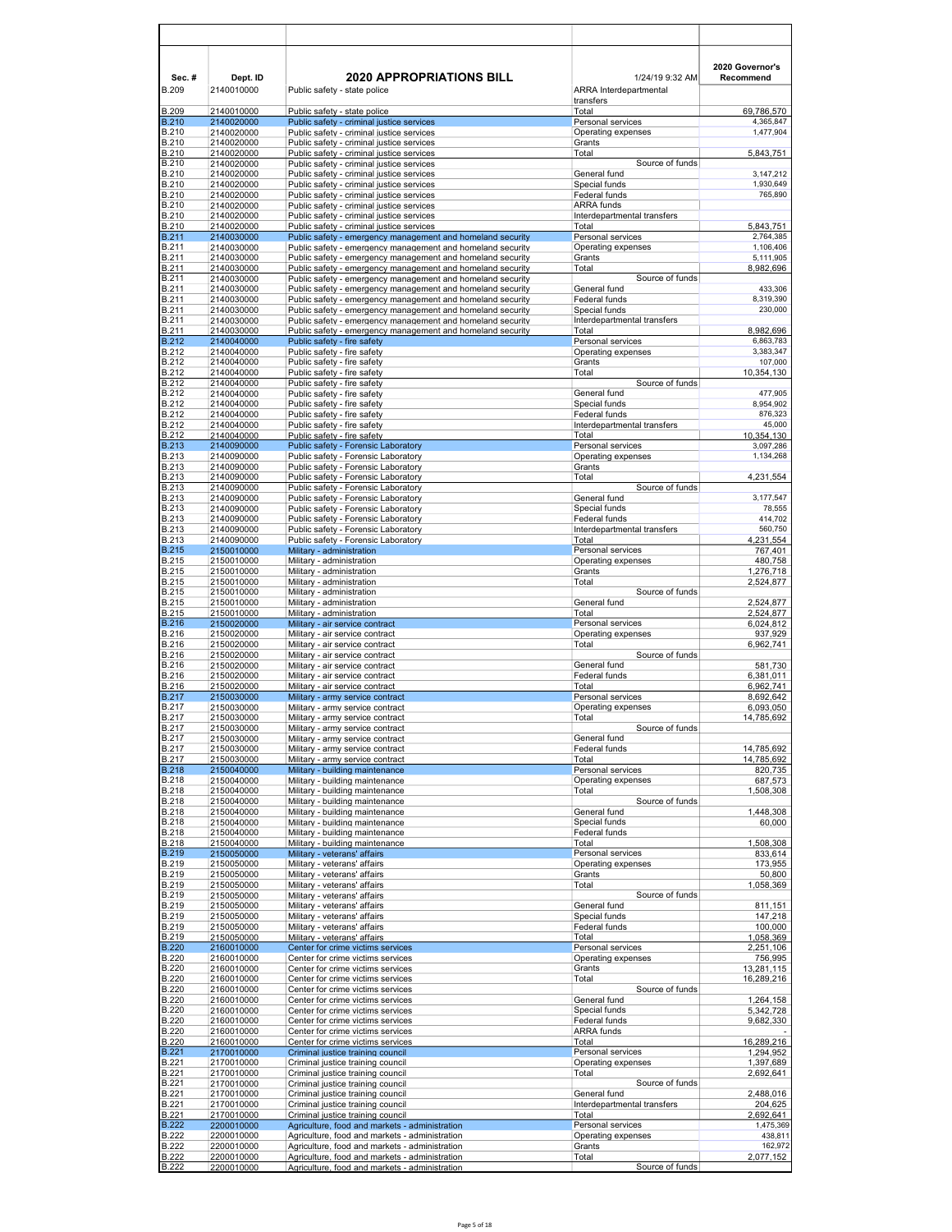| Sec.#<br><b>B.209</b>        | Dept. ID<br>2140010000   | <b>2020 APPROPRIATIONS BILL</b><br>Public safety - state police                                                          | 1/24/19 9:32 AM<br><b>ARRA</b> Interdepartmental | 2020 Governor's<br>Recommend |
|------------------------------|--------------------------|--------------------------------------------------------------------------------------------------------------------------|--------------------------------------------------|------------------------------|
|                              |                          |                                                                                                                          | transfers                                        |                              |
| B.209<br><b>B.210</b>        | 2140010000<br>2140020000 | Public safety - state police<br>Public safety - criminal justice services                                                | Total<br>Personal services                       | 69,786,570<br>4,365,847      |
| <b>B.210</b>                 | 2140020000               | Public safety - criminal justice services                                                                                | Operating expenses                               | 1,477,904                    |
| B.210<br><b>B.210</b>        | 2140020000<br>2140020000 | Public safety - criminal justice services<br>Public safety - criminal justice services                                   | Grants<br>Total                                  | 5,843,751                    |
| <b>B.210</b>                 | 2140020000               | Public safety - criminal justice services                                                                                | Source of funds                                  |                              |
| <b>B.210</b><br><b>B.210</b> | 2140020000<br>2140020000 | Public safety - criminal justice services<br>Public safety - criminal justice services                                   | General fund<br>Special funds                    | 3,147,212<br>1,930,649       |
| <b>B.210</b>                 | 2140020000               | Public safety - criminal justice services                                                                                | Federal funds                                    | 765,890                      |
| <b>B.210</b><br><b>B.210</b> | 2140020000<br>2140020000 | Public safety - criminal justice services<br>Public safety - criminal justice services                                   | ARRA funds<br>Interdepartmental transfers        |                              |
| <b>B.210</b>                 | 2140020000               | Public safety - criminal justice services                                                                                | Total                                            | 5.843.751                    |
| <b>B.211</b><br><b>B.211</b> | 2140030000<br>2140030000 | Public safety - emergency management and homeland security<br>Public safety - emergency management and homeland security | Personal services<br>Operating expenses          | 2,764,385<br>1,106,406       |
| B.211                        | 2140030000               | Public safety - emergency management and homeland security                                                               | Grants                                           | 5,111,905                    |
| <b>B.211</b>                 | 2140030000               | Public safety - emergency management and homeland security                                                               | Total                                            | 8,982,696                    |
| B.211<br><b>B.211</b>        | 2140030000<br>2140030000 | Public safety - emergency management and homeland security<br>Public safety - emergency management and homeland security | Source of funds<br>General fund                  | 433,306                      |
| B.211                        | 2140030000               | Public safety - emergency management and homeland security                                                               | Federal funds                                    | 8,319,390                    |
| <b>B.211</b><br>B.211        | 2140030000<br>2140030000 | Public safety - emergency management and homeland security<br>Public safety - emergency management and homeland security | Special funds<br>Interdepartmental transfers     | 230,000                      |
| <b>B.211</b>                 | 2140030000               | Public safety - emergency management and homeland security                                                               | Total                                            | 8,982,696                    |
| <b>B.212</b><br>B.212        | 2140040000<br>2140040000 | Public safety - fire safety<br>Public safety - fire safety                                                               | Personal services<br>Operating expenses          | 6,863,783<br>3,383,347       |
| B.212                        | 2140040000               | Public safety - fire safety                                                                                              | Grants                                           | 107,000                      |
| <b>B.212</b><br><b>B.212</b> | 2140040000<br>2140040000 | Public safety - fire safety<br>Public safety - fire safety                                                               | Total<br>Source of funds                         | 10,354,130                   |
| <b>B.212</b>                 | 2140040000               | Public safety - fire safety                                                                                              | General fund                                     | 477,905                      |
| B.212                        | 2140040000               | Public safety - fire safety<br>Public safety - fire safety                                                               | Special funds<br>Federal funds                   | 8,954,902<br>876,323         |
| <b>B.212</b><br><b>B.212</b> | 2140040000<br>2140040000 | Public safety - fire safety                                                                                              | Interdepartmental transfers                      | 45,000                       |
| <b>B.212</b>                 | 2140040000               | Public safety - fire safety                                                                                              | Total                                            | 10,354,130                   |
| <b>B.213</b><br><b>B.213</b> | 2140090000<br>2140090000 | Public safety - Forensic Laboratory<br>Public safety - Forensic Laboratory                                               | Personal services<br>Operating expenses          | 3,097,286<br>1,134,268       |
| <b>B.213</b>                 | 2140090000               | Public safety - Forensic Laboratory                                                                                      | Grants                                           |                              |
| <b>B.213</b><br>B.213        | 2140090000<br>2140090000 | Public safety - Forensic Laboratory<br>Public safety - Forensic Laboratory                                               | Total<br>Source of funds                         | 4,231,554                    |
| <b>B.213</b>                 | 2140090000               | Public safety - Forensic Laboratory                                                                                      | General fund                                     | 3,177,547                    |
| <b>B.213</b><br><b>B.213</b> | 2140090000<br>2140090000 | Public safety - Forensic Laboratory<br>Public safety - Forensic Laboratory                                               | Special funds<br>Federal funds                   | 78,555<br>414,702            |
| <b>B.213</b>                 | 2140090000               | Public safety - Forensic Laboratory                                                                                      | Interdepartmental transfers                      | 560,750                      |
| <b>B.213</b><br><b>B.215</b> | 2140090000<br>2150010000 | Public safety - Forensic Laboratory<br>Military - administration                                                         | Total<br>Personal services                       | 4,231,554<br>767,401         |
| <b>B.215</b>                 | 2150010000               | Military - administration                                                                                                | Operating expenses                               | 480,758                      |
| <b>B.215</b>                 | 2150010000               | Military - administration                                                                                                | Grants                                           | 1,276,718                    |
| B.215<br><b>B.215</b>        | 2150010000<br>2150010000 | Military - administration<br>Military - administration                                                                   | Total<br>Source of funds                         | 2,524,877                    |
| <b>B.215</b>                 | 2150010000               | Military - administration                                                                                                | General fund                                     | 2,524,877                    |
| <b>B.215</b><br><b>B.216</b> | 2150010000<br>2150020000 | Military - administration<br>Military - air service contract                                                             | Total<br>Personal services                       | 2,524,877<br>6,024,812       |
| <b>B.216</b>                 | 2150020000               | Military - air service contract                                                                                          | Operating expenses                               | 937,929                      |
| B.216<br>B.216               | 2150020000<br>2150020000 | Military - air service contract<br>Military - air service contract                                                       | Total<br>Source of funds                         | 6,962,741                    |
| B.216                        | 2150020000               | Military - air service contract                                                                                          | General fund                                     | 581,730                      |
| <b>B.216</b><br>B.216        | 2150020000<br>2150020000 | Military - air service contract<br>Military - air service contract                                                       | Federal funds<br>Total                           | 6,381,011<br>6,962,741       |
| <b>B.217</b>                 | 2150030000               | Military - army service contract                                                                                         | Personal services                                | 8,692,642                    |
| <b>B.217</b><br><b>B.217</b> | 2150030000<br>2150030000 | Military - army service contract<br>Military - army service contract                                                     | Operating expenses<br>Total                      | 6,093,050<br>14,785,692      |
| B.217                        | 2150030000               | Military - army service contract                                                                                         | Source of funds                                  |                              |
| <b>B.217</b><br><b>B.217</b> | 2150030000<br>2150030000 | Military - army service contract<br>Military - army service contract                                                     | General fund<br>Federal funds                    | 14,785,692                   |
| <b>B.217</b>                 | 2150030000               | Military - army service contract                                                                                         | Total                                            | 14,785,692                   |
| <b>B.218</b><br><b>B.218</b> | 2150040000               | Military - building maintenance<br>Military - building maintenance                                                       | Personal services<br>Operating expenses          | 820,735<br>687,573           |
| <b>B.218</b>                 | 2150040000<br>2150040000 | Military - building maintenance                                                                                          | Total                                            | 1,508,308                    |
| B.218                        | 2150040000               | Military - building maintenance                                                                                          | Source of funds                                  |                              |
| B.218<br><b>B.218</b>        | 2150040000<br>2150040000 | Military - building maintenance<br>Military - building maintenance                                                       | General fund<br>Special funds                    | 1,448,308<br>60,000          |
| <b>B.218</b>                 | 2150040000               | Military - building maintenance                                                                                          | Federal funds                                    |                              |
| B.218<br><b>B.219</b>        | 2150040000<br>2150050000 | Military - building maintenance<br>Military - veterans' affairs                                                          | Total<br>Personal services                       | 1,508,308<br>833,614         |
| <b>B.219</b>                 | 2150050000               | Military - veterans' affairs                                                                                             | Operating expenses                               | 173,955                      |
| <b>B.219</b><br>B.219        | 2150050000<br>2150050000 | Military - veterans' affairs<br>Military - veterans' affairs                                                             | Grants<br>Total                                  | 50,800<br>1,058,369          |
| <b>B.219</b>                 | 2150050000               | Military - veterans' affairs                                                                                             | Source of funds                                  |                              |
| <b>B.219</b><br><b>B.219</b> | 2150050000<br>2150050000 | Military - veterans' affairs<br>Military - veterans' affairs                                                             | General fund<br>Special funds                    | 811,151<br>147,218           |
| B.219                        | 2150050000               | Military - veterans' affairs                                                                                             | Federal funds                                    | 100,000                      |
| <b>B.219</b><br><b>B.220</b> | 2150050000<br>2160010000 | Military - veterans' affairs<br>Center for crime victims services                                                        | Total<br>Personal services                       | 1,058,369<br>2,251,106       |
| <b>B.220</b>                 | 2160010000               | Center for crime victims services                                                                                        | Operating expenses                               | 756,995                      |
| <b>B.220</b><br><b>B.220</b> | 2160010000<br>2160010000 | Center for crime victims services<br>Center for crime victims services                                                   | Grants<br>Total                                  | 13,281,115<br>16,289,216     |
| <b>B.220</b>                 | 2160010000               | Center for crime victims services                                                                                        | Source of funds                                  |                              |
| <b>B.220</b><br><b>B.220</b> | 2160010000<br>2160010000 | Center for crime victims services<br>Center for crime victims services                                                   | General fund<br>Special funds                    | 1,264,158                    |
| <b>B.220</b>                 | 2160010000               | Center for crime victims services                                                                                        | Federal funds                                    | 5,342,728<br>9,682,330       |
| <b>B.220</b>                 | 2160010000               | Center for crime victims services                                                                                        | <b>ARRA</b> funds                                |                              |
| <b>B.220</b><br><b>B.221</b> | 2160010000<br>2170010000 | Center for crime victims services<br>Criminal justice training council                                                   | Total<br>Personal services                       | 16,289,216<br>1,294,952      |
| B.221                        | 2170010000               | Criminal justice training council                                                                                        | Operating expenses                               | 1,397,689                    |
| <b>B.221</b><br><b>B.221</b> | 2170010000<br>2170010000 | Criminal justice training council<br>Criminal justice training council                                                   | Total<br>Source of funds                         | 2,692,641                    |
| B.221                        | 2170010000               | Criminal justice training council                                                                                        | General fund                                     | 2,488,016                    |
| B.221<br>B.221               | 2170010000<br>2170010000 | Criminal justice training council<br>Criminal justice training council                                                   | Interdepartmental transfers<br>Total             | 204,625<br>2,692,641         |
| <b>B.222</b>                 | 2200010000               | Agriculture, food and markets - administration                                                                           | Personal services                                | 1,475,369                    |
| <b>B.222</b><br><b>B.222</b> | 2200010000<br>2200010000 | Agriculture, food and markets - administration<br>Agriculture, food and markets - administration                         | Operating expenses<br>Grants                     | 438,811<br>162,972           |
| <b>B.222</b>                 | 2200010000               | Agriculture, food and markets - administration                                                                           | Total                                            | 2,077,152                    |
| <b>B.222</b>                 | 2200010000               | Agriculture, food and markets - administration                                                                           | Source of funds                                  |                              |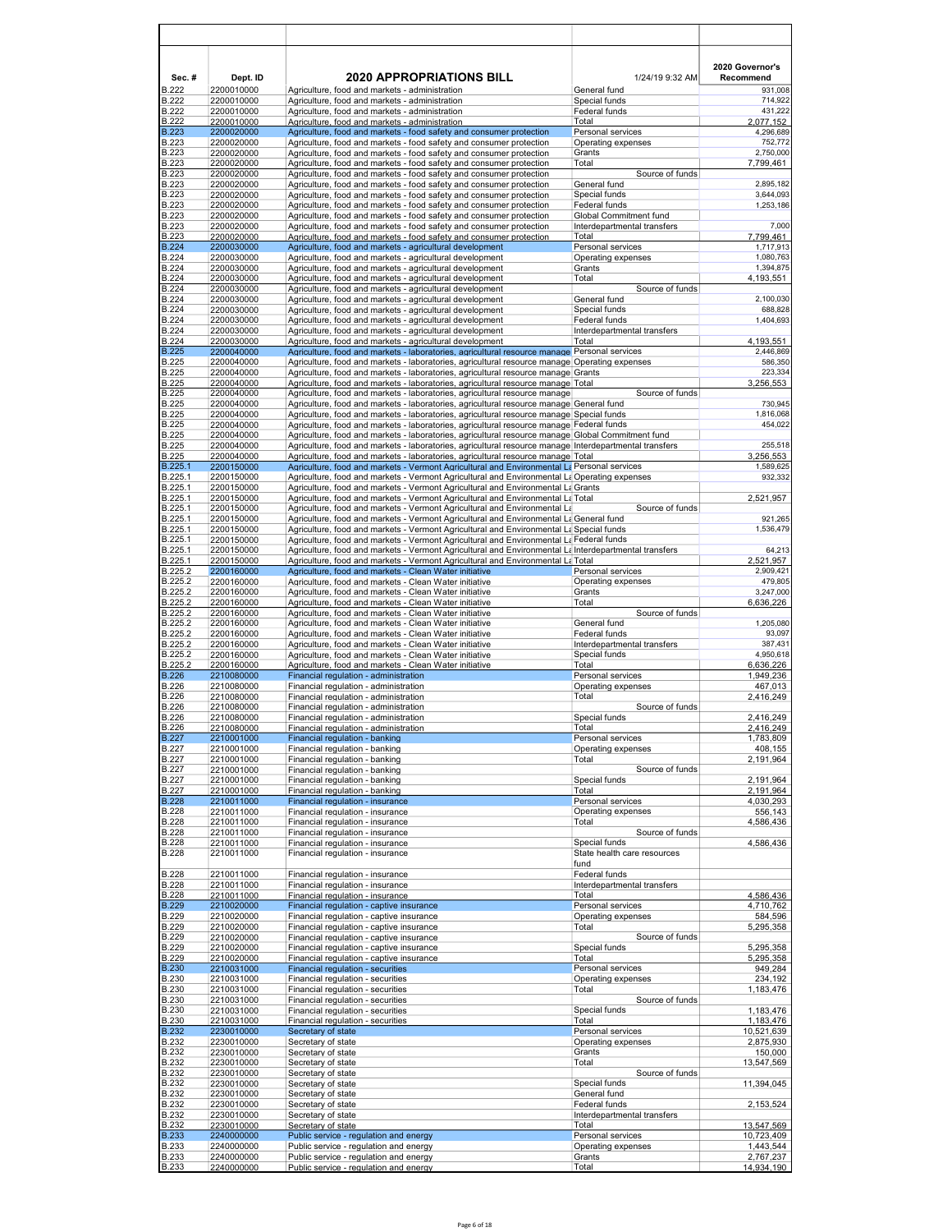| Sec.#<br><b>B.222</b>        | Dept. ID<br>2200010000   | <b>2020 APPROPRIATIONS BILL</b><br>Agriculture, food and markets - administration                                                                                                                           | 1/24/19 9:32 AM<br>General fund              | 2020 Governor's<br>Recommend<br>931,008 |
|------------------------------|--------------------------|-------------------------------------------------------------------------------------------------------------------------------------------------------------------------------------------------------------|----------------------------------------------|-----------------------------------------|
| <b>B.222</b>                 | 2200010000               | Agriculture, food and markets - administration                                                                                                                                                              | Special funds                                | 714,922                                 |
| <b>B.222</b>                 | 2200010000               | Agriculture, food and markets - administration                                                                                                                                                              | Federal funds                                | 431,222                                 |
| <b>B.222</b><br><b>B.223</b> | 2200010000<br>2200020000 | Agriculture, food and markets - administration<br>Agriculture, food and markets - food safety and consumer protection                                                                                       | Total<br>Personal services                   | 2,077,152<br>4,296,689                  |
| <b>B.223</b>                 | 2200020000               | Agriculture, food and markets - food safety and consumer protection                                                                                                                                         | Operating expenses                           | 752,772                                 |
| <b>B.223</b><br><b>B.223</b> | 2200020000<br>2200020000 | Agriculture, food and markets - food safety and consumer protection<br>Agriculture, food and markets - food safety and consumer protection                                                                  | Grants<br>Total                              | 2,750,000<br>7,799,461                  |
| <b>B.223</b>                 | 2200020000               | Agriculture, food and markets - food safety and consumer protection                                                                                                                                         | Source of funds                              |                                         |
| <b>B.223</b>                 | 2200020000               | Agriculture, food and markets - food safety and consumer protection                                                                                                                                         | General fund                                 | 2,895,182                               |
| <b>B.223</b><br><b>B.223</b> | 2200020000<br>2200020000 | Agriculture, food and markets - food safety and consumer protection<br>Agriculture, food and markets - food safety and consumer protection                                                                  | Special funds<br><b>Federal funds</b>        | 3,644,093<br>1,253,186                  |
| <b>B.223</b>                 | 2200020000               | Agriculture, food and markets - food safety and consumer protection                                                                                                                                         | Global Commitment fund                       |                                         |
| <b>B.223</b>                 | 2200020000               | Agriculture, food and markets - food safety and consumer protection                                                                                                                                         | Interdepartmental transfers                  | 7,000                                   |
| <b>B.223</b><br><b>B.224</b> | 2200020000<br>2200030000 | Agriculture, food and markets - food safety and consumer protection<br>Agriculture, food and markets - agricultural development                                                                             | Total<br>Personal services                   | 7,799,461<br>1,717,913                  |
| <b>B.224</b>                 | 2200030000               | Agriculture, food and markets - agricultural development                                                                                                                                                    | Operating expenses                           | 1,080,763                               |
| <b>B.224</b>                 | 2200030000               | Agriculture, food and markets - agricultural development                                                                                                                                                    | Grants                                       | 1,394,875                               |
| <b>B.224</b><br><b>B.224</b> | 2200030000<br>2200030000 | Agriculture, food and markets - agricultural development<br>Agriculture, food and markets - agricultural development                                                                                        | Total<br>Source of funds                     | 4,193,551                               |
| <b>B.224</b>                 | 2200030000               | Agriculture, food and markets - agricultural development                                                                                                                                                    | General fund                                 | 2,100,030                               |
| <b>B.224</b><br><b>B.224</b> | 2200030000<br>2200030000 | Agriculture, food and markets - agricultural development<br>Agriculture, food and markets - agricultural development                                                                                        | Special funds<br>Federal funds               | 688,828<br>1,404,693                    |
| <b>B.224</b>                 | 2200030000               | Agriculture, food and markets - agricultural development                                                                                                                                                    | Interdepartmental transfers                  |                                         |
| <b>B.224</b>                 | 2200030000               | Agriculture, food and markets - agricultural development                                                                                                                                                    | Total                                        | 4,193,551                               |
| <b>B.225</b><br><b>B.225</b> | 2200040000<br>2200040000 | Agriculture, food and markets - laboratories, agricultural resource manage Personal services<br>Agriculture, food and markets - laboratories, agricultural resource manage Operating expenses               |                                              | 2,446,869<br>586,350                    |
| <b>B.225</b>                 | 2200040000               | Agriculture, food and markets - laboratories, agricultural resource manage Grants                                                                                                                           |                                              | 223,334                                 |
| <b>B.225</b>                 | 2200040000               | Agriculture, food and markets - laboratories, agricultural resource manage Total                                                                                                                            |                                              | 3,256,553                               |
| <b>B.225</b><br><b>B.225</b> | 2200040000<br>2200040000 | Agriculture, food and markets - laboratories, agricultural resource manage<br>Agriculture, food and markets - laboratories, agricultural resource manage General fund                                       | Source of funds                              | 730,945                                 |
| <b>B.225</b>                 | 2200040000               | Agriculture, food and markets - laboratories, agricultural resource manage Special funds                                                                                                                    |                                              | 1,816,068                               |
| <b>B.225</b>                 | 2200040000               | Agriculture, food and markets - laboratories, agricultural resource manage Federal funds                                                                                                                    |                                              | 454,022                                 |
| <b>B.225</b><br><b>B.225</b> | 2200040000<br>2200040000 | Agriculture, food and markets - laboratories, agricultural resource manage Global Commitment fund<br>Agriculture, food and markets - laboratories, agricultural resource manage Interdepartmental transfers |                                              | 255,518                                 |
| <b>B.225</b>                 | 2200040000               | Agriculture, food and markets - laboratories, agricultural resource manage Total                                                                                                                            |                                              | 3,256,553                               |
| B.225.1<br>B.225.1           | 2200150000<br>2200150000 | Agriculture, food and markets - Vermont Agricultural and Environmental La Personal services<br>Agriculture, food and markets - Vermont Agricultural and Environmental La Operating expenses                 |                                              | 1,589,625<br>932,332                    |
| B.225.1                      | 2200150000               | Agriculture, food and markets - Vermont Agricultural and Environmental La Grants                                                                                                                            |                                              |                                         |
| B.225.1                      | 2200150000               | Agriculture, food and markets - Vermont Agricultural and Environmental La Total                                                                                                                             |                                              | 2,521,957                               |
| B.225.1<br>B.225.1           | 2200150000<br>2200150000 | Agriculture, food and markets - Vermont Agricultural and Environmental La<br>Agriculture, food and markets - Vermont Agricultural and Environmental La General fund                                         | Source of funds                              | 921,265                                 |
| B.225.1                      | 2200150000               | Agriculture, food and markets - Vermont Agricultural and Environmental La Special funds                                                                                                                     |                                              | 1,536,479                               |
| B.225.1                      | 2200150000               | Agriculture, food and markets - Vermont Agricultural and Environmental La Federal funds                                                                                                                     |                                              |                                         |
| B.225.1<br>B.225.1           | 2200150000<br>2200150000 | Interdepartmental transfers - Vermont Agricultural and Environmental La Interdepartmental transfers<br>Agriculture, food and markets - Vermont Agricultural and Environmental La Total                      |                                              | 64,213<br>2.521.957                     |
| B.225.2                      | 2200160000               | Agriculture, food and markets - Clean Water initiative                                                                                                                                                      | Personal services                            | 2,909,421                               |
| B.225.2<br>B.225.2           | 2200160000<br>2200160000 | Agriculture, food and markets - Clean Water initiative<br>Agriculture, food and markets - Clean Water initiative                                                                                            | Operating expenses<br>Grants                 | 479,805<br>3,247,000                    |
| B.225.2                      | 2200160000               | Agriculture, food and markets - Clean Water initiative                                                                                                                                                      | Total                                        | 6,636,226                               |
| B.225.2                      | 2200160000               | Agriculture, food and markets - Clean Water initiative                                                                                                                                                      | Source of funds                              |                                         |
| B.225.2<br>B.225.2           | 2200160000<br>2200160000 | Agriculture, food and markets - Clean Water initiative<br>Agriculture, food and markets - Clean Water initiative                                                                                            | General fund<br>Federal funds                | 1,205,080<br>93,097                     |
| B.225.2                      | 2200160000               | Agriculture, food and markets - Clean Water initiative                                                                                                                                                      | Interdepartmental transfers                  | 387,431                                 |
| B.225.2                      | 2200160000               | Agriculture, food and markets - Clean Water initiative                                                                                                                                                      | Special funds                                | 4,950,618                               |
| B.225.2<br><b>B.226</b>      | 2200160000<br>2210080000 | Agriculture, food and markets - Clean Water initiative<br>Financial regulation - administration                                                                                                             | Total<br>Personal services                   | 6,636,226<br>1,949,236                  |
| <b>B.226</b>                 | 2210080000               | Financial regulation - administration                                                                                                                                                                       | Operating expenses                           | 467,013                                 |
| <b>B.226</b><br><b>B.226</b> | 2210080000<br>2210080000 | Financial regulation - administration<br>Financial regulation - administration                                                                                                                              | Total<br>Source of funds                     | 2,416,249                               |
| <b>B.226</b>                 | 2210080000               | Financial regulation - administration                                                                                                                                                                       | Special funds                                | 2.416.249                               |
| <b>B.226</b>                 | 2210080000               | Financial regulation - administration                                                                                                                                                                       | Total                                        | 2,416,249                               |
| <b>B.227</b><br><b>B.227</b> | 2210001000<br>2210001000 | Financial regulation - banking<br>Financial regulation - banking                                                                                                                                            | Personal services<br>Operating expenses      | 1,783,809<br>408,155                    |
| <b>B.227</b>                 | 2210001000               | Financial regulation - banking                                                                                                                                                                              | Total                                        | 2,191,964                               |
| <b>B.227</b><br><b>B.227</b> | 2210001000<br>2210001000 | Financial regulation - banking<br>Financial regulation - banking                                                                                                                                            | Source of funds<br>Special funds             | 2,191,964                               |
| <b>B.227</b>                 | 2210001000               | Financial regulation - banking                                                                                                                                                                              | Total                                        | 2,191,964                               |
| <b>B.228</b>                 | 2210011000               | Financial regulation - insurance                                                                                                                                                                            | Personal services                            | 4,030,293                               |
| <b>B.228</b><br><b>B.228</b> | 2210011000<br>2210011000 | Financial regulation - insurance<br>Financial regulation - insurance                                                                                                                                        | Operating expenses<br>Total                  | 556,143<br>4,586,436                    |
| <b>B.228</b>                 | 2210011000               | Financial regulation - insurance                                                                                                                                                                            | Source of funds                              |                                         |
| <b>B.228</b><br><b>B.228</b> | 2210011000               | Financial regulation - insurance<br>Financial regulation - insurance                                                                                                                                        | Special funds<br>State health care resources | 4,586,436                               |
|                              | 2210011000               |                                                                                                                                                                                                             | fund                                         |                                         |
| <b>B.228</b>                 | 2210011000               | Financial regulation - insurance                                                                                                                                                                            | Federal funds                                |                                         |
| <b>B.228</b><br><b>B.228</b> | 2210011000<br>2210011000 | Financial regulation - insurance<br>Financial regulation - insurance                                                                                                                                        | Interdepartmental transfers<br>Total         | 4,586,436                               |
| <b>B.229</b>                 | 2210020000               | Financial regulation - captive insurance                                                                                                                                                                    | Personal services                            | 4,710,762                               |
| <b>B.229</b>                 | 2210020000               | Financial regulation - captive insurance                                                                                                                                                                    | Operating expenses                           | 584,596                                 |
| <b>B.229</b><br><b>B.229</b> | 2210020000<br>2210020000 | Financial regulation - captive insurance<br>Financial regulation - captive insurance                                                                                                                        | Total<br>Source of funds                     | 5,295,358                               |
| <b>B.229</b>                 | 2210020000               | Financial regulation - captive insurance                                                                                                                                                                    | Special funds                                | 5,295,358                               |
| <b>B.229</b><br><b>B.230</b> | 2210020000<br>2210031000 | Financial regulation - captive insurance<br>Financial regulation - securities                                                                                                                               | Total<br>Personal services                   | 5,295,358<br>949,284                    |
| <b>B.230</b>                 | 2210031000               | Financial regulation - securities                                                                                                                                                                           | Operating expenses                           | 234,192                                 |
| <b>B.230</b>                 | 2210031000               | Financial regulation - securities                                                                                                                                                                           | Total                                        | 1,183,476                               |
| <b>B.230</b><br><b>B.230</b> | 2210031000<br>2210031000 | Financial regulation - securities<br>Financial regulation - securities                                                                                                                                      | Source of funds<br>Special funds             | 1,183,476                               |
| <b>B.230</b>                 | 2210031000               | Financial regulation - securities                                                                                                                                                                           | Total                                        | 1,183,476                               |
| <b>B.232</b>                 | 2230010000               | Secretary of state                                                                                                                                                                                          | Personal services                            | 10,521,639                              |
| <b>B.232</b><br><b>B.232</b> | 2230010000<br>2230010000 | Secretary of state<br>Secretary of state                                                                                                                                                                    | Operating expenses<br>Grants                 | 2,875,930<br>150,000                    |
| <b>B.232</b>                 | 2230010000               | Secretary of state                                                                                                                                                                                          | Total                                        | 13,547,569                              |
| <b>B.232</b>                 | 2230010000               | Secretary of state                                                                                                                                                                                          | Source of funds                              |                                         |
| <b>B.232</b><br><b>B.232</b> | 2230010000<br>2230010000 | Secretary of state<br>Secretary of state                                                                                                                                                                    | Special funds<br>General fund                | 11,394,045                              |
| <b>B.232</b>                 | 2230010000               | Secretary of state                                                                                                                                                                                          | Federal funds                                | 2,153,524                               |
| <b>B.232</b><br><b>B.232</b> | 2230010000<br>2230010000 | Secretary of state<br>Secretary of state                                                                                                                                                                    | Interdepartmental transfers<br>Total         | 13,547,569                              |
| <b>B.233</b>                 | 2240000000               | Public service - regulation and energy                                                                                                                                                                      | Personal services                            | 10,723,409                              |
| <b>B.233</b>                 | 2240000000               | Public service - regulation and energy                                                                                                                                                                      | Operating expenses                           | 1,443,544                               |
| <b>B.233</b><br><b>B.233</b> | 2240000000<br>2240000000 | Public service - regulation and energy<br>Public service - regulation and energy                                                                                                                            | Grants<br>Total                              | 2,767,237<br>14,934,190                 |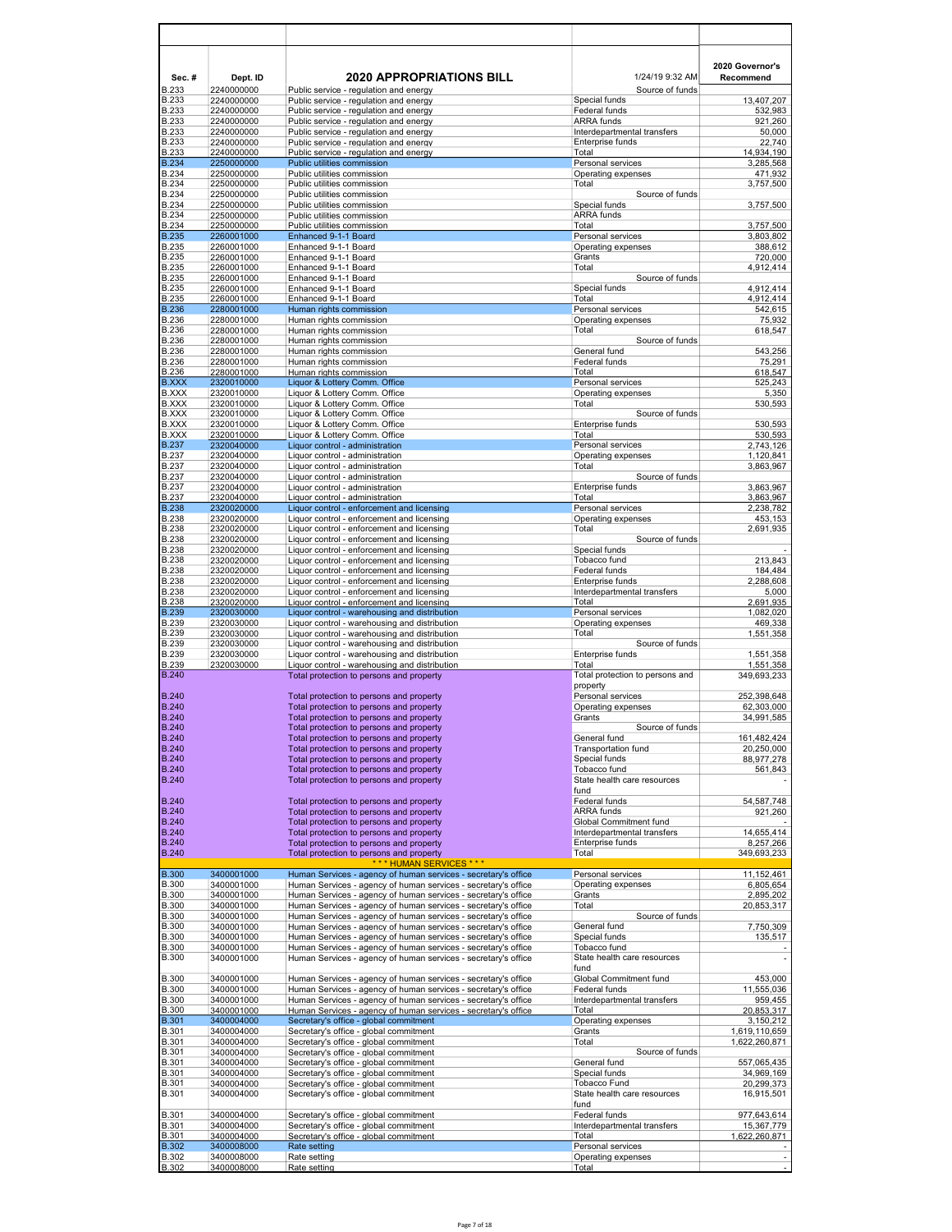| Sec.#                        | Dept. ID                 | <b>2020 APPROPRIATIONS BILL</b>                                                                                                  | 1/24/19 9:32 AM                                 | 2020 Governor's<br>Recommend   |
|------------------------------|--------------------------|----------------------------------------------------------------------------------------------------------------------------------|-------------------------------------------------|--------------------------------|
| <b>B.233</b>                 | 2240000000               | Public service - regulation and energy                                                                                           | Source of funds                                 |                                |
| <b>B.233</b><br><b>B.233</b> | 2240000000<br>2240000000 | Public service - regulation and energy<br>Public service - regulation and energy                                                 | Special funds<br>Federal funds                  | 13.407.207<br>532,983          |
| <b>B.233</b>                 | 2240000000               | Public service - regulation and energy                                                                                           | <b>ARRA</b> funds                               | 921,260                        |
| <b>B.233</b><br><b>B.233</b> | 2240000000<br>2240000000 | Public service - regulation and energy<br>Public service - regulation and energy                                                 | Interdepartmental transfers<br>Enterprise funds | 50.000<br>22,740               |
| <b>B.233</b>                 | 2240000000               | Public service - regulation and energy                                                                                           | Total                                           | 14,934,190                     |
| <b>B.234</b><br><b>B.234</b> | 2250000000<br>2250000000 | Public utilities commission<br>Public utilities commission                                                                       | Personal services<br>Operating expenses         | 3,285,568<br>471,932           |
| <b>B.234</b>                 | 2250000000               | Public utilities commission                                                                                                      | Total                                           | 3,757,500                      |
| <b>B.234</b><br><b>B.234</b> | 2250000000<br>2250000000 | Public utilities commission<br>Public utilities commission                                                                       | Source of funds<br>Special funds                | 3,757,500                      |
| <b>B.234</b>                 | 2250000000               | Public utilities commission                                                                                                      | <b>ARRA</b> funds                               |                                |
| <b>B.234</b><br><b>B.235</b> | 2250000000<br>2260001000 | Public utilities commission<br>Enhanced 9-1-1 Board                                                                              | Total<br>Personal services                      | 3,757,500<br>3,803,802         |
| <b>B.235</b>                 | 2260001000               | Enhanced 9-1-1 Board                                                                                                             | Operating expenses                              | 388,612                        |
| <b>B.235</b><br><b>B.235</b> | 2260001000<br>2260001000 | Enhanced 9-1-1 Board<br>Enhanced 9-1-1 Board                                                                                     | Grants<br>Total                                 | 720,000<br>4,912,414           |
| <b>B.235</b>                 | 2260001000               | Enhanced 9-1-1 Board                                                                                                             | Source of funds                                 |                                |
| <b>B.235</b><br><b>B.235</b> | 2260001000<br>2260001000 | Enhanced 9-1-1 Board<br>Enhanced 9-1-1 Board                                                                                     | Special funds<br>Total                          | 4,912,414<br>4,912,414         |
| <b>B.236</b>                 | 2280001000               | Human rights commission                                                                                                          | Personal services                               | 542,615                        |
| <b>B.236</b><br><b>B.236</b> | 2280001000<br>2280001000 | Human rights commission<br>Human rights commission                                                                               | Operating expenses<br>Total                     | 75,932<br>618,547              |
| <b>B.236</b>                 | 2280001000               | Human rights commission                                                                                                          | Source of funds                                 |                                |
| <b>B.236</b>                 | 2280001000               | Human rights commission                                                                                                          | General fund<br>Federal funds                   | 543,256<br>75.291              |
| <b>B.236</b><br><b>B.236</b> | 2280001000<br>2280001000 | Human rights commission<br>Human rights commission                                                                               | Total                                           | 618,547                        |
| <b>B.XXX</b><br><b>B.XXX</b> | 2320010000               | Liquor & Lottery Comm. Office<br>Liquor & Lottery Comm. Office                                                                   | Personal services<br>Operating expenses         | 525,243                        |
| <b>B.XXX</b>                 | 2320010000<br>2320010000 | Liquor & Lottery Comm. Office                                                                                                    | Total                                           | 5,350<br>530,593               |
| <b>B.XXX</b>                 | 2320010000               | Liquor & Lottery Comm. Office                                                                                                    | Source of funds                                 |                                |
| <b>B.XXX</b><br><b>B.XXX</b> | 2320010000<br>2320010000 | Liquor & Lottery Comm. Office<br>Liquor & Lottery Comm. Office                                                                   | Enterprise funds<br>Total                       | 530,593<br>530,593             |
| <b>B.237</b>                 | 2320040000               | Liquor control - administration                                                                                                  | Personal services                               | 2,743,126                      |
| <b>B.237</b><br><b>B.237</b> | 2320040000<br>2320040000 | Liquor control - administration<br>Liquor control - administration                                                               | Operating expenses<br>Total                     | 1,120,841<br>3,863,967         |
| <b>B.237</b>                 | 2320040000               | Liquor control - administration                                                                                                  | Source of funds                                 |                                |
| <b>B.237</b><br><b>B.237</b> | 2320040000<br>2320040000 | Liquor control - administration<br>Liquor control - administration                                                               | Enterprise funds<br>Total                       | 3,863,967<br>3,863,967         |
| <b>B.238</b>                 | 2320020000               | Liquor control - enforcement and licensing                                                                                       | Personal services                               | 2,238,782                      |
| <b>B.238</b><br><b>B.238</b> | 2320020000<br>2320020000 | Liquor control - enforcement and licensing<br>Liquor control - enforcement and licensing                                         | Operating expenses<br>Total                     | 453,153<br>2,691,935           |
| <b>B.238</b>                 | 2320020000               | Liquor control - enforcement and licensing                                                                                       | Source of funds                                 |                                |
| <b>B.238</b><br><b>B.238</b> | 2320020000<br>2320020000 | Liquor control - enforcement and licensing<br>Liquor control - enforcement and licensing                                         | Special funds<br>Tobacco fund                   | 213,843                        |
| <b>B.238</b>                 | 2320020000               | Liquor control - enforcement and licensing                                                                                       | Federal funds                                   | 184,484                        |
| <b>B.238</b><br><b>B.238</b> | 2320020000<br>2320020000 | Liquor control - enforcement and licensing<br>Liquor control - enforcement and licensing                                         | Enterprise funds<br>Interdepartmental transfers | 2,288,608<br>5,000             |
| <b>B.238</b>                 | 2320020000               | Liquor control - enforcement and licensing                                                                                       | Total                                           | 2,691,935                      |
| <b>B.239</b><br><b>B.239</b> | 2320030000<br>2320030000 | Liquor control - warehousing and distribution<br>Liquor control - warehousing and distribution                                   | Personal services<br>Operating expenses         | 1,082,020<br>469,338           |
| <b>B.239</b>                 | 2320030000               | Liquor control - warehousing and distribution                                                                                    | Total                                           | 1,551,358                      |
| <b>B.239</b><br><b>B.239</b> | 2320030000<br>2320030000 | Liquor control - warehousing and distribution<br>Liquor control - warehousing and distribution                                   | Source of funds<br>Enterprise funds             | 1,551,358                      |
| <b>B.239</b>                 | 2320030000               | Liquor control - warehousing and distribution                                                                                    | Total                                           | 1,551,358                      |
| <b>B.240</b>                 |                          | Total protection to persons and property                                                                                         | Total protection to persons and<br>property     | 349,693,233                    |
| <b>B.240</b>                 |                          | Total protection to persons and property                                                                                         | Personal services                               | 252,398,648                    |
| <b>B.240</b><br><b>B.240</b> |                          | Total protection to persons and property<br>Total protection to persons and property                                             | Operating expenses<br>Grants                    | 62,303,000<br>34,991,585       |
| <b>B.240</b>                 |                          | Total protection to persons and property                                                                                         | Source of funds                                 |                                |
| <b>B.240</b><br><b>B.240</b> |                          | Total protection to persons and property<br>Total protection to persons and property                                             | General fund<br>Transportation fund             | 161,482,424<br>20,250,000      |
| <b>B.240</b>                 |                          | Total protection to persons and property                                                                                         | Special funds                                   | 88,977,278                     |
| <b>B.240</b><br><b>B.240</b> |                          | Total protection to persons and property<br>Total protection to persons and property                                             | Tobacco fund<br>State health care resources     | 561,843                        |
|                              |                          |                                                                                                                                  | fund                                            |                                |
| <b>B.240</b><br><b>B.240</b> |                          | Total protection to persons and property                                                                                         | Federal funds<br><b>ARRA</b> funds              | 54,587,748<br>921,260          |
| <b>B.240</b>                 |                          | Total protection to persons and property<br>Total protection to persons and property                                             | Global Commitment fund                          |                                |
| <b>B.240</b><br><b>B.240</b> |                          | Total protection to persons and property<br>Total protection to persons and property                                             | Interdepartmental transfers<br>Enterprise funds | 14,655,414<br>8,257,266        |
| <b>B.240</b>                 |                          | Total protection to persons and property                                                                                         | Total                                           | 349,693,233                    |
| <b>B.300</b>                 | 3400001000               | *** HUMAN SERVICES ***<br>Human Services - agency of human services - secretary's office                                         | Personal services                               | 11, 152, 461                   |
| <b>B.300</b>                 | 3400001000               | Human Services - agency of human services - secretary's office                                                                   | Operating expenses                              | 6.805.654                      |
| <b>B.300</b><br><b>B.300</b> | 3400001000<br>3400001000 | Human Services - agency of human services - secretary's office<br>Human Services - agency of human services - secretary's office | Grants<br>Total                                 | 2,895,202<br>20,853,317        |
| <b>B.300</b>                 | 3400001000               | Human Services - agency of human services - secretary's office                                                                   | Source of funds                                 |                                |
| <b>B.300</b>                 | 3400001000               | Human Services - agency of human services - secretary's office                                                                   | General fund<br>Special funds                   | 7,750,309                      |
| <b>B.300</b><br><b>B.300</b> | 3400001000<br>3400001000 | Human Services - agency of human services - secretary's office<br>Human Services - agency of human services - secretary's office | Tobacco fund                                    | 135,517                        |
| <b>B.300</b>                 | 3400001000               | Human Services - agency of human services - secretary's office                                                                   | State health care resources                     |                                |
| <b>B.300</b>                 | 3400001000               | Human Services - agency of human services - secretary's office                                                                   | fund<br>Global Commitment fund                  | 453,000                        |
| <b>B.300</b>                 | 3400001000               | Human Services - agency of human services - secretary's office                                                                   | Federal funds                                   | 11,555,036                     |
| <b>B.300</b><br><b>B.300</b> | 3400001000<br>3400001000 | Human Services - agency of human services - secretary's office<br>Human Services - agency of human services - secretary's office | Interdepartmental transfers<br>Total            | 959,455<br>20,853,317          |
| <b>B.301</b>                 | 3400004000               | Secretary's office - global commitment                                                                                           | Operating expenses                              | 3,150,212                      |
| <b>B.301</b><br><b>B.301</b> | 3400004000<br>3400004000 | Secretary's office - global commitment<br>Secretary's office - global commitment                                                 | Grants<br>Total                                 | 1,619,110,659<br>1,622,260,871 |
| <b>B.301</b>                 | 3400004000               | Secretary's office - global commitment                                                                                           | Source of funds                                 |                                |
| <b>B.301</b><br><b>B.301</b> | 3400004000<br>3400004000 | Secretary's office - global commitment<br>Secretary's office - global commitment                                                 | General fund<br>Special funds                   | 557,065,435<br>34,969,169      |
| <b>B.301</b>                 | 3400004000               | Secretary's office - global commitment                                                                                           | Tobacco Fund                                    | 20,299,373                     |
| <b>B.301</b>                 | 3400004000               | Secretary's office - global commitment                                                                                           | State health care resources<br>fund             | 16,915,501                     |
| <b>B.301</b>                 | 3400004000               | Secretary's office - global commitment                                                                                           | Federal funds                                   | 977,643,614                    |
| <b>B.301</b><br><b>B.301</b> | 3400004000<br>3400004000 | Secretary's office - global commitment<br>Secretary's office - global commitment                                                 | Interdepartmental transfers<br>Total            | 15,367,779<br>1,622,260,871    |
| <b>B.302</b>                 | 3400008000               | Rate setting                                                                                                                     | Personal services                               |                                |
| <b>B.302</b><br><b>B.302</b> | 3400008000<br>3400008000 | Rate setting<br>Rate setting                                                                                                     | Operating expenses<br>Total                     | $\overline{\phantom{a}}$       |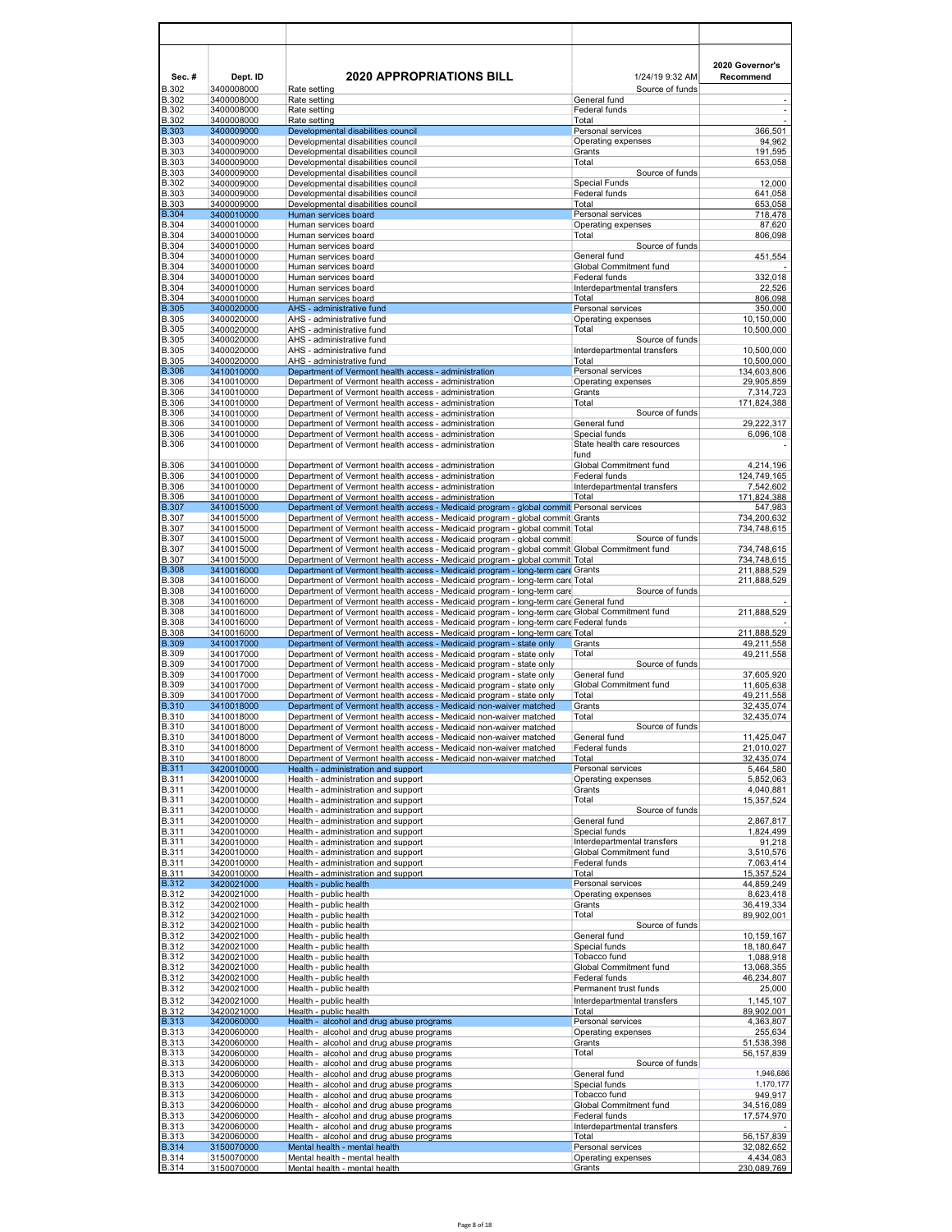| Sec.#<br><b>B.302</b>        | Dept. ID<br>3400008000   | <b>2020 APPROPRIATIONS BILL</b><br>Rate setting                                                                                                                        | 1/24/19 9:32 AM<br>Source of funds           | 2020 Governor's<br>Recommend |
|------------------------------|--------------------------|------------------------------------------------------------------------------------------------------------------------------------------------------------------------|----------------------------------------------|------------------------------|
| <b>B.302</b>                 | 3400008000               | Rate setting                                                                                                                                                           | General fund                                 |                              |
| <b>B.302</b><br><b>B.302</b> | 3400008000<br>3400008000 | Rate setting<br>Rate setting                                                                                                                                           | Federal funds<br>Total                       | $\overline{a}$               |
| <b>B.303</b>                 | 3400009000               | Developmental disabilities council                                                                                                                                     | Personal services                            | 366,501                      |
| <b>B.303</b><br><b>B.303</b> | 3400009000<br>3400009000 | Developmental disabilities council<br>Developmental disabilities council                                                                                               | Operating expenses<br>Grants                 | 94,962<br>191,595            |
| <b>B.303</b>                 | 3400009000               | Developmental disabilities council                                                                                                                                     | Total                                        | 653,058                      |
| <b>B.303</b>                 | 3400009000               | Developmental disabilities council                                                                                                                                     | Source of funds                              |                              |
| <b>B.302</b><br><b>B.303</b> | 3400009000<br>3400009000 | Developmental disabilities council<br>Developmental disabilities council                                                                                               | <b>Special Funds</b><br>Federal funds        | 12,000<br>641,058            |
| <b>B.303</b>                 | 3400009000               | Developmental disabilities council                                                                                                                                     | Total                                        | 653.058                      |
| <b>B.304</b><br><b>B.304</b> | 3400010000<br>3400010000 | Human services board<br>Human services board                                                                                                                           | Personal services<br>Operating expenses      | 718,478<br>87,620            |
| <b>B.304</b>                 | 3400010000               | Human services board                                                                                                                                                   | Total                                        | 806,098                      |
| <b>B.304</b><br><b>B.304</b> | 3400010000<br>3400010000 | Human services board<br>Human services board                                                                                                                           | Source of funds<br>General fund              | 451,554                      |
| <b>B.304</b>                 | 3400010000               | Human services board                                                                                                                                                   | Global Commitment fund                       |                              |
| <b>B.304</b><br><b>B.304</b> | 3400010000<br>3400010000 | Human services board<br>Human services board                                                                                                                           | Federal funds<br>Interdepartmental transfers | 332,018<br>22,526            |
| <b>B.304</b>                 | 3400010000               | Human services board                                                                                                                                                   | Total                                        | 806,098                      |
| <b>B.305</b><br><b>B.305</b> | 3400020000               | AHS - administrative fund                                                                                                                                              | Personal services                            | 350,000                      |
| <b>B.305</b>                 | 3400020000<br>3400020000 | AHS - administrative fund<br>AHS - administrative fund                                                                                                                 | Operating expenses<br>Total                  | 10,150,000<br>10,500,000     |
| <b>B.305</b>                 | 3400020000               | AHS - administrative fund                                                                                                                                              | Source of funds                              |                              |
| <b>B.305</b><br><b>B.305</b> | 3400020000<br>3400020000 | AHS - administrative fund<br>AHS - administrative fund                                                                                                                 | Interdepartmental transfers<br>Total         | 10,500,000<br>10,500,000     |
| <b>B.306</b>                 | 3410010000               | Department of Vermont health access - administration                                                                                                                   | Personal services                            | 134,603,806                  |
| <b>B.306</b><br><b>B.306</b> | 3410010000<br>3410010000 | Department of Vermont health access - administration<br>Department of Vermont health access - administration                                                           | Operating expenses<br>Grants                 | 29,905,859<br>7,314,723      |
| <b>B.306</b>                 | 3410010000               | Department of Vermont health access - administration                                                                                                                   | Total                                        | 171,824,388                  |
| <b>B.306</b>                 | 3410010000               | Department of Vermont health access - administration                                                                                                                   | Source of funds                              |                              |
| <b>B.306</b><br>B.306        | 3410010000<br>3410010000 | Department of Vermont health access - administration<br>Department of Vermont health access - administration                                                           | General fund<br>Special funds                | 29,222,317<br>6,096,108      |
| <b>B.306</b>                 | 3410010000               | Department of Vermont health access - administration                                                                                                                   | State health care resources                  |                              |
| B.306                        | 3410010000               | Department of Vermont health access - administration                                                                                                                   | fund<br>Global Commitment fund               | 4,214,196                    |
| <b>B.306</b>                 | 3410010000               | Department of Vermont health access - administration                                                                                                                   | Federal funds                                | 124,749,165                  |
| <b>B.306</b><br><b>B.306</b> | 3410010000<br>3410010000 | Department of Vermont health access - administration<br>Department of Vermont health access - administration                                                           | Interdepartmental transfers<br>Total         | 7,542,602<br>171,824,388     |
| <b>B.307</b>                 | 3410015000               | Department of Vermont health access - Medicaid program - global commit Personal services                                                                               |                                              | 547,983                      |
| <b>B.307</b>                 | 3410015000               | Department of Vermont health access - Medicaid program - global commit Grants                                                                                          |                                              | 734,200,632                  |
| <b>B.307</b><br><b>B.307</b> | 3410015000<br>3410015000 | Department of Vermont health access - Medicaid program - global commit Total<br>Department of Vermont health access - Medicaid program - global commit                 | Source of funds                              | 734,748,615                  |
| <b>B.307</b>                 | 3410015000               | Department of Vermont health access - Medicaid program - global commit Global Commitment fund                                                                          |                                              | 734,748,615                  |
| <b>B.307</b><br><b>B.308</b> | 3410015000<br>3410016000 | Department of Vermont health access - Medicaid program - global commit Total<br>Department of Vermont health access - Medicaid program - long-term care Grants         |                                              | 734,748,615<br>211,888,529   |
| <b>B.308</b>                 | 3410016000               | Department of Vermont health access - Medicaid program - long-term care Total                                                                                          |                                              | 211,888,529                  |
| <b>B.308</b><br><b>B.308</b> | 3410016000<br>3410016000 | Department of Vermont health access - Medicaid program - long-term care<br>Department of Vermont health access - Medicaid program - long-term care General fund        | Source of funds                              |                              |
| <b>B.308</b>                 | 3410016000               | Department of Vermont health access - Medicaid program - long-term care Global Commitment fund                                                                         |                                              | 211,888,529                  |
| <b>B.308</b><br><b>B.308</b> | 3410016000<br>3410016000 | Department of Vermont health access - Medicaid program - long-term care Federal funds<br>Department of Vermont health access - Medicaid program - long-term care Total |                                              | 211,888,529                  |
| <b>B.309</b>                 | 3410017000               | Department of Vermont health access - Medicaid program - state only                                                                                                    | Grants                                       | 49,211,558                   |
| <b>B.309</b><br><b>B.309</b> | 3410017000<br>3410017000 | Department of Vermont health access - Medicaid program - state only                                                                                                    | Total<br>Source of funds                     | 49,211,558                   |
| <b>B.309</b>                 | 3410017000               | Department of Vermont health access - Medicaid program - state only<br>Department of Vermont health access - Medicaid program - state only                             | General fund                                 | 37,605,920                   |
| <b>B.309</b>                 | 3410017000               | Department of Vermont health access - Medicaid program - state only                                                                                                    | Global Commitment fund                       | 11,605,638                   |
| <b>B.309</b><br><b>B.310</b> | 3410017000<br>3410018000 | Department of Vermont health access - Medicaid program - state only<br>Department of Vermont health access - Medicaid non-waiver matched                               | Total<br>Grants                              | 49,211,558<br>32,435,074     |
| <b>B.310</b>                 | 3410018000               | Department of Vermont health access - Medicaid non-waiver matched                                                                                                      | Total                                        | 32,435,074                   |
| <b>B.310</b><br><b>B.310</b> | 3410018000<br>3410018000 | Department of Vermont health access - Medicaid non-waiver matched<br>Department of Vermont health access - Medicaid non-waiver matched                                 | Source of funds<br>General fund              | 11,425,047                   |
| <b>B.310</b>                 | 3410018000               | Department of Vermont health access - Medicaid non-waiver matched                                                                                                      | Federal funds                                | 21,010,027                   |
| <b>B.310</b><br><b>B.311</b> | 3410018000<br>3420010000 | Department of Vermont health access - Medicaid non-waiver matched<br>Health - administration and support                                                               | Total<br>Personal services                   | 32,435,074<br>5,464,580      |
| <b>B.311</b>                 | 3420010000               | Health - administration and support                                                                                                                                    | Operating expenses                           | 5,852,063                    |
| <b>B.311</b><br><b>B.311</b> | 3420010000<br>3420010000 | Health - administration and support<br>Health - administration and support                                                                                             | Grants<br>Total                              | 4,040,881<br>15,357,524      |
| <b>B.311</b>                 | 3420010000               | Health - administration and support                                                                                                                                    | Source of funds                              |                              |
| <b>B.311</b>                 | 3420010000               | Health - administration and support                                                                                                                                    | General fund<br>Special funds                | 2,867,817<br>1,824,499       |
| <b>B.311</b><br><b>B.311</b> | 3420010000<br>3420010000 | Health - administration and support<br>Health - administration and support                                                                                             | Interdepartmental transfers                  | 91,218                       |
| <b>B.311</b>                 | 3420010000               | Health - administration and support                                                                                                                                    | Global Commitment fund                       | 3,510,576                    |
| <b>B.311</b><br><b>B.311</b> | 3420010000<br>3420010000 | Health - administration and support<br>Health - administration and support                                                                                             | Federal funds<br>Total                       | 7,063,414<br>15,357,524      |
| <b>B.312</b>                 | 3420021000               | Health - public health                                                                                                                                                 | Personal services                            | 44,859,249                   |
| <b>B.312</b><br><b>B.312</b> | 3420021000<br>3420021000 | Health - public health<br>Health - public health                                                                                                                       | Operating expenses<br>Grants                 | 8,623,418<br>36,419,334      |
| <b>B.312</b>                 | 3420021000               | Health - public health                                                                                                                                                 | Total                                        | 89,902,001                   |
| <b>B.312</b><br><b>B.312</b> | 3420021000<br>3420021000 | Health - public health<br>Health - public health                                                                                                                       | Source of funds<br>General fund              | 10,159,167                   |
| <b>B.312</b>                 | 3420021000               | Health - public health                                                                                                                                                 | Special funds                                | 18,180,647                   |
| <b>B.312</b>                 | 3420021000               | Health - public health                                                                                                                                                 | Tobacco fund                                 | 1,088,918                    |
| <b>B.312</b><br><b>B.312</b> | 3420021000<br>3420021000 | Health - public health<br>Health - public health                                                                                                                       | Global Commitment fund<br>Federal funds      | 13,068,355<br>46,234,807     |
| <b>B.312</b>                 | 3420021000               | Health - public health                                                                                                                                                 | Permanent trust funds                        | 25,000                       |
| <b>B.312</b><br><b>B.312</b> | 3420021000<br>3420021000 | Health - public health<br>Health - public health                                                                                                                       | Interdepartmental transfers<br>Total         | 1,145,107<br>89,902,001      |
| <b>B.313</b>                 | 3420060000               | Health - alcohol and drug abuse programs                                                                                                                               | Personal services                            | 4,363,807                    |
| <b>B.313</b>                 | 3420060000               | Health - alcohol and drug abuse programs                                                                                                                               | Operating expenses                           | 255,634                      |
| <b>B.313</b><br><b>B.313</b> | 3420060000<br>3420060000 | Health - alcohol and drug abuse programs<br>Health - alcohol and drug abuse programs                                                                                   | Grants<br>Total                              | 51,538,398<br>56,157,839     |
| <b>B.313</b>                 | 3420060000               | Health - alcohol and drug abuse programs                                                                                                                               | Source of funds                              |                              |
| <b>B.313</b><br><b>B.313</b> | 3420060000<br>3420060000 | Health - alcohol and drug abuse programs<br>Health - alcohol and drug abuse programs                                                                                   | General fund<br>Special funds                | 1,946,686<br>1,170,177       |
| <b>B.313</b>                 | 3420060000               | Health - alcohol and drug abuse programs                                                                                                                               | Tobacco fund                                 | 949,917                      |
| <b>B.313</b><br><b>B.313</b> | 3420060000<br>3420060000 | Health - alcohol and drug abuse programs<br>Health - alcohol and drug abuse programs                                                                                   | Global Commitment fund<br>Federal funds      | 34,516,089<br>17,574,970     |
| <b>B.313</b>                 | 3420060000               | Health - alcohol and drug abuse programs                                                                                                                               | Interdepartmental transfers                  |                              |
| <b>B.313</b>                 | 3420060000               | Health - alcohol and drug abuse programs                                                                                                                               | Total                                        | 56,157,839                   |
| <b>B.314</b><br><b>B.314</b> | 3150070000<br>3150070000 | Mental health - mental health<br>Mental health - mental health                                                                                                         | Personal services<br>Operating expenses      | 32,082,652<br>4,434,083      |
| <b>B.314</b>                 | 3150070000               | Mental health - mental health                                                                                                                                          | Grants                                       | 230,089,769                  |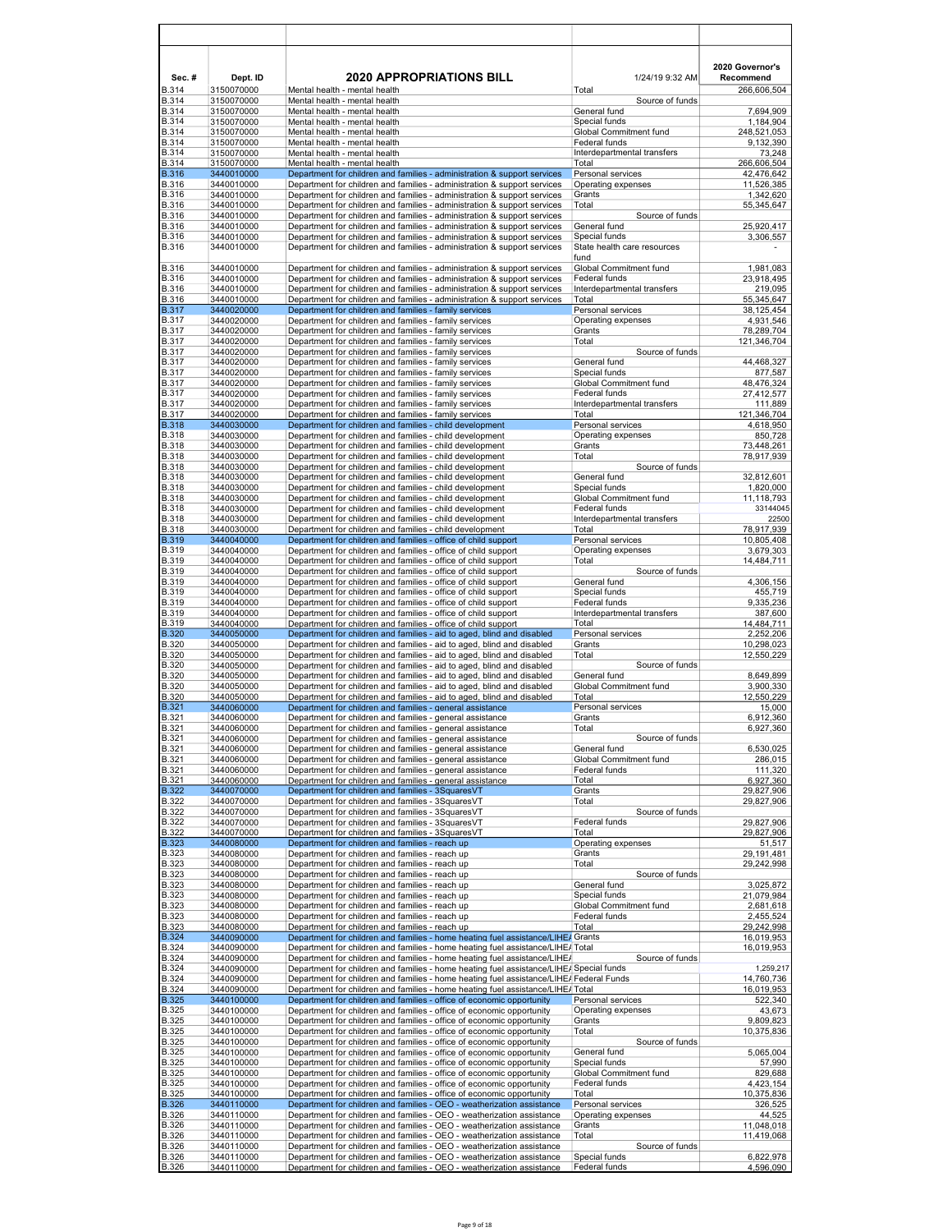| Sec.#                        | Dept. ID                 | <b>2020 APPROPRIATIONS BILL</b>                                                                                                                                                    | 1/24/19 9:32 AM                              | 2020 Governor's<br>Recommend |
|------------------------------|--------------------------|------------------------------------------------------------------------------------------------------------------------------------------------------------------------------------|----------------------------------------------|------------------------------|
| <b>B.314</b>                 | 3150070000               | Mental health - mental health                                                                                                                                                      | Total                                        | 266,606,504                  |
| <b>B.314</b><br><b>B.314</b> | 3150070000<br>3150070000 | Mental health - mental health<br>Mental health - mental health                                                                                                                     | Source of funds<br>General fund              | 7,694,909                    |
| <b>B.314</b>                 | 3150070000               | Mental health - mental health                                                                                                                                                      | Special funds                                | 1,184,904                    |
| <b>B.314</b><br><b>B.314</b> | 3150070000<br>3150070000 | Mental health - mental health<br>Mental health - mental health                                                                                                                     | Global Commitment fund<br>Federal funds      | 248,521,053                  |
| <b>B.314</b>                 | 3150070000               | Mental health - mental health                                                                                                                                                      | Interdepartmental transfers                  | 9,132,390<br>73,248          |
| <b>B.314</b>                 | 3150070000               | Mental health - mental health                                                                                                                                                      | Total                                        | 266,606,504                  |
| <b>B.316</b>                 | 3440010000               | Department for children and families - administration & support services                                                                                                           | Personal services                            | 42,476,642                   |
| <b>B.316</b><br><b>B.316</b> | 3440010000<br>3440010000 | Department for children and families - administration & support services<br>Department for children and families - administration & support services                               | Operating expenses<br>Grants                 | 11,526,385<br>1,342,620      |
| <b>B.316</b>                 | 3440010000               | Department for children and families - administration & support services                                                                                                           | Total                                        | 55,345,647                   |
| <b>B.316</b>                 | 3440010000               | Department for children and families - administration & support services                                                                                                           | Source of funds                              |                              |
| <b>B.316</b><br><b>B.316</b> | 3440010000<br>3440010000 | Department for children and families - administration & support services<br>Department for children and families - administration & support services                               | General fund<br>Special funds                | 25,920,417<br>3,306,557      |
| <b>B.316</b>                 | 3440010000               | Department for children and families - administration & support services                                                                                                           | State health care resources<br>fund          |                              |
| <b>B.316</b>                 | 3440010000               | Department for children and families - administration & support services                                                                                                           | Global Commitment fund                       | 1,981,083                    |
| <b>B.316</b><br><b>B.316</b> | 3440010000<br>3440010000 | Department for children and families - administration & support services<br>Department for children and families - administration & support services                               | Federal funds<br>Interdepartmental transfers | 23,918,495<br>219,095        |
| <b>B.316</b>                 | 3440010000               | Department for children and families - administration & support services                                                                                                           | Total                                        | 55,345,647                   |
| <b>B.317</b>                 | 3440020000               | Department for children and families - family services                                                                                                                             | Personal services                            | 38,125,454                   |
| <b>B.317</b>                 | 3440020000               | Department for children and families - family services                                                                                                                             | Operating expenses                           | 4,931,546                    |
| <b>B.317</b><br><b>B.317</b> | 3440020000<br>3440020000 | Department for children and families - family services<br>Department for children and families - family services                                                                   | Grants<br>Total                              | 78,289,704                   |
| <b>B.317</b>                 | 3440020000               | Department for children and families - family services                                                                                                                             | Source of funds                              | 121,346,704                  |
| <b>B.317</b>                 | 3440020000               | Department for children and families - family services                                                                                                                             | General fund                                 | 44,468,327                   |
| <b>B.317</b>                 | 3440020000               | Department for children and families - family services                                                                                                                             | Special funds                                | 877,587                      |
| <b>B.317</b><br><b>B.317</b> | 3440020000<br>3440020000 | Department for children and families - family services<br>Department for children and families - family services                                                                   | Global Commitment fund<br>Federal funds      | 48,476,324<br>27,412,577     |
| <b>B.317</b>                 | 3440020000               | Department for children and families - family services                                                                                                                             | Interdepartmental transfers                  | 111,889                      |
| <b>B.317</b>                 | 3440020000               | Department for children and families - family services                                                                                                                             | Total                                        | 121,346,704                  |
| <b>B.318</b>                 | 3440030000               | Department for children and families - child development                                                                                                                           | Personal services                            | 4,618,950                    |
| <b>B.318</b><br><b>B.318</b> | 3440030000<br>3440030000 | Department for children and families - child development<br>Department for children and families - child development                                                               | Operating expenses<br>Grants                 | 850,728<br>73,448,261        |
| <b>B.318</b>                 | 3440030000               | Department for children and families - child development                                                                                                                           | Total                                        | 78,917,939                   |
| <b>B.318</b>                 | 3440030000               | Department for children and families - child development                                                                                                                           | Source of funds                              |                              |
| <b>B.318</b>                 | 3440030000               | Department for children and families - child development                                                                                                                           | General fund                                 | 32,812,601                   |
| <b>B.318</b><br><b>B.318</b> | 3440030000<br>3440030000 | Department for children and families - child development<br>Department for children and families - child development                                                               | Special funds<br>Global Commitment fund      | 1,820,000<br>11,118,793      |
| <b>B.318</b>                 | 3440030000               | Department for children and families - child development                                                                                                                           | Federal funds                                | 33144045                     |
| <b>B.318</b>                 | 3440030000               | Department for children and families - child development                                                                                                                           | Interdepartmental transfers                  | 22500                        |
| <b>B.318</b><br><b>B.319</b> | 3440030000<br>3440040000 | Department for children and families - child development                                                                                                                           | Total<br>Personal services                   | 78,917,939                   |
| <b>B.319</b>                 | 3440040000               | Department for children and families - office of child support<br>Department for children and families - office of child support                                                   | Operating expenses                           | 10,805,408<br>3,679,303      |
| <b>B.319</b>                 | 3440040000               | Department for children and families - office of child support                                                                                                                     | Total                                        | 14,484,711                   |
| <b>B.319</b>                 | 3440040000               | Department for children and families - office of child support                                                                                                                     | Source of funds                              |                              |
| <b>B.319</b><br><b>B.319</b> | 3440040000<br>3440040000 | Department for children and families - office of child support<br>Department for children and families - office of child support                                                   | General fund<br>Special funds                | 4,306,156<br>455,719         |
| <b>B.319</b>                 | 3440040000               | Department for children and families - office of child support                                                                                                                     | Federal funds                                | 9,335,236                    |
| <b>B.319</b>                 | 3440040000               | Department for children and families - office of child support                                                                                                                     | Interdepartmental transfers                  | 387,600                      |
| <b>B.319</b>                 | 3440040000               | Department for children and families - office of child support                                                                                                                     | Total                                        | 14,484,711                   |
| <b>B.320</b><br><b>B.320</b> | 3440050000<br>3440050000 | Department for children and families - aid to aged, blind and disabled<br>Department for children and families - aid to aged, blind and disabled                                   | Personal services<br>Grants                  | 2,252,206<br>10,298,023      |
| <b>B.320</b>                 | 3440050000               | Department for children and families - aid to aged, blind and disabled                                                                                                             | Total                                        | 12,550,229                   |
| <b>B.320</b>                 | 3440050000               | Department for children and families - aid to aged, blind and disabled                                                                                                             | Source of funds                              |                              |
| <b>B.320</b>                 | 3440050000               | Department for children and families - aid to aged, blind and disabled                                                                                                             | General fund<br>Global Commitment fund       | 8,649,899                    |
| <b>B.320</b><br><b>B.320</b> | 3440050000<br>3440050000 | Department for children and families - aid to aged, blind and disabled<br>Department for children and families - aid to aged, blind and disabled                                   | Total                                        | 3,900,330<br>12,550,229      |
| <b>B.321</b>                 | 3440060000               | Department for children and families - general assistance                                                                                                                          | Personal services                            | 15,000                       |
| <b>B.321</b>                 | 3440060000               | Department for children and families - general assistance                                                                                                                          | Grants                                       | 6,912,360                    |
| <b>B.321</b><br><b>B.321</b> | 3440060000<br>3440060000 | Department for children and families - general assistance<br>Department for children and families - general assistance                                                             | Total<br>Source of funds                     | 6,927,360                    |
| <b>B.321</b>                 | 3440060000               | Department for children and families - general assistance                                                                                                                          | General fund                                 | 6,530,025                    |
| <b>B.321</b>                 | 3440060000               | Department for children and families - general assistance                                                                                                                          | Global Commitment fund                       | 286,015                      |
| <b>B.321</b><br><b>B.321</b> | 3440060000<br>3440060000 | Department for children and families - general assistance<br>Department for children and families - general assistance                                                             | Federal funds<br>Total                       | 111,320                      |
| <b>B.322</b>                 | 3440070000               | Department for children and families - 3SquaresVT                                                                                                                                  | Grants                                       | 6,927,360<br>29,827,906      |
| <b>B.322</b>                 | 3440070000               | Department for children and families - 3SquaresVT                                                                                                                                  | Total                                        | 29,827,906                   |
| <b>B.322</b>                 | 3440070000               | Department for children and families - 3SquaresVT                                                                                                                                  | Source of funds                              |                              |
| <b>B.322</b><br><b>B.322</b> | 3440070000<br>3440070000 | Department for children and families - 3SquaresVT<br>Department for children and families - 3SquaresVT                                                                             | Federal funds<br>Total                       | 29,827,906<br>29,827,906     |
| <b>B.323</b>                 | 3440080000               | Department for children and families - reach up                                                                                                                                    | Operating expenses                           | 51,517                       |
| <b>B.323</b>                 | 3440080000               | Department for children and families - reach up                                                                                                                                    | Grants                                       | 29,191,481                   |
| <b>B.323</b><br><b>B.323</b> | 3440080000<br>3440080000 | Department for children and families - reach up<br>Department for children and families - reach up                                                                                 | Total<br>Source of funds                     | 29,242,998                   |
| <b>B.323</b>                 | 3440080000               | Department for children and families - reach up                                                                                                                                    | General fund                                 | 3,025,872                    |
| <b>B.323</b>                 | 3440080000               | Department for children and families - reach up                                                                                                                                    | Special funds                                | 21,079,984                   |
| <b>B.323</b>                 | 3440080000               | Department for children and families - reach up                                                                                                                                    | Global Commitment fund                       | 2,681,618                    |
| <b>B.323</b><br><b>B.323</b> | 3440080000<br>3440080000 | Department for children and families - reach up<br>Department for children and families - reach up                                                                                 | Federal funds<br>Total                       | 2,455,524<br>29,242,998      |
| <b>B.324</b>                 | 3440090000               | Department for children and families - home heating fuel assistance/LIHE/ Grants                                                                                                   |                                              | 16,019,953                   |
| <b>B.324</b>                 | 3440090000               | Department for children and families - home heating fuel assistance/LIHE/ Total                                                                                                    |                                              | 16,019,953                   |
| <b>B.324</b>                 | 3440090000               | Department for children and families - home heating fuel assistance/LIHE/                                                                                                          | Source of funds                              |                              |
| <b>B.324</b><br><b>B.324</b> | 3440090000<br>3440090000 | Department for children and families - home heating fuel assistance/LIHE/ Special funds<br>Department for children and families - home heating fuel assistance/LIHE/ Federal Funds |                                              | 1,259,217<br>14,760,736      |
| <b>B.324</b>                 | 3440090000               | Department for children and families - home heating fuel assistance/LIHE/Total                                                                                                     |                                              | 16,019,953                   |
| <b>B.325</b>                 | 3440100000               | Department for children and families - office of economic opportunity                                                                                                              | Personal services                            | 522,340                      |
| <b>B.325</b><br><b>B.325</b> | 3440100000<br>3440100000 | Department for children and families - office of economic opportunity<br>Department for children and families - office of economic opportunity                                     | Operating expenses<br>Grants                 | 43,673                       |
| <b>B.325</b>                 | 3440100000               | Department for children and families - office of economic opportunity                                                                                                              | Total                                        | 9,809,823<br>10,375,836      |
| <b>B.325</b>                 | 3440100000               | Department for children and families - office of economic opportunity                                                                                                              | Source of funds                              |                              |
| <b>B.325</b>                 | 3440100000               | Department for children and families - office of economic opportunity                                                                                                              | General fund                                 | 5,065,004                    |
| <b>B.325</b><br><b>B.325</b> | 3440100000<br>3440100000 | Department for children and families - office of economic opportunity<br>Department for children and families - office of economic opportunity                                     | Special funds<br>Global Commitment fund      | 57,990<br>829,688            |
| <b>B.325</b>                 | 3440100000               | Department for children and families - office of economic opportunity                                                                                                              | Federal funds                                | 4,423,154                    |
| <b>B.325</b>                 | 3440100000               | Department for children and families - office of economic opportunity                                                                                                              | Total                                        | 10,375,836                   |
| <b>B.326</b><br><b>B.326</b> | 3440110000               | Department for children and families - OEO - weatherization assistance                                                                                                             | Personal services                            | 326,525                      |
| <b>B.326</b>                 | 3440110000<br>3440110000 | Department for children and families - OEO - weatherization assistance<br>Department for children and families - OEO - weatherization assistance                                   | Operating expenses<br>Grants                 | 44,525<br>11,048,018         |
| <b>B.326</b>                 | 3440110000               | Department for children and families - OEO - weatherization assistance                                                                                                             | Total                                        | 11,419,068                   |
| <b>B.326</b>                 | 3440110000               | Department for children and families - OEO - weatherization assistance                                                                                                             | Source of funds                              |                              |
| <b>B.326</b><br><b>B.326</b> | 3440110000<br>3440110000 | Department for children and families - OEO - weatherization assistance<br>Department for children and families - OEO - weatherization assistance                                   | Special funds<br>Federal funds               | 6,822,978<br>4,596,090       |
|                              |                          |                                                                                                                                                                                    |                                              |                              |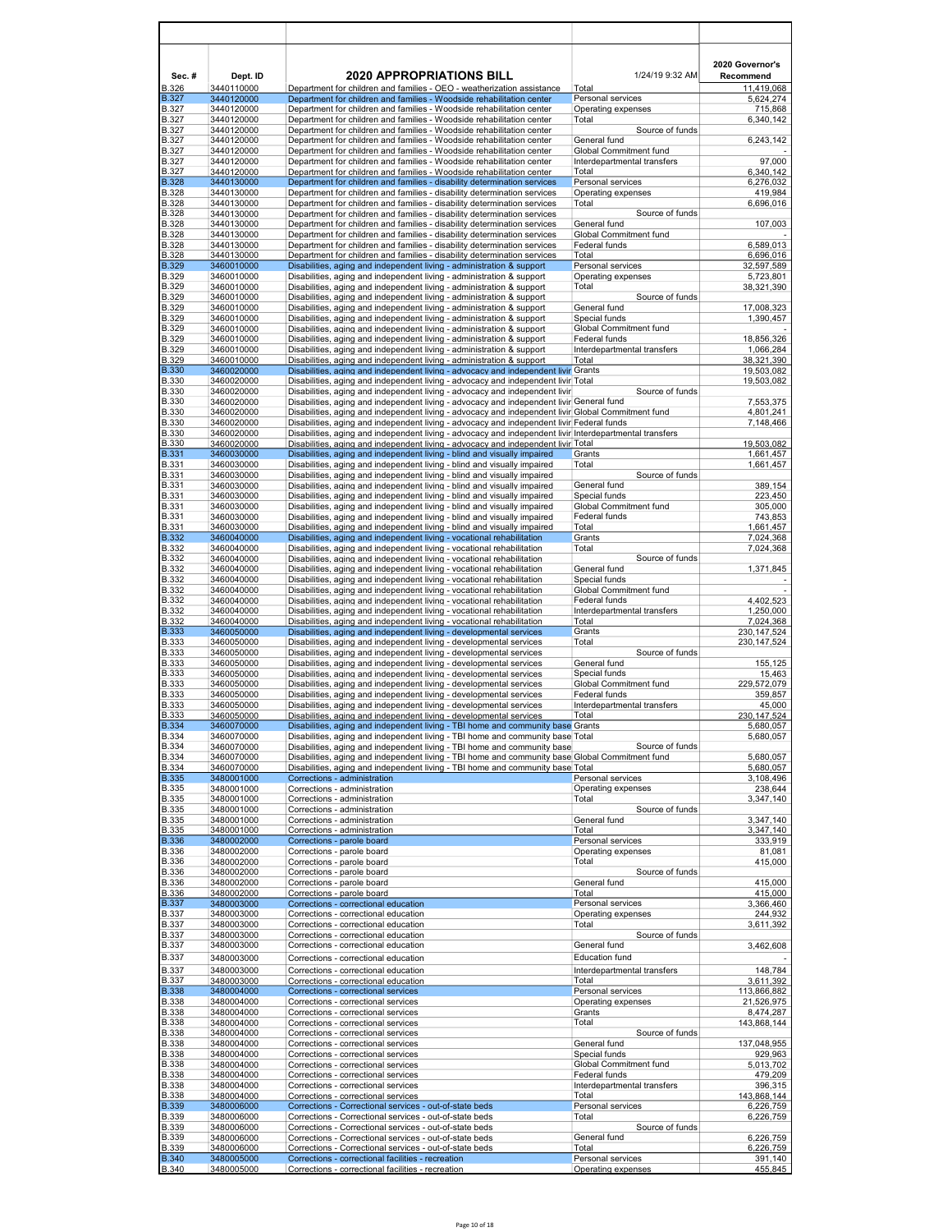| Sec.#                        | Dept. ID                 | <b>2020 APPROPRIATIONS BILL</b>                                                                                                                                                              | 1/24/19 9:32 AM                              | 2020 Governor's<br>Recommend |
|------------------------------|--------------------------|----------------------------------------------------------------------------------------------------------------------------------------------------------------------------------------------|----------------------------------------------|------------------------------|
| <b>B.326</b>                 | 3440110000               | Department for children and families - OEO - weatherization assistance                                                                                                                       | Total                                        | 11,419,068                   |
| B.327                        | 3440120000               | Department for children and families - Woodside rehabilitation center                                                                                                                        | Personal services                            | 5,624,274                    |
| <b>B.327</b><br><b>B.327</b> | 3440120000<br>3440120000 | Department for children and families - Woodside rehabilitation center<br>Department for children and families - Woodside rehabilitation center                                               | Operating expenses<br>Total                  | 715,868<br>6,340,142         |
| B.327                        | 3440120000               | Department for children and families - Woodside rehabilitation center                                                                                                                        | Source of funds                              |                              |
| <b>B.327</b><br>B.327        | 3440120000<br>3440120000 | Department for children and families - Woodside rehabilitation center<br>Department for children and families - Woodside rehabilitation center                                               | General fund<br>Global Commitment fund       | 6,243,142                    |
| <b>B.327</b>                 | 3440120000               | Department for children and families - Woodside rehabilitation center                                                                                                                        | Interdepartmental transfers                  | 97,000                       |
| <b>B.327</b>                 | 3440120000               | Department for children and families - Woodside rehabilitation center                                                                                                                        | Total                                        | 6,340,142                    |
| <b>B.328</b><br><b>B.328</b> | 3440130000<br>3440130000 | Department for children and families - disability determination services<br>Department for children and families - disability determination services                                         | Personal services<br>Operating expenses      | 6,276,032<br>419,984         |
| <b>B.328</b>                 | 3440130000               | Department for children and families - disability determination services                                                                                                                     | Total                                        | 6,696,016                    |
| <b>B.328</b><br><b>B.328</b> | 3440130000<br>3440130000 | Department for children and families - disability determination services<br>Department for children and families - disability determination services                                         | Source of funds<br>General fund              |                              |
| <b>B.328</b>                 | 3440130000               | Department for children and families - disability determination services                                                                                                                     | Global Commitment fund                       | 107,003                      |
| <b>B.328</b>                 | 3440130000               | Department for children and families - disability determination services                                                                                                                     | Federal funds                                | 6,589,013                    |
| <b>B.328</b><br><b>B.329</b> | 3440130000<br>3460010000 | Department for children and families - disability determination services<br>Disabilities, aging and independent living - administration & support                                            | Total<br>Personal services                   | 6,696,016<br>32,597,589      |
| <b>B.329</b>                 | 3460010000               | Disabilities, aging and independent living - administration & support                                                                                                                        | Operating expenses                           | 5,723,801                    |
| <b>B.329</b>                 | 3460010000               | Disabilities, aging and independent living - administration & support                                                                                                                        | Total                                        | 38,321,390                   |
| <b>B.329</b><br><b>B.329</b> | 3460010000<br>3460010000 | Disabilities, aging and independent living - administration & support<br>Disabilities, aging and independent living - administration & support                                               | Source of funds<br>General fund              | 17,008,323                   |
| <b>B.329</b>                 | 3460010000               | Disabilities, aging and independent living - administration & support                                                                                                                        | Special funds                                | 1,390,457                    |
| <b>B.329</b>                 | 3460010000               | Disabilities, aging and independent living - administration & support                                                                                                                        | Global Commitment fund                       |                              |
| <b>B.329</b><br><b>B.329</b> | 3460010000<br>3460010000 | Disabilities, aging and independent living - administration & support<br>Disabilities, aging and independent living - administration & support                                               | Federal funds<br>Interdepartmental transfers | 18,856,326<br>1,066,284      |
| B.329                        | 3460010000               | Disabilities, aging and independent living - administration & support                                                                                                                        | Total                                        | 38,321,390                   |
| <b>B.330</b>                 | 3460020000               | Disabilities, aging and independent living - advocacy and independent livir Grants                                                                                                           |                                              | 19,503,082                   |
| <b>B.330</b><br>B.330        | 3460020000<br>3460020000 | Disabilities, aging and independent living - advocacy and independent livir Total                                                                                                            | Source of funds                              | 19,503,082                   |
| <b>B.330</b>                 | 3460020000               | Disabilities, aging and independent living - advocacy and independent livir<br>Disabilities, aging and independent living - advocacy and independent livir General fund                      |                                              | 7,553,375                    |
| <b>B.330</b>                 | 3460020000               | Disabilities, aging and independent living - advocacy and independent livir Global Commitment fund                                                                                           |                                              | 4,801,241                    |
| <b>B.330</b>                 | 3460020000               | Disabilities, aging and independent living - advocacy and independent livir Federal funds                                                                                                    |                                              | 7,148,466                    |
| <b>B.330</b><br><b>B.330</b> | 3460020000<br>3460020000 | Disabilities, aging and independent living - advocacy and independent livir Interdepartmental transfers<br>Disabilities, aging and independent living - advocacy and independent livir Total |                                              | 19,503,082                   |
| <b>B.331</b>                 | 3460030000               | Disabilities, aging and independent living - blind and visually impaired                                                                                                                     | Grants                                       | 1,661,457                    |
| <b>B.331</b>                 | 3460030000               | Disabilities, aging and independent living - blind and visually impaired                                                                                                                     | Total                                        | 1,661,457                    |
| B.331<br><b>B.331</b>        | 3460030000<br>3460030000 | Disabilities, aging and independent living - blind and visually impaired<br>Disabilities, aging and independent living - blind and visually impaired                                         | Source of funds<br>General fund              | 389,154                      |
| <b>B.331</b>                 | 3460030000               | Disabilities, aging and independent living - blind and visually impaired                                                                                                                     | Special funds                                | 223,450                      |
| <b>B.331</b>                 | 3460030000               | Disabilities, aging and independent living - blind and visually impaired                                                                                                                     | Global Commitment fund                       | 305,000                      |
| <b>B.331</b><br><b>B.331</b> | 3460030000<br>3460030000 | Disabilities, aging and independent living - blind and visually impaired<br>Disabilities, aging and independent living - blind and visually impaired                                         | Federal funds<br>Total                       | 743,853<br>1,661,457         |
| <b>B.332</b>                 | 3460040000               | Disabilities, aging and independent living - vocational rehabilitation                                                                                                                       | Grants                                       | 7,024,368                    |
| <b>B.332</b>                 | 3460040000               | Disabilities, aging and independent living - vocational rehabilitation                                                                                                                       | Total                                        | 7,024,368                    |
| <b>B.332</b><br>B.332        | 3460040000<br>3460040000 | Disabilities, aging and independent living - vocational rehabilitation<br>Disabilities, aging and independent living - vocational rehabilitation                                             | Source of funds<br>General fund              | 1,371,845                    |
| <b>B.332</b>                 | 3460040000               | Disabilities, aging and independent living - vocational rehabilitation                                                                                                                       | Special funds                                |                              |
| <b>B.332</b>                 | 3460040000               | Disabilities, aging and independent living - vocational rehabilitation                                                                                                                       | Global Commitment fund                       |                              |
| <b>B.332</b><br>B.332        | 3460040000<br>3460040000 | Disabilities, aging and independent living - vocational rehabilitation<br>Disabilities, aging and independent living - vocational rehabilitation                                             | Federal funds<br>Interdepartmental transfers | 4,402,523<br>1,250,000       |
| B.332                        | 3460040000               | Disabilities, aging and independent living - vocational rehabilitation                                                                                                                       | Total                                        | 7,024,368                    |
| <b>B.333</b><br><b>B.333</b> | 3460050000<br>3460050000 | Disabilities, aging and independent living - developmental services<br>Disabilities, aging and independent living - developmental services                                                   | Grants<br>Total                              | 230, 147, 524                |
| B.333                        | 3460050000               | Disabilities, aging and independent living - developmental services                                                                                                                          | Source of funds                              | 230, 147, 524                |
| <b>B.333</b>                 | 3460050000               | Disabilities, aging and independent living - developmental services                                                                                                                          | General fund                                 | 155,125                      |
| <b>B.333</b>                 | 3460050000<br>3460050000 | Disabilities, aging and independent living - developmental services                                                                                                                          | Special funds<br>Global Commitment fund      | 15,463                       |
| <b>B.333</b><br><b>B.333</b> | 3460050000               | Disabilities, aging and independent living - developmental services<br>Disabilities, aging and independent living - developmental services                                                   | Federal funds                                | 229,572,079<br>359,857       |
| <b>B.333</b>                 | 3460050000               | Disabilities, aging and independent living - developmental services                                                                                                                          | Interdepartmental transfers                  | 45,000                       |
| <b>B.333</b><br><b>B.334</b> | 3460050000<br>3460070000 | Disabilities, aging and independent living - developmental services<br>Disabilities, aging and independent living - TBI home and community base Grants                                       | Total                                        | 230.147.524<br>5,680,057     |
| <b>B.334</b>                 | 3460070000               | Disabilities, aging and independent living - TBI home and community base Total                                                                                                               |                                              | 5,680,057                    |
| <b>B.334</b>                 | 3460070000               | Disabilities, aging and independent living - TBI home and community base                                                                                                                     | Source of funds                              |                              |
| <b>B.334</b><br><b>B.334</b> | 3460070000<br>3460070000 | Disabilities, aging and independent living - TBI home and community base Global Commitment fund<br>Disabilities, aging and independent living - TBI home and community base Total            |                                              | 5,680,057<br>5,680,057       |
| <b>B.335</b>                 | 3480001000               | Corrections - administration                                                                                                                                                                 | Personal services                            | 3,108,496                    |
| <b>B.335</b>                 | 3480001000               | Corrections - administration                                                                                                                                                                 | Operating expenses                           | 238,644                      |
| <b>B.335</b><br><b>B.335</b> | 3480001000<br>3480001000 | Corrections - administration<br>Corrections - administration                                                                                                                                 | Total<br>Source of funds                     | 3,347,140                    |
| <b>B.335</b>                 | 3480001000               | Corrections - administration                                                                                                                                                                 | General fund                                 | 3,347,140                    |
| <b>B.335</b>                 | 3480001000               | Corrections - administration                                                                                                                                                                 | Total                                        | 3,347,140                    |
| <b>B.336</b><br><b>B.336</b> | 3480002000<br>3480002000 | Corrections - parole board<br>Corrections - parole board                                                                                                                                     | Personal services<br>Operating expenses      | 333,919<br>81,081            |
| <b>B.336</b>                 | 3480002000               | Corrections - parole board                                                                                                                                                                   | Total                                        | 415,000                      |
| <b>B.336</b>                 | 3480002000               | Corrections - parole board                                                                                                                                                                   | Source of funds                              |                              |
| <b>B.336</b><br><b>B.336</b> | 3480002000               | Corrections - parole board<br>Corrections - parole board                                                                                                                                     | General fund<br>Total                        | 415,000                      |
| <b>B.337</b>                 | 3480002000<br>3480003000 | Corrections - correctional education                                                                                                                                                         | Personal services                            | 415,000<br>3,366,460         |
| <b>B.337</b>                 | 3480003000               | Corrections - correctional education                                                                                                                                                         | Operating expenses                           | 244,932                      |
| <b>B.337</b>                 | 3480003000               | Corrections - correctional education                                                                                                                                                         | Total                                        | 3,611,392                    |
| B.337<br><b>B.337</b>        | 3480003000<br>3480003000 | Corrections - correctional education<br>Corrections - correctional education                                                                                                                 | Source of funds<br>General fund              | 3,462,608                    |
| <b>B.337</b>                 | 3480003000               | Corrections - correctional education                                                                                                                                                         | <b>Education fund</b>                        |                              |
| <b>B.337</b>                 | 3480003000               | Corrections - correctional education                                                                                                                                                         | Interdepartmental transfers                  | 148,784                      |
| <b>B.337</b>                 | 3480003000               | Corrections - correctional education                                                                                                                                                         | Total                                        | 3,611,392                    |
| <b>B.338</b><br><b>B.338</b> | 3480004000<br>3480004000 | Corrections - correctional services<br>Corrections - correctional services                                                                                                                   | Personal services<br>Operating expenses      | 113,866,882<br>21,526,975    |
| <b>B.338</b>                 | 3480004000               | Corrections - correctional services                                                                                                                                                          | Grants                                       | 8,474,287                    |
| <b>B.338</b>                 | 3480004000               | Corrections - correctional services                                                                                                                                                          | Total                                        | 143,868,144                  |
| <b>B.338</b><br><b>B.338</b> | 3480004000<br>3480004000 | Corrections - correctional services<br>Corrections - correctional services                                                                                                                   | Source of funds<br>General fund              | 137,048,955                  |
| <b>B.338</b>                 | 3480004000               | Corrections - correctional services                                                                                                                                                          | Special funds                                | 929,963                      |
| <b>B.338</b>                 | 3480004000               | Corrections - correctional services                                                                                                                                                          | Global Commitment fund                       | 5,013,702                    |
| <b>B.338</b><br><b>B.338</b> | 3480004000<br>3480004000 | Corrections - correctional services<br>Corrections - correctional services                                                                                                                   | Federal funds<br>Interdepartmental transfers | 479,209<br>396,315           |
| <b>B.338</b>                 | 3480004000               | Corrections - correctional services                                                                                                                                                          | Total                                        | 143,868,144                  |
| <b>B.339</b>                 | 3480006000               | Corrections - Correctional services - out-of-state beds                                                                                                                                      | Personal services                            | 6,226,759                    |
| <b>B.339</b>                 | 3480006000<br>3480006000 | Corrections - Correctional services - out-of-state beds<br>Corrections - Correctional services - out-of-state beds                                                                           | Total<br>Source of funds                     | 6,226,759                    |
| <b>B.339</b><br><b>B.339</b> | 3480006000               | Corrections - Correctional services - out-of-state beds                                                                                                                                      | General fund                                 | 6,226,759                    |
| <b>B.339</b>                 | 3480006000               | Corrections - Correctional services - out-of-state beds                                                                                                                                      | Total                                        | 6,226,759                    |
| <b>B.340</b><br><b>B.340</b> | 3480005000<br>3480005000 | Corrections - correctional facilities - recreation<br>Corrections - correctional facilities - recreation                                                                                     | Personal services<br>Operating expenses      | 391,140<br>455,845           |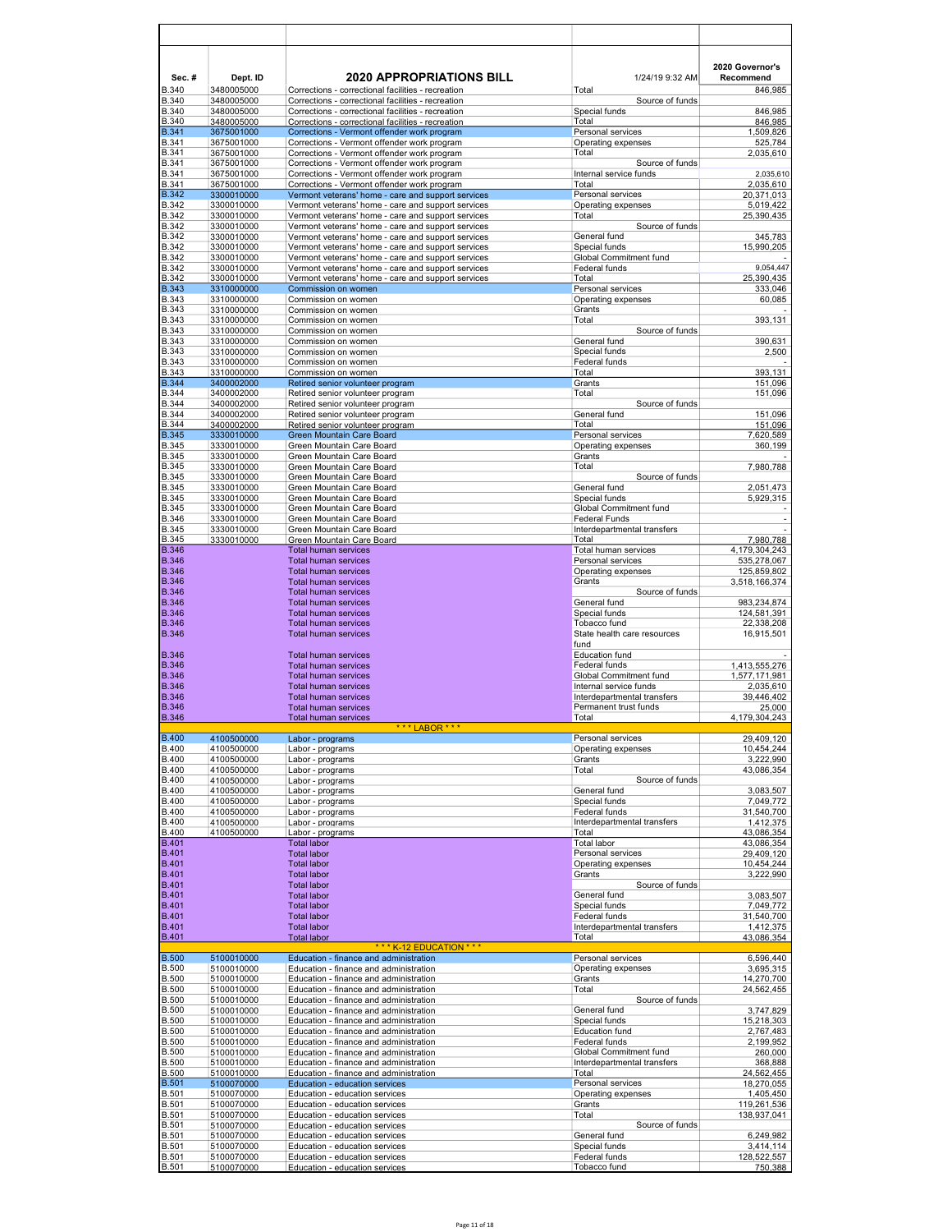| Sec.#<br><b>B.340</b>        | Dept. ID<br>3480005000   | <b>2020 APPROPRIATIONS BILL</b><br>Corrections - correctional facilities - recreation                    | 1/24/19 9:32 AM<br>Total                            | 2020 Governor's<br>Recommend<br>846,985 |
|------------------------------|--------------------------|----------------------------------------------------------------------------------------------------------|-----------------------------------------------------|-----------------------------------------|
| <b>B.340</b>                 | 3480005000               | Corrections - correctional facilities - recreation                                                       | Source of funds                                     |                                         |
| <b>B.340</b><br><b>B.340</b> | 3480005000<br>3480005000 | Corrections - correctional facilities - recreation<br>Corrections - correctional facilities - recreation | Special funds<br>Total                              | 846,985<br>846,985                      |
| <b>B.341</b>                 | 3675001000               | Corrections - Vermont offender work program                                                              | Personal services                                   | 1,509,826                               |
| <b>B.341</b><br><b>B.341</b> | 3675001000<br>3675001000 | Corrections - Vermont offender work program<br>Corrections - Vermont offender work program               | Operating expenses<br>Total                         | 525,784<br>2,035,610                    |
| <b>B.341</b>                 | 3675001000               | Corrections - Vermont offender work program                                                              | Source of funds                                     |                                         |
| <b>B.341</b>                 | 3675001000               | Corrections - Vermont offender work program                                                              | Internal service funds                              | 2,035,610                               |
| <b>B.341</b><br><b>B.342</b> | 3675001000<br>3300010000 | Corrections - Vermont offender work program<br>Vermont veterans' home - care and support services        | Total<br>Personal services                          | 2,035,610<br>20.371.013                 |
| <b>B.342</b>                 | 3300010000               | Vermont veterans' home - care and support services                                                       | Operating expenses                                  | 5,019,422                               |
| <b>B.342</b>                 | 3300010000               | Vermont veterans' home - care and support services                                                       | Total                                               | 25,390,435                              |
| <b>B.342</b><br><b>B.342</b> | 3300010000<br>3300010000 | Vermont veterans' home - care and support services<br>Vermont veterans' home - care and support services | Source of funds<br>General fund                     | 345,783                                 |
| <b>B.342</b>                 | 3300010000               | Vermont veterans' home - care and support services                                                       | Special funds                                       | 15,990,205                              |
| <b>B.342</b><br><b>B.342</b> | 3300010000<br>3300010000 | Vermont veterans' home - care and support services<br>Vermont veterans' home - care and support services | Global Commitment fund<br>Federal funds             | 9,054,447                               |
| <b>B.342</b>                 | 3300010000               | Vermont veterans' home - care and support services                                                       | Total                                               | 25,390,435                              |
| <b>B.343</b>                 | 3310000000               | Commission on women                                                                                      | Personal services                                   | 333,046                                 |
| <b>B.343</b><br><b>B.343</b> | 3310000000<br>3310000000 | Commission on women<br>Commission on women                                                               | Operating expenses<br>Grants                        | 60,085                                  |
| <b>B.343</b>                 | 3310000000               | Commission on women                                                                                      | Total                                               | 393,131                                 |
| <b>B.343</b>                 | 3310000000               | Commission on women                                                                                      | Source of funds                                     |                                         |
| <b>B.343</b><br><b>B.343</b> | 3310000000<br>3310000000 | Commission on women<br>Commission on women                                                               | General fund<br>Special funds                       | 390,631<br>2,500                        |
| <b>B.343</b>                 | 3310000000               | Commission on women                                                                                      | Federal funds                                       |                                         |
| <b>B.343</b>                 | 3310000000               | Commission on women                                                                                      | Total                                               | 393,131                                 |
| <b>B.344</b><br><b>B.344</b> | 3400002000<br>3400002000 | Retired senior volunteer program<br>Retired senior volunteer program                                     | Grants<br>Total                                     | 151,096<br>151,096                      |
| <b>B.344</b>                 | 3400002000               | Retired senior volunteer program                                                                         | Source of funds                                     |                                         |
| <b>B.344</b>                 | 3400002000               | Retired senior volunteer program                                                                         | General fund                                        | 151,096                                 |
| <b>B.344</b><br><b>B.345</b> | 3400002000<br>3330010000 | Retired senior volunteer program<br>Green Mountain Care Board                                            | Total<br>Personal services                          | 151.096<br>7,620,589                    |
| <b>B.345</b>                 | 3330010000               | Green Mountain Care Board                                                                                | Operating expenses                                  | 360,199                                 |
| <b>B.345</b>                 | 3330010000               | Green Mountain Care Board                                                                                | Grants                                              |                                         |
| <b>B.345</b><br><b>B.345</b> | 3330010000<br>3330010000 | Green Mountain Care Board<br>Green Mountain Care Board                                                   | Total<br>Source of funds                            | 7,980,788                               |
| <b>B.345</b>                 | 3330010000               | Green Mountain Care Board                                                                                | General fund                                        | 2,051,473                               |
| <b>B.345</b>                 | 3330010000               | Green Mountain Care Board                                                                                | Special funds                                       | 5,929,315                               |
| <b>B.345</b><br><b>B.346</b> | 3330010000<br>3330010000 | Green Mountain Care Board<br>Green Mountain Care Board                                                   | Global Commitment fund<br><b>Federal Funds</b>      | $\overline{a}$                          |
| <b>B.345</b>                 | 3330010000               | Green Mountain Care Board                                                                                | Interdepartmental transfers                         |                                         |
| <b>B.345</b><br><b>B.346</b> | 3330010000               | Green Mountain Care Board<br><b>Total human services</b>                                                 | Total<br>Total human services                       | 7,980,788                               |
| <b>B.346</b>                 |                          | <b>Total human services</b>                                                                              | Personal services                                   | 4,179,304,243<br>535,278,067            |
| <b>B.346</b>                 |                          | <b>Total human services</b>                                                                              | Operating expenses                                  | 125,859,802                             |
| <b>B.346</b><br><b>B.346</b> |                          | <b>Total human services</b><br><b>Total human services</b>                                               | Grants<br>Source of funds                           | 3,518,166,374                           |
| <b>B.346</b>                 |                          | <b>Total human services</b>                                                                              | General fund                                        | 983,234,874                             |
| <b>B.346</b>                 |                          | <b>Total human services</b>                                                                              | Special funds                                       | 124,581,391                             |
| <b>B.346</b><br><b>B.346</b> |                          | <b>Total human services</b><br><b>Total human services</b>                                               | Tobacco fund<br>State health care resources<br>fund | 22,338,208<br>16,915,501                |
| <b>B.346</b>                 |                          | <b>Total human services</b>                                                                              | <b>Education fund</b>                               |                                         |
| <b>B.346</b><br><b>B.346</b> |                          | <b>Total human services</b><br><b>Total human services</b>                                               | Federal funds<br>Global Commitment fund             | 1,413,555,276<br>1,577,171,981          |
| <b>B.346</b>                 |                          | <b>Total human services</b>                                                                              | Internal service funds                              | 2,035,610                               |
| <b>B.346</b>                 |                          | <b>Total human services</b>                                                                              | Interdepartmental transfers                         | 39,446,402                              |
| <b>B.346</b><br><b>B.346</b> |                          | <b>Total human services</b><br><b>Total human services</b>                                               | Permanent trust funds<br>Total                      | 25,000<br>4,179,304,243                 |
|                              |                          | * * *<br>AROR * * *                                                                                      |                                                     |                                         |
| <b>B.400</b><br><b>B.400</b> | 4100500000<br>4100500000 | Labor - programs<br>Labor - programs                                                                     | Personal services<br>Operating expenses             | 29,409,120<br>10,454,244                |
| <b>B.400</b>                 | 4100500000               | Labor - programs                                                                                         | Grants                                              | 3,222,990                               |
| <b>B.400</b>                 | 4100500000               | Labor - programs                                                                                         | Total                                               | 43,086,354                              |
| <b>B.400</b><br><b>B.400</b> | 4100500000<br>4100500000 | Labor - programs<br>Labor - programs                                                                     | Source of funds<br>General fund                     | 3,083,507                               |
| <b>B.400</b>                 | 4100500000               | Labor - programs                                                                                         | Special funds                                       | 7,049,772                               |
| <b>B.400</b><br><b>B.400</b> | 4100500000<br>4100500000 | Labor - programs<br>Labor - programs                                                                     | <b>Federal funds</b><br>Interdepartmental transfers | 31,540,700<br>1,412,375                 |
| <b>B.400</b>                 | 4100500000               | Labor - programs                                                                                         | Total                                               | 43,086,354                              |
| <b>B.401</b>                 |                          | <b>Total labor</b>                                                                                       | <b>Total labor</b>                                  | 43,086,354                              |
| <b>B.401</b><br><b>B.401</b> |                          | <b>Total labor</b><br><b>Total labor</b>                                                                 | Personal services<br>Operating expenses             | 29,409,120<br>10,454,244                |
| <b>B.401</b>                 |                          | <b>Total labor</b>                                                                                       | Grants                                              | 3,222,990                               |
| <b>B.401</b><br><b>B.401</b> |                          | <b>Total labor</b><br><b>Total labor</b>                                                                 | Source of funds<br>General fund                     | 3,083,507                               |
| <b>B.401</b>                 |                          | <b>Total labor</b>                                                                                       | Special funds                                       | 7,049,772                               |
| <b>B.401</b>                 |                          | <b>Total labor</b>                                                                                       | Federal funds                                       | 31,540,700                              |
| <b>B.401</b><br><b>B.401</b> |                          | <b>Total labor</b><br><b>Total labor</b>                                                                 | Interdepartmental transfers<br>Total                | 1,412,375<br>43,086,354                 |
| <b>B.500</b>                 | 5100010000               | *** K-12 EDUCATION ***<br>Education - finance and administration                                         | Personal services                                   | 6,596,440                               |
| <b>B.500</b>                 | 5100010000               | Education - finance and administration                                                                   | Operating expenses                                  | 3,695,315                               |
| <b>B.500</b>                 | 5100010000               | Education - finance and administration                                                                   | Grants                                              | 14,270,700                              |
| <b>B.500</b><br><b>B.500</b> | 5100010000<br>5100010000 | Education - finance and administration<br>Education - finance and administration                         | Total<br>Source of funds                            | 24,562,455                              |
| <b>B.500</b>                 | 5100010000               | Education - finance and administration                                                                   | General fund                                        | 3,747,829                               |
| <b>B.500</b><br><b>B.500</b> | 5100010000               | Education - finance and administration<br>Education - finance and administration                         | Special funds<br><b>Education fund</b>              | 15,218,303                              |
| <b>B.500</b>                 | 5100010000<br>5100010000 | Education - finance and administration                                                                   | Federal funds                                       | 2,767,483<br>2,199,952                  |
| <b>B.500</b>                 | 5100010000               | Education - finance and administration                                                                   | Global Commitment fund                              | 260,000                                 |
| <b>B.500</b><br><b>B.500</b> | 5100010000<br>5100010000 | Education - finance and administration<br>Education - finance and administration                         | Interdepartmental transfers<br>Total                | 368,888<br>24,562,455                   |
| <b>B.501</b>                 | 5100070000               | Education - education services                                                                           | Personal services                                   | 18,270,055                              |
| <b>B.501</b>                 | 5100070000               | Education - education services                                                                           | Operating expenses                                  | 1,405,450                               |
| <b>B.501</b><br><b>B.501</b> | 5100070000<br>5100070000 | Education - education services<br>Education - education services                                         | Grants<br>Total                                     | 119,261,536<br>138,937,041              |
| <b>B.501</b>                 | 5100070000               | Education - education services                                                                           | Source of funds                                     |                                         |
| <b>B.501</b>                 | 5100070000               | Education - education services                                                                           | General fund                                        | 6,249,982                               |
| <b>B.501</b><br><b>B.501</b> | 5100070000<br>5100070000 | Education - education services<br>Education - education services                                         | Special funds<br>Federal funds                      | 3,414,114<br>128,522,557                |
| <b>B.501</b>                 | 5100070000               | Education - education services                                                                           | Tobacco fund                                        | 750,388                                 |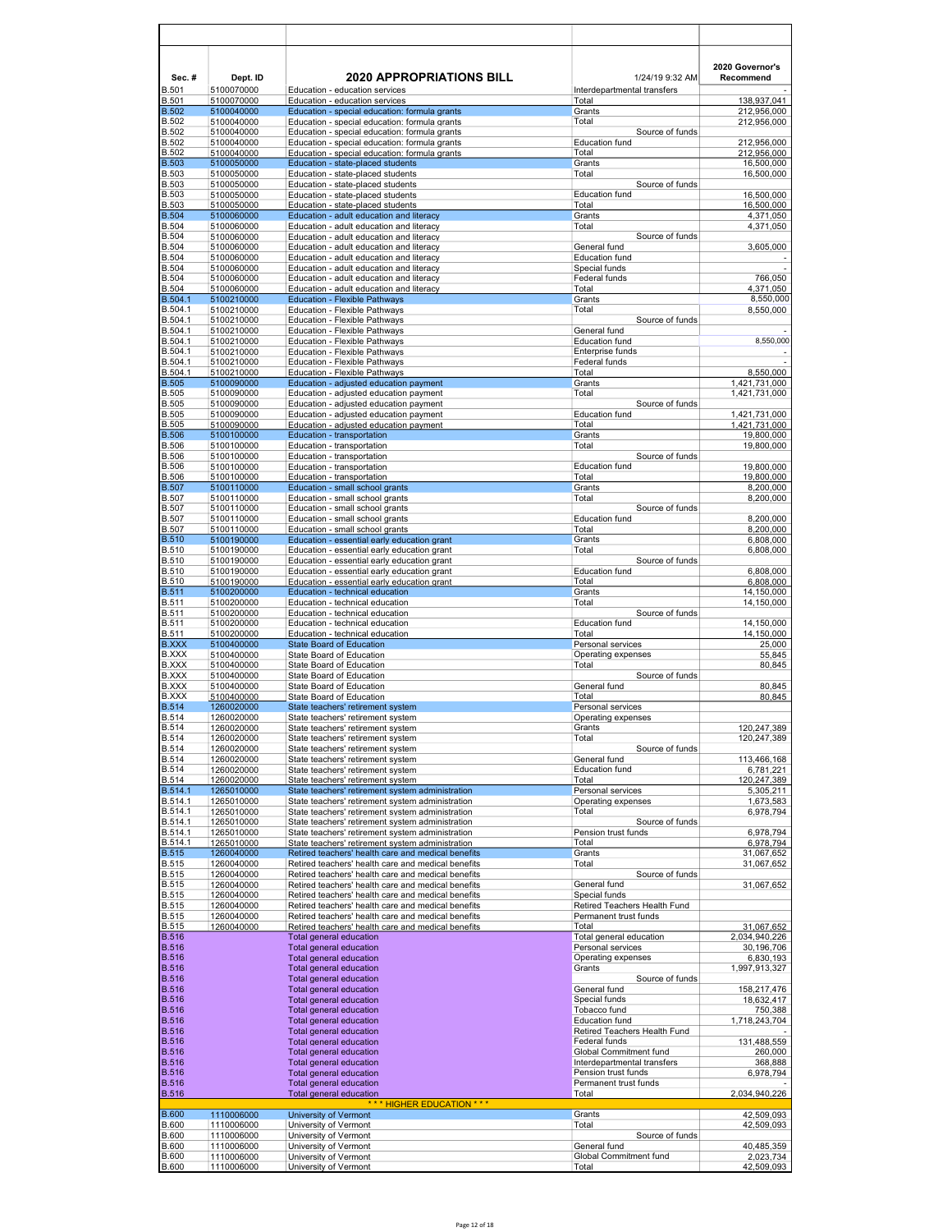| Sec.#                        | Dept. ID                 | <b>2020 APPROPRIATIONS BILL</b>                                                                          | 1/24/19 9:32 AM                               | 2020 Governor's<br>Recommend   |
|------------------------------|--------------------------|----------------------------------------------------------------------------------------------------------|-----------------------------------------------|--------------------------------|
| <b>B.501</b><br><b>B.501</b> | 5100070000<br>5100070000 | Education - education services<br>Education - education services                                         | Interdepartmental transfers<br>Total          | 138,937,041                    |
| <b>B.502</b>                 | 5100040000               | Education - special education: formula grants                                                            | Grants                                        | 212,956,000                    |
| <b>B.502</b><br><b>B.502</b> | 5100040000<br>5100040000 | Education - special education: formula grants<br>Education - special education: formula grants           | Total<br>Source of funds                      | 212,956,000                    |
| <b>B.502</b>                 | 5100040000               | Education - special education: formula grants                                                            | <b>Education fund</b>                         | 212,956,000                    |
| <b>B.502</b><br><b>B.503</b> | 5100040000<br>5100050000 | Education - special education: formula grants<br>Education - state-placed students                       | Total<br>Grants                               | 212,956,000                    |
| <b>B.503</b>                 | 5100050000               | Education - state-placed students                                                                        | Total                                         | 16,500,000<br>16,500,000       |
| <b>B.503</b>                 | 5100050000               | Education - state-placed students                                                                        | Source of funds                               |                                |
| <b>B.503</b><br><b>B.503</b> | 5100050000<br>5100050000 | Education - state-placed students<br>Education - state-placed students                                   | <b>Education fund</b><br>Total                | 16,500,000<br>16,500,000       |
| <b>B.504</b>                 | 5100060000               | Education - adult education and literacy                                                                 | Grants                                        | 4,371,050                      |
| <b>B.504</b><br><b>B.504</b> | 5100060000               | Education - adult education and literacy                                                                 | Total<br>Source of funds                      | 4,371,050                      |
| <b>B.504</b>                 | 5100060000<br>5100060000 | Education - adult education and literacy<br>Education - adult education and literacy                     | General fund                                  | 3,605,000                      |
| <b>B.504</b>                 | 5100060000               | Education - adult education and literacy                                                                 | <b>Education fund</b>                         |                                |
| <b>B.504</b><br><b>B.504</b> | 5100060000<br>5100060000 | Education - adult education and literacy<br>Education - adult education and literacy                     | Special funds<br>Federal funds                | 766,050                        |
| <b>B.504</b>                 | 5100060000               | Education - adult education and literacy                                                                 | Total                                         | 4,371,050                      |
| B.504.1                      | 5100210000               | <b>Education - Flexible Pathways</b>                                                                     | Grants                                        | 8,550,000                      |
| B.504.1<br>B.504.1           | 5100210000<br>5100210000 | <b>Education - Flexible Pathways</b><br>Education - Flexible Pathways                                    | Total<br>Source of funds                      | 8,550,000                      |
| B.504.1                      | 5100210000               | Education - Flexible Pathways                                                                            | General fund                                  |                                |
| B.504.1<br>B.504.1           | 5100210000               | Education - Flexible Pathways                                                                            | <b>Education fund</b>                         | 8,550,000                      |
| B.504.1                      | 5100210000<br>5100210000 | Education - Flexible Pathways<br>Education - Flexible Pathways                                           | Enterprise funds<br>Federal funds             | L,                             |
| B.504.1                      | 5100210000               | Education - Flexible Pathways                                                                            | Total                                         | 8,550,000                      |
| <b>B.505</b><br><b>B.505</b> | 5100090000<br>5100090000 | Education - adjusted education payment<br>Education - adjusted education payment                         | Grants<br>Total                               | 1,421,731,000<br>1,421,731,000 |
| <b>B.505</b>                 | 5100090000               | Education - adjusted education payment                                                                   | Source of funds                               |                                |
| <b>B.505</b>                 | 5100090000               | Education - adjusted education payment                                                                   | <b>Education fund</b>                         | 1,421,731,000                  |
| <b>B.505</b><br><b>B.506</b> | 5100090000<br>5100100000 | Education - adjusted education payment<br>Education - transportation                                     | Total<br>Grants                               | 1.421.731.000<br>19,800,000    |
| <b>B.506</b>                 | 5100100000               | Education - transportation                                                                               | Total                                         | 19,800,000                     |
| <b>B.506</b>                 | 5100100000               | Education - transportation                                                                               | Source of funds                               |                                |
| <b>B.506</b><br><b>B.506</b> | 5100100000<br>5100100000 | Education - transportation<br>Education - transportation                                                 | <b>Education fund</b><br>Total                | 19,800,000<br>19,800,000       |
| <b>B.507</b>                 | 5100110000               | Education - small school grants                                                                          | Grants                                        | 8,200,000                      |
| <b>B.507</b><br><b>B.507</b> | 5100110000<br>5100110000 | Education - small school grants<br>Education - small school grants                                       | Total<br>Source of funds                      | 8,200,000                      |
| <b>B.507</b>                 | 5100110000               | Education - small school grants                                                                          | <b>Education fund</b>                         | 8,200,000                      |
| <b>B.507</b>                 | 5100110000               | Education - small school grants                                                                          | Total                                         | 8,200,000                      |
| <b>B.510</b><br><b>B.510</b> | 5100190000<br>5100190000 | Education - essential early education grant<br>Education - essential early education grant               | Grants<br>Total                               | 6,808,000<br>6,808,000         |
| <b>B.510</b>                 | 5100190000               | Education - essential early education grant                                                              | Source of funds                               |                                |
| <b>B.510</b>                 | 5100190000               | Education - essential early education grant                                                              | <b>Education fund</b>                         | 6,808,000                      |
| <b>B.510</b><br><b>B.511</b> | 5100190000<br>5100200000 | Education - essential early education grant<br>Education - technical education                           | Total<br>Grants                               | 6,808,000<br>14,150,000        |
| <b>B.511</b>                 | 5100200000               | Education - technical education                                                                          | Total                                         | 14,150,000                     |
| <b>B.511</b><br><b>B.511</b> | 5100200000<br>5100200000 | Education - technical education<br>Education - technical education                                       | Source of funds<br><b>Education fund</b>      | 14,150,000                     |
| <b>B.511</b>                 | 5100200000               | Education - technical education                                                                          | Total                                         | 14,150,000                     |
| <b>B.XXX</b>                 | 5100400000               | <b>State Board of Education</b>                                                                          | Personal services                             | 25,000                         |
| <b>B.XXX</b><br><b>B.XXX</b> | 5100400000<br>5100400000 | State Board of Education<br>State Board of Education                                                     | Operating expenses<br>Total                   | 55,845<br>80,845               |
| <b>B.XXX</b>                 | 5100400000               | State Board of Education                                                                                 | Source of funds                               |                                |
| <b>B.XXX</b><br><b>B.XXX</b> | 5100400000<br>5100400000 | State Board of Education<br>State Board of Education                                                     | General fund<br>Total                         | 80,845<br>80,845               |
| <b>B.514</b>                 | 1260020000               | State teachers' retirement system                                                                        | Personal services                             |                                |
| <b>B.514</b>                 | 1260020000               | State teachers' retirement system                                                                        | Operating expenses                            |                                |
| <b>B.514</b><br><b>B.514</b> | 1260020000<br>1260020000 | State teachers' retirement system<br>State teachers' retirement system                                   | Grants<br>Total                               | 120,247,389<br>120,247,389     |
| <b>B.514</b>                 | 1260020000               | State teachers' retirement system                                                                        | Source of funds                               |                                |
| <b>B.514</b>                 | 1260020000               | State teachers' retirement system                                                                        | General fund<br><b>Education fund</b>         | 113,466,168                    |
| <b>B.514</b>                 | 1260020000<br>1260020000 | State teachers' retirement system<br>State teachers' retirement system                                   | Total                                         | 6,781,221<br>120,247,389       |
| B.514<br>B.514.1             | 1265010000               | State teachers' retirement system administration                                                         | Personal services                             | 5,305,211                      |
| B.514.1<br>B.514.1           | 1265010000<br>1265010000 | State teachers' retirement system administration<br>State teachers' retirement system administration     | Operating expenses<br>Total                   | 1,673,583<br>6,978,794         |
| B.514.1                      | 1265010000               | State teachers' retirement system administration                                                         | Source of funds                               |                                |
| B.514.1                      | 1265010000               | State teachers' retirement system administration                                                         | Pension trust funds                           | 6,978,794                      |
| B.514.1<br><b>B.515</b>      | 1265010000<br>1260040000 | State teachers' retirement system administration<br>Retired teachers' health care and medical benefits   | Total<br>Grants                               | 6,978,794<br>31,067,652        |
| <b>B.515</b>                 | 1260040000               | Retired teachers' health care and medical benefits                                                       | Total                                         | 31,067,652                     |
| <b>B.515</b><br><b>B.515</b> | 1260040000<br>1260040000 | Retired teachers' health care and medical benefits<br>Retired teachers' health care and medical benefits | Source of funds<br>General fund               | 31,067,652                     |
| <b>B.515</b>                 | 1260040000               | Retired teachers' health care and medical benefits                                                       | Special funds                                 |                                |
| <b>B.515</b>                 | 1260040000               | Retired teachers' health care and medical benefits                                                       | Retired Teachers Health Fund                  |                                |
| <b>B.515</b><br><b>B.515</b> | 1260040000<br>1260040000 | Retired teachers' health care and medical benefits<br>Retired teachers' health care and medical benefits | Permanent trust funds<br>Total                | 31,067,652                     |
| <b>B.516</b>                 |                          | Total general education                                                                                  | Total general education                       | 2,034,940,226                  |
| <b>B.516</b><br><b>B.516</b> |                          | Total general education                                                                                  | Personal services                             | 30,196,706                     |
| <b>B.516</b>                 |                          | Total general education<br>Total general education                                                       | Operating expenses<br>Grants                  | 6,830,193<br>1,997,913,327     |
| <b>B.516</b>                 |                          | Total general education                                                                                  | Source of funds                               |                                |
| <b>B.516</b><br><b>B.516</b> |                          | Total general education<br>Total general education                                                       | General fund<br>Special funds                 | 158,217,476<br>18,632,417      |
| <b>B.516</b>                 |                          | Total general education                                                                                  | Tobacco fund                                  | 750,388                        |
| <b>B.516</b>                 |                          | Total general education                                                                                  | <b>Education fund</b>                         | 1,718,243,704                  |
| <b>B.516</b><br><b>B.516</b> |                          | Total general education<br>Total general education                                                       | Retired Teachers Health Fund<br>Federal funds | 131,488,559                    |
| <b>B.516</b>                 |                          | Total general education                                                                                  | Global Commitment fund                        | 260,000                        |
| <b>B.516</b>                 |                          | Total general education                                                                                  | Interdepartmental transfers                   | 368,888                        |
| <b>B.516</b><br><b>B.516</b> |                          | Total general education<br>Total general education                                                       | Pension trust funds<br>Permanent trust funds  | 6,978,794                      |
| <b>B.516</b>                 |                          | Total general education                                                                                  | Total                                         | 2,034,940,226                  |
| <b>B.600</b>                 | 1110006000               | *** HIGHER EDUCATION ***<br>University of Vermont                                                        | Grants                                        | 42,509,093                     |
| <b>B.600</b>                 | 1110006000               | University of Vermont                                                                                    | Total                                         | 42,509,093                     |
| <b>B.600</b><br><b>B.600</b> | 1110006000<br>1110006000 | University of Vermont<br>University of Vermont                                                           | Source of funds<br>General fund               | 40,485,359                     |
| <b>B.600</b>                 | 1110006000               | University of Vermont                                                                                    | Global Commitment fund                        | 2,023,734                      |
| <b>B.600</b>                 | 1110006000               | University of Vermont                                                                                    | Total                                         | 42,509,093                     |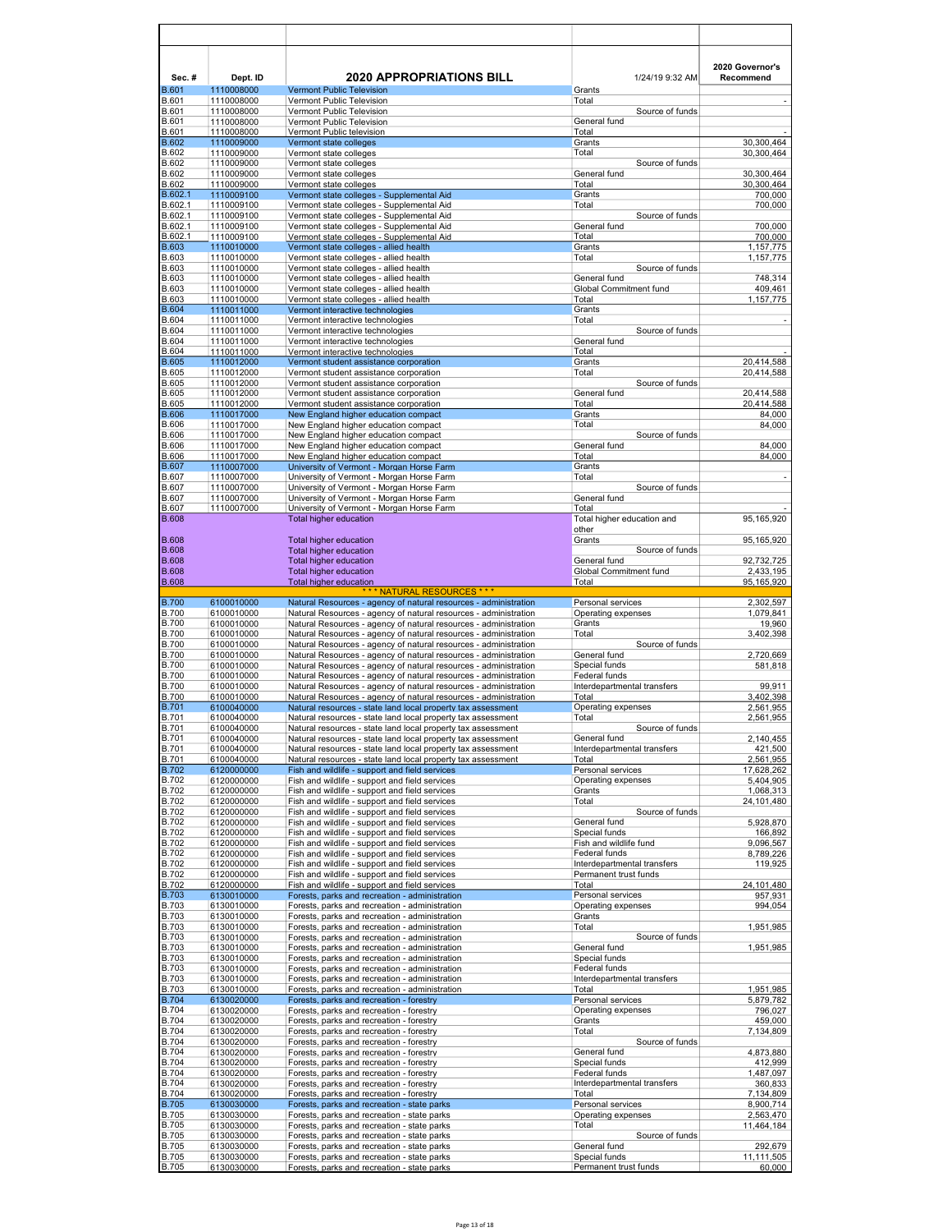| Sec.#                        | Dept. ID                 | <b>2020 APPROPRIATIONS BILL</b>                                                                                                      | 1/24/19 9:32 AM                                      | 2020 Governor's<br>Recommend |
|------------------------------|--------------------------|--------------------------------------------------------------------------------------------------------------------------------------|------------------------------------------------------|------------------------------|
| <b>B.601</b><br><b>B.601</b> | 1110008000<br>1110008000 | <b>Vermont Public Television</b><br>Vermont Public Television                                                                        | Grants<br>Total                                      |                              |
| <b>B.601</b>                 | 1110008000               | Vermont Public Television                                                                                                            | Source of funds                                      |                              |
| <b>B.601</b><br><b>B.601</b> | 1110008000<br>1110008000 | Vermont Public Television<br>Vermont Public television                                                                               | General fund<br>Total                                |                              |
| <b>B.602</b><br>B.602        | 1110009000<br>1110009000 | Vermont state colleges<br>Vermont state colleges                                                                                     | Grants<br>Total                                      | 30,300,464<br>30,300,464     |
| <b>B.602</b>                 | 1110009000               | Vermont state colleges                                                                                                               | Source of funds                                      |                              |
| B.602<br><b>B.602</b>        | 1110009000<br>1110009000 | Vermont state colleges<br>Vermont state colleges                                                                                     | General fund<br>Total                                | 30,300,464<br>30,300,464     |
| B.602.1<br>B.602.1           | 1110009100               | Vermont state colleges - Supplemental Aid                                                                                            | Grants<br>Total                                      | 700,000                      |
| B.602.1                      | 1110009100<br>1110009100 | Vermont state colleges - Supplemental Aid<br>Vermont state colleges - Supplemental Aid                                               | Source of funds                                      | 700,000                      |
| B.602.1<br>B.602.1           | 1110009100<br>1110009100 | Vermont state colleges - Supplemental Aid<br>Vermont state colleges - Supplemental Aid                                               | General fund<br>Total                                | 700,000<br>700,000           |
| B.603<br>B.603               | 1110010000               | Vermont state colleges - allied health                                                                                               | Grants                                               | 1,157,775                    |
| <b>B.603</b>                 | 1110010000<br>1110010000 | Vermont state colleges - allied health<br>Vermont state colleges - allied health                                                     | Total<br>Source of funds                             | 1,157,775                    |
| <b>B.603</b>                 | 1110010000               | Vermont state colleges - allied health                                                                                               | General fund                                         | 748,314                      |
| <b>B.603</b><br><b>B.603</b> | 1110010000<br>1110010000 | Vermont state colleges - allied health<br>Vermont state colleges - allied health                                                     | Global Commitment fund<br>Total                      | 409,461<br>1,157,775         |
| <b>B.604</b><br><b>B.604</b> | 1110011000<br>1110011000 | Vermont interactive technologies<br>Vermont interactive technologies                                                                 | Grants<br>Total                                      |                              |
| <b>B.604</b>                 | 1110011000               | Vermont interactive technologies                                                                                                     | Source of funds                                      |                              |
| <b>B.604</b><br><b>B.604</b> | 1110011000<br>1110011000 | Vermont interactive technologies<br>Vermont interactive technologies                                                                 | General fund<br>Total                                |                              |
| <b>B.605</b>                 | 1110012000               | Vermont student assistance corporation                                                                                               | Grants                                               | 20.414.588                   |
| <b>B.605</b><br><b>B.605</b> | 1110012000<br>1110012000 | Vermont student assistance corporation<br>Vermont student assistance corporation                                                     | Total<br>Source of funds                             | 20,414,588                   |
| <b>B.605</b>                 | 1110012000               | Vermont student assistance corporation                                                                                               | General fund                                         | 20,414,588                   |
| <b>B.605</b><br><b>B.606</b> | 1110012000<br>1110017000 | Vermont student assistance corporation<br>New England higher education compact                                                       | Total<br>Grants                                      | 20,414,588<br>84,000         |
| <b>B.606</b><br><b>B.606</b> | 1110017000<br>1110017000 | New England higher education compact                                                                                                 | Total<br>Source of funds                             | 84,000                       |
| <b>B.606</b>                 | 1110017000               | New England higher education compact<br>New England higher education compact                                                         | General fund                                         | 84,000                       |
| <b>B.606</b><br><b>B.607</b> | 1110017000<br>1110007000 | New England higher education compact<br>University of Vermont - Morgan Horse Farm                                                    | Total<br>Grants                                      | 84.000                       |
| <b>B.607</b>                 | 1110007000               | University of Vermont - Morgan Horse Farm                                                                                            | Total                                                | $\overline{\phantom{a}}$     |
| <b>B.607</b><br><b>B.607</b> | 1110007000<br>1110007000 | University of Vermont - Morgan Horse Farm<br>University of Vermont - Morgan Horse Farm                                               | Source of funds<br>General fund                      |                              |
| <b>B.607</b>                 | 1110007000               | University of Vermont - Morgan Horse Farm                                                                                            | Total                                                |                              |
| <b>B.608</b>                 |                          | Total higher education                                                                                                               | Total higher education and<br>other                  | 95,165,920                   |
| <b>B.608</b>                 |                          | <b>Total higher education</b>                                                                                                        | Grants                                               | 95,165,920                   |
| <b>B.608</b><br><b>B.608</b> |                          | <b>Total higher education</b><br><b>Total higher education</b>                                                                       | Source of funds<br>General fund                      | 92,732,725                   |
| <b>B.608</b>                 |                          | Total higher education                                                                                                               | Global Commitment fund                               | 2,433,195                    |
| <b>B.608</b>                 |                          | <b>Total higher education</b><br>*** NATURAL RESOURCES ***                                                                           | Total                                                | 95, 165, 920                 |
| <b>B.700</b><br><b>B.700</b> | 6100010000<br>6100010000 | Natural Resources - agency of natural resources - administration<br>Natural Resources - agency of natural resources - administration | Personal services<br>Operating expenses              | 2,302,597<br>1,079,841       |
| <b>B.700</b>                 | 6100010000               | Natural Resources - agency of natural resources - administration                                                                     | Grants                                               | 19,960                       |
| <b>B.700</b><br><b>B.700</b> | 6100010000<br>6100010000 | Natural Resources - agency of natural resources - administration<br>Natural Resources - agency of natural resources - administration | Total<br>Source of funds                             | 3,402,398                    |
| <b>B.700</b>                 | 6100010000               | Natural Resources - agency of natural resources - administration                                                                     | General fund                                         | 2,720,669                    |
| <b>B.700</b><br><b>B.700</b> | 6100010000<br>6100010000 | Natural Resources - agency of natural resources - administration<br>Natural Resources - agency of natural resources - administration | Special funds<br>Federal funds                       | 581,818                      |
| <b>B.700</b>                 | 6100010000<br>6100010000 | Natural Resources - agency of natural resources - administration<br>Natural Resources - agency of natural resources - administration | Interdepartmental transfers<br>Total                 | 99,911                       |
| <b>B.700</b><br><b>B.701</b> | 6100040000               | Natural resources - state land local property tax assessment                                                                         | Operating expenses                                   | 3,402,398<br>2,561,955       |
| <b>B.701</b>                 | 6100040000<br>6100040000 | Natural resources - state land local property tax assessment<br>Natural resources - state land local property tax assessment         | Total<br>Source of funds                             | 2,561,955                    |
| B.701<br>B.701               | 6100040000               | Natural resources - state land local property tax assessment                                                                         | General fund                                         | 2,140,455                    |
| <b>B.701</b><br><b>B.701</b> | 6100040000<br>6100040000 | Natural resources - state land local property tax assessment<br>Natural resources - state land local property tax assessment         | Interdepartmental transfers<br>Total                 | 421,500<br>2,561,955         |
| <b>B.702</b><br>B.702        | 6120000000               | Fish and wildlife - support and field services                                                                                       | Personal services                                    | 17,628,262                   |
| <b>B.702</b>                 | 6120000000<br>6120000000 | Fish and wildlife - support and field services<br>Fish and wildlife - support and field services                                     | Operating expenses<br>Grants                         | 5,404,905<br>1,068,313       |
| <b>B.702</b>                 | 6120000000<br>6120000000 | Fish and wildlife - support and field services                                                                                       | Total                                                | 24,101,480                   |
| B.702<br>B.702               | 6120000000               | Fish and wildlife - support and field services<br>Fish and wildlife - support and field services                                     | Source of funds<br>General fund                      | 5,928,870                    |
| <b>B.702</b><br><b>B.702</b> | 6120000000<br>6120000000 | Fish and wildlife - support and field services<br>Fish and wildlife - support and field services                                     | Special funds<br>Fish and wildlife fund              | 166,892<br>9,096,567         |
| <b>B.702</b>                 | 6120000000               | Fish and wildlife - support and field services                                                                                       | Federal funds                                        | 8,789,226                    |
| <b>B.702</b><br><b>B.702</b> | 6120000000<br>6120000000 | Fish and wildlife - support and field services<br>Fish and wildlife - support and field services                                     | Interdepartmental transfers<br>Permanent trust funds | 119,925                      |
| <b>B.702</b>                 | 6120000000               | Fish and wildlife - support and field services                                                                                       | Total                                                | 24,101,480                   |
| <b>B.703</b><br><b>B.703</b> | 6130010000<br>6130010000 | Forests, parks and recreation - administration<br>Forests, parks and recreation - administration                                     | Personal services<br>Operating expenses              | 957,931<br>994,054           |
| <b>B.703</b>                 | 6130010000               | Forests, parks and recreation - administration                                                                                       | Grants                                               |                              |
| <b>B.703</b><br><b>B.703</b> | 6130010000<br>6130010000 | Forests, parks and recreation - administration<br>Forests, parks and recreation - administration                                     | Total<br>Source of funds                             | 1,951,985                    |
| <b>B.703</b><br><b>B.703</b> | 6130010000<br>6130010000 | Forests, parks and recreation - administration<br>Forests, parks and recreation - administration                                     | General fund<br>Special funds                        | 1,951,985                    |
| <b>B.703</b>                 | 6130010000               | Forests, parks and recreation - administration                                                                                       | Federal funds                                        |                              |
| <b>B.703</b>                 | 6130010000<br>6130010000 | Forests, parks and recreation - administration<br>Forests, parks and recreation - administration                                     | Interdepartmental transfers<br>Total                 | 1,951,985                    |
| B.703<br>B.704               | 6130020000               | Forests, parks and recreation - forestry                                                                                             | Personal services                                    | 5,879,782                    |
| <b>B.704</b><br><b>B.704</b> | 6130020000<br>6130020000 | Forests, parks and recreation - forestry<br>Forests, parks and recreation - forestry                                                 | Operating expenses<br>Grants                         | 796,027<br>459,000           |
| <b>B.704</b>                 | 6130020000               | Forests, parks and recreation - forestry                                                                                             | Total                                                | 7,134,809                    |
| <b>B.704</b><br><b>B.704</b> | 6130020000<br>6130020000 | Forests, parks and recreation - forestry<br>Forests, parks and recreation - forestry                                                 | Source of funds<br>General fund                      | 4,873,880                    |
| <b>B.704</b>                 | 6130020000               | Forests, parks and recreation - forestry                                                                                             | Special funds                                        | 412,999                      |
| B.704<br>B.704               | 6130020000<br>6130020000 | Forests, parks and recreation - forestry<br>Forests, parks and recreation - forestry                                                 | Federal funds<br>Interdepartmental transfers         | 1,487,097<br>360,833         |
| B.704<br>B.705               | 6130020000<br>6130030000 | Forests, parks and recreation - forestry<br>Forests, parks and recreation - state parks                                              | Total<br>Personal services                           | 7,134,809<br>8,900,714       |
| <b>B.705</b>                 | 6130030000               | Forests, parks and recreation - state parks                                                                                          | Operating expenses                                   | 2,563,470                    |
| <b>B.705</b><br><b>B.705</b> | 6130030000<br>6130030000 | Forests, parks and recreation - state parks<br>Forests, parks and recreation - state parks                                           | Total<br>Source of funds                             | 11,464,184                   |
| <b>B.705</b>                 | 6130030000               | Forests, parks and recreation - state parks                                                                                          | General fund                                         | 292,679                      |
| <b>B.705</b><br><b>B.705</b> | 6130030000<br>6130030000 | Forests, parks and recreation - state parks<br>Forests, parks and recreation - state parks                                           | Special funds<br>Permanent trust funds               | 11,111,505<br>60,000         |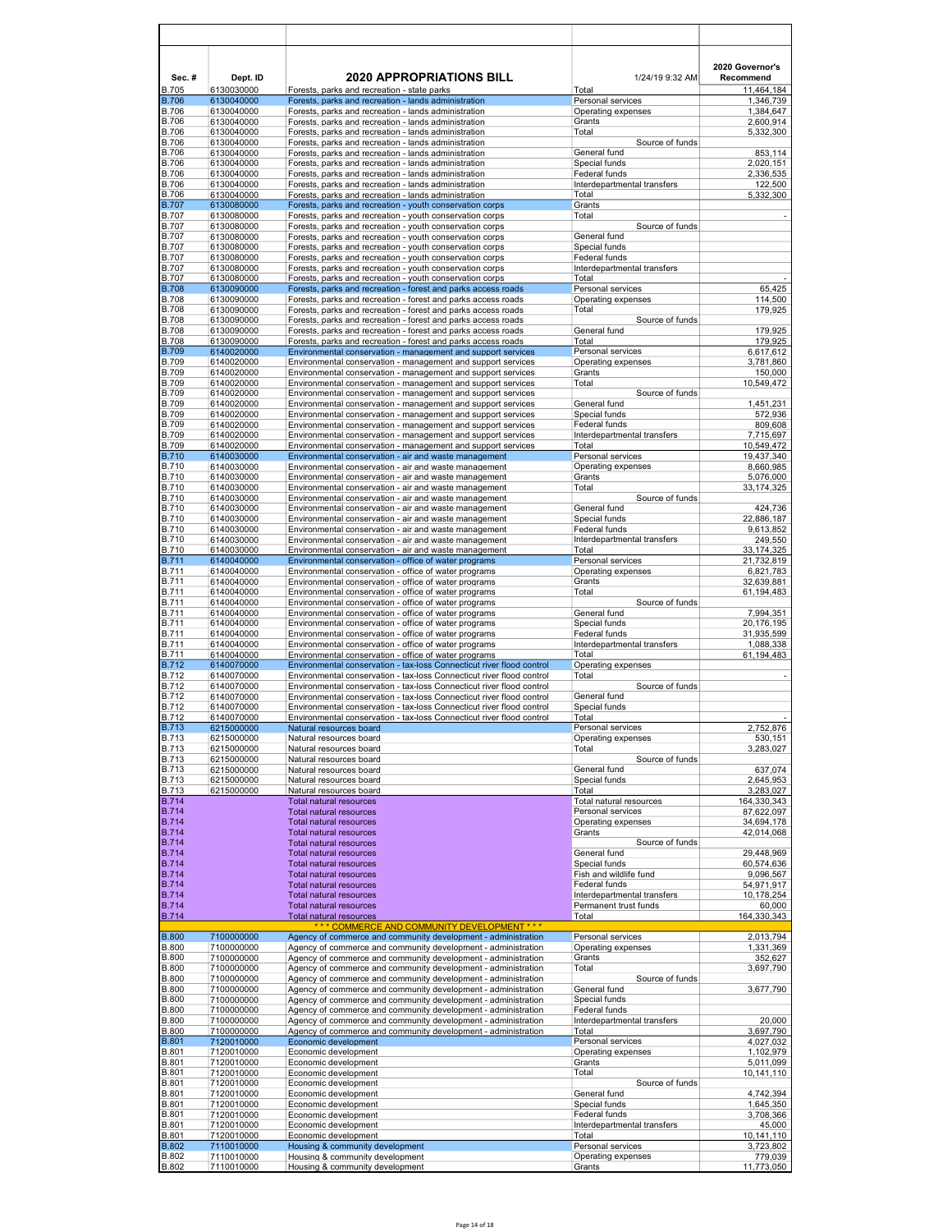| Sec.#                        | Dept. ID                 | <b>2020 APPROPRIATIONS BILL</b>                                                                                                                | 1/24/19 9:32 AM                                      | 2020 Governor's<br>Recommend |
|------------------------------|--------------------------|------------------------------------------------------------------------------------------------------------------------------------------------|------------------------------------------------------|------------------------------|
| <b>B.705</b><br><b>B.706</b> | 6130030000<br>6130040000 | Forests, parks and recreation - state parks<br>Forests, parks and recreation - lands administration                                            | Total<br>Personal services                           | 11,464,184<br>1,346,739      |
| <b>B.706</b>                 | 6130040000               | Forests, parks and recreation - lands administration                                                                                           | Operating expenses                                   | 1,384,647                    |
| <b>B.706</b>                 | 6130040000               | Forests, parks and recreation - lands administration                                                                                           | Grants                                               | 2,600,914                    |
| <b>B.706</b><br><b>B.706</b> | 6130040000<br>6130040000 | Forests, parks and recreation - lands administration<br>Forests, parks and recreation - lands administration                                   | Total<br>Source of funds                             | 5,332,300                    |
| <b>B.706</b>                 | 6130040000               | Forests, parks and recreation - lands administration                                                                                           | General fund                                         | 853,114                      |
| <b>B.706</b>                 | 6130040000               | Forests, parks and recreation - lands administration                                                                                           | Special funds                                        | 2,020,151                    |
| <b>B.706</b><br>B.706        | 6130040000<br>6130040000 | Forests, parks and recreation - lands administration<br>Forests, parks and recreation - lands administration                                   | Federal funds<br>Interdepartmental transfers         | 2,336,535<br>122,500         |
| <b>B.706</b>                 | 6130040000               | Forests, parks and recreation - lands administration                                                                                           | Total                                                | 5,332,300                    |
| <b>B.707</b>                 | 6130080000               | Forests, parks and recreation - youth conservation corps                                                                                       | Grants                                               |                              |
| <b>B.707</b><br><b>B.707</b> | 6130080000<br>6130080000 | Forests, parks and recreation - youth conservation corps                                                                                       | Total<br>Source of funds                             |                              |
| <b>B.707</b>                 | 6130080000               | Forests, parks and recreation - youth conservation corps<br>Forests, parks and recreation - youth conservation corps                           | General fund                                         |                              |
| <b>B.707</b>                 | 6130080000               | Forests, parks and recreation - youth conservation corps                                                                                       | Special funds                                        |                              |
| <b>B.707</b>                 | 6130080000               | Forests, parks and recreation - youth conservation corps                                                                                       | Federal funds                                        |                              |
| <b>B.707</b><br><b>B.707</b> | 6130080000<br>6130080000 | Forests, parks and recreation - youth conservation corps<br>Forests, parks and recreation - youth conservation corps                           | Interdepartmental transfers<br>Total                 |                              |
| <b>B.708</b>                 | 6130090000               | Forests, parks and recreation - forest and parks access roads                                                                                  | Personal services                                    | 65,425                       |
| <b>B.708</b>                 | 6130090000               | Forests, parks and recreation - forest and parks access roads                                                                                  | Operating expenses                                   | 114,500                      |
| <b>B.708</b><br><b>B.708</b> | 6130090000<br>6130090000 | Forests, parks and recreation - forest and parks access roads<br>Forests, parks and recreation - forest and parks access roads                 | Total<br>Source of funds                             | 179,925                      |
| <b>B.708</b>                 | 6130090000               | Forests, parks and recreation - forest and parks access roads                                                                                  | General fund                                         | 179,925                      |
| <b>B.708</b>                 | 6130090000               | Forests, parks and recreation - forest and parks access roads                                                                                  | Total                                                | 179,925                      |
| <b>B.709</b>                 | 6140020000               | Environmental conservation - management and support services                                                                                   | Personal services                                    | 6,617,612                    |
| <b>B.709</b><br><b>B.709</b> | 6140020000<br>6140020000 | Environmental conservation - management and support services<br>Environmental conservation - management and support services                   | Operating expenses<br>Grants                         | 3,781,860<br>150,000         |
| <b>B.709</b>                 | 6140020000               | Environmental conservation - management and support services                                                                                   | Total                                                | 10,549,472                   |
| <b>B.709</b>                 | 6140020000               | Environmental conservation - management and support services                                                                                   | Source of funds                                      |                              |
| <b>B.709</b><br><b>B.709</b> | 6140020000<br>6140020000 | Environmental conservation - management and support services<br>Environmental conservation - management and support services                   | General fund<br>Special funds                        | 1,451,231<br>572,936         |
| <b>B.709</b>                 | 6140020000               | Environmental conservation - management and support services                                                                                   | Federal funds                                        | 809,608                      |
| <b>B.709</b>                 | 6140020000               | Environmental conservation - management and support services                                                                                   | Interdepartmental transfers                          | 7,715,697                    |
| <b>B.709</b><br><b>B.710</b> | 6140020000<br>6140030000 | Environmental conservation - management and support services<br>Environmental conservation - air and waste management                          | Total<br>Personal services                           | 10,549,472<br>19,437,340     |
| <b>B.710</b>                 | 6140030000               | Environmental conservation - air and waste management                                                                                          | Operating expenses                                   | 8,660,985                    |
| <b>B.710</b>                 | 6140030000               | Environmental conservation - air and waste management                                                                                          | Grants                                               | 5,076,000                    |
| <b>B.710</b>                 | 6140030000               | Environmental conservation - air and waste management                                                                                          | Total                                                | 33, 174, 325                 |
| <b>B.710</b><br><b>B.710</b> | 6140030000<br>6140030000 | Environmental conservation - air and waste management<br>Environmental conservation - air and waste management                                 | Source of funds<br>General fund                      | 424,736                      |
| <b>B.710</b>                 | 6140030000               | Environmental conservation - air and waste management                                                                                          | Special funds                                        | 22,886,187                   |
| <b>B.710</b>                 | 6140030000               | Environmental conservation - air and waste management                                                                                          | Federal funds                                        | 9,613,852                    |
| <b>B.710</b><br><b>B.710</b> | 6140030000<br>6140030000 | Environmental conservation - air and waste management<br>Environmental conservation - air and waste management                                 | Interdepartmental transfers<br>Total                 | 249,550<br>33, 174, 325      |
| <b>B.711</b>                 | 6140040000               | Environmental conservation - office of water programs                                                                                          | Personal services                                    | 21,732,819                   |
| <b>B.711</b>                 | 6140040000               | Environmental conservation - office of water programs                                                                                          | Operating expenses                                   | 6,821,783                    |
| <b>B.711</b><br><b>B.711</b> | 6140040000<br>6140040000 | Environmental conservation - office of water programs<br>Environmental conservation - office of water programs                                 | Grants<br>Total                                      | 32,639,881<br>61,194,483     |
| <b>B.711</b>                 | 6140040000               | Environmental conservation - office of water programs                                                                                          | Source of funds                                      |                              |
| <b>B.711</b>                 | 6140040000               | Environmental conservation - office of water programs                                                                                          | General fund                                         | 7,994,351                    |
| <b>B.711</b>                 | 6140040000<br>6140040000 | Environmental conservation - office of water programs                                                                                          | Special funds                                        | 20,176,195                   |
| <b>B.711</b><br><b>B.711</b> | 6140040000               | Environmental conservation - office of water programs<br>Environmental conservation - office of water programs                                 | Federal funds<br>Interdepartmental transfers         | 31,935,599<br>1,088,338      |
| <b>B.711</b>                 | 6140040000               | Environmental conservation - office of water programs                                                                                          | Total                                                | 61,194,483                   |
| <b>B.712</b>                 | 6140070000               | Environmental conservation - tax-loss Connecticut river flood control                                                                          | Operating expenses                                   |                              |
| <b>B.712</b><br><b>B.712</b> | 6140070000<br>6140070000 | Environmental conservation - tax-loss Connecticut river flood control<br>Environmental conservation - tax-loss Connecticut river flood control | Total<br>Source of funds                             |                              |
| B.712                        | 6140070000               | Environmental conservation - tax-loss Connecticut river flood control                                                                          | General fund                                         |                              |
| B.712                        | 6140070000               | Environmental conservation - tax-loss Connecticut river flood control                                                                          | Special funds                                        |                              |
| <b>B.712</b><br><b>B.713</b> | 6140070000<br>6215000000 | Environmental conservation - tax-loss Connecticut river flood control<br>Natural resources board                                               | Total<br>Personal services                           | 2,752,876                    |
| <b>B.713</b>                 | 6215000000               | Natural resources board                                                                                                                        | Operating expenses                                   | 530,151                      |
| <b>B.713</b>                 | 6215000000               | Natural resources board                                                                                                                        | Total                                                | 3,283,027                    |
| <b>B.713</b>                 | 6215000000               | Natural resources board                                                                                                                        | Source of funds<br>General fund                      | 637,074                      |
| <b>B.713</b><br><b>B.713</b> | 6215000000<br>6215000000 | Natural resources board<br>Natural resources board                                                                                             | Special funds                                        | 2,645,953                    |
| <b>B.713</b>                 | 6215000000               | Natural resources board                                                                                                                        | Total                                                | 3,283,027                    |
| <b>B.714</b>                 |                          | <b>Total natural resources</b>                                                                                                                 | Total natural resources<br>Personal services         | 164,330,343                  |
| <b>B.714</b><br><b>B.714</b> |                          | <b>Total natural resources</b><br><b>Total natural resources</b>                                                                               | Operating expenses                                   | 87,622,097<br>34,694,178     |
| <b>B.714</b>                 |                          | <b>Total natural resources</b>                                                                                                                 | Grants                                               | 42,014,068                   |
| <b>B.714</b>                 |                          | <b>Total natural resources</b>                                                                                                                 | Source of funds                                      |                              |
| <b>B.714</b><br><b>B.714</b> |                          | <b>Total natural resources</b><br><b>Total natural resources</b>                                                                               | General fund<br>Special funds                        | 29,448,969<br>60,574,636     |
| <b>B.714</b>                 |                          | <b>Total natural resources</b>                                                                                                                 | Fish and wildlife fund                               | 9,096,567                    |
| <b>B.714</b>                 |                          | Total natural resources                                                                                                                        | Federal funds                                        | 54,971,917                   |
| <b>B.714</b><br><b>B.714</b> |                          | <b>Total natural resources</b>                                                                                                                 | Interdepartmental transfers<br>Permanent trust funds | 10,178,254                   |
| <b>B.714</b>                 |                          | Total natural resources<br><b>Total natural resources</b>                                                                                      | Total                                                | 60,000<br>164,330,343        |
|                              |                          | *** COMMERCE AND COMMUNITY DEVELOPMENT ***                                                                                                     |                                                      |                              |
| <b>B.800</b>                 | 7100000000               | Agency of commerce and community development - administration                                                                                  | Personal services                                    | 2,013,794                    |
| <b>B.800</b><br><b>B.800</b> | 7100000000<br>7100000000 | Agency of commerce and community development - administration<br>Agency of commerce and community development - administration                 | Operating expenses<br>Grants                         | 1,331,369<br>352,627         |
| <b>B.800</b>                 | 7100000000               | Agency of commerce and community development - administration                                                                                  | Total                                                | 3,697,790                    |
| <b>B.800</b>                 | 7100000000               | Agency of commerce and community development - administration                                                                                  | Source of funds                                      |                              |
| <b>B.800</b><br><b>B.800</b> | 7100000000<br>7100000000 | Agency of commerce and community development - administration<br>Agency of commerce and community development - administration                 | General fund<br>Special funds                        | 3,677,790                    |
| <b>B.800</b>                 | 7100000000               | Agency of commerce and community development - administration                                                                                  | Federal funds                                        |                              |
| <b>B.800</b>                 | 7100000000               | Agency of commerce and community development - administration                                                                                  | Interdepartmental transfers                          | 20,000                       |
| <b>B.800</b>                 | 7100000000               | Agency of commerce and community development - administration<br>Economic development                                                          | Total                                                | 3,697,790                    |
| <b>B.801</b><br><b>B.801</b> | 7120010000<br>7120010000 | Economic development                                                                                                                           | Personal services<br>Operating expenses              | 4,027,032<br>1,102,979       |
| <b>B.801</b>                 | 7120010000               | Economic development                                                                                                                           | Grants                                               | 5,011,099                    |
| <b>B.801</b>                 | 7120010000               | Economic development                                                                                                                           | Total                                                | 10,141,110                   |
| <b>B.801</b><br><b>B.801</b> | 7120010000<br>7120010000 | Economic development<br>Economic development                                                                                                   | Source of funds<br>General fund                      | 4,742,394                    |
| <b>B.801</b>                 | 7120010000               | Economic development                                                                                                                           | Special funds                                        | 1,645,350                    |
| <b>B.801</b>                 | 7120010000               | Economic development                                                                                                                           | Federal funds                                        | 3,708,366                    |
| <b>B.801</b>                 | 7120010000<br>7120010000 | Economic development                                                                                                                           | Interdepartmental transfers<br>Total                 | 45,000                       |
| <b>B.801</b><br><b>B.802</b> | 7110010000               | Economic development<br>Housing & community development                                                                                        | Personal services                                    | 10,141,110<br>3,723,802      |
| <b>B.802</b>                 | 7110010000               | Housing & community development                                                                                                                | Operating expenses                                   | 779,039                      |
| <b>B.802</b>                 | 7110010000               | Housing & community development                                                                                                                | Grants                                               | 11,773,050                   |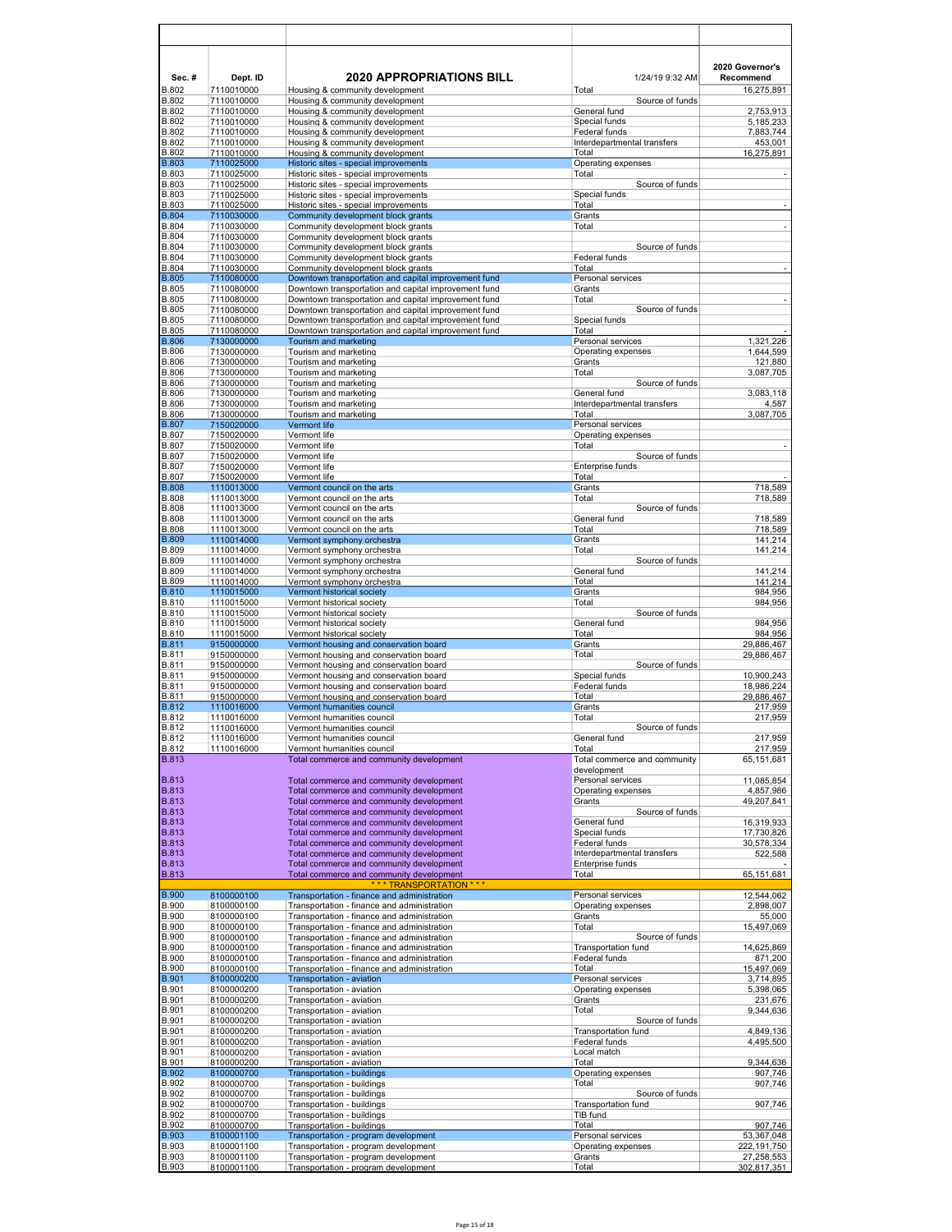| Sec.#                        | Dept. ID                 | <b>2020 APPROPRIATIONS BILL</b>                                                                              | 1/24/19 9:32 AM                                 | 2020 Governor's<br>Recommend |
|------------------------------|--------------------------|--------------------------------------------------------------------------------------------------------------|-------------------------------------------------|------------------------------|
| <b>B.802</b>                 | 7110010000               | Housing & community development                                                                              | Total                                           | 16,275,891                   |
| <b>B.802</b><br><b>B.802</b> | 7110010000<br>7110010000 | Housing & community development<br>Housing & community development                                           | Source of funds<br>General fund                 | 2,753,913                    |
| <b>B.802</b><br>B.802        | 7110010000<br>7110010000 | Housing & community development                                                                              | Special funds<br>Federal funds                  | 5,185,233                    |
| <b>B.802</b>                 | 7110010000               | Housing & community development<br>Housing & community development                                           | Interdepartmental transfers                     | 7,883,744<br>453,001         |
| <b>B.802</b>                 | 7110010000               | Housing & community development                                                                              | Total                                           | 16,275,891                   |
| B.803<br>B.803               | 7110025000<br>7110025000 | Historic sites - special improvements<br>Historic sites - special improvements                               | Operating expenses<br>Total                     |                              |
| <b>B.803</b>                 | 7110025000               | Historic sites - special improvements                                                                        | Source of funds                                 |                              |
| <b>B.803</b><br><b>B.803</b> | 7110025000<br>7110025000 | Historic sites - special improvements<br>Historic sites - special improvements                               | Special funds<br>Total                          | $\overline{\phantom{a}}$     |
| <b>B.804</b>                 | 7110030000               | Community development block grants                                                                           | Grants                                          |                              |
| <b>B.804</b>                 | 7110030000               | Community development block grants                                                                           | Total                                           | $\overline{\phantom{a}}$     |
| <b>B.804</b><br><b>B.804</b> | 7110030000<br>7110030000 | Community development block grants<br>Community development block grants                                     | Source of funds                                 |                              |
| B.804                        | 7110030000               | Community development block grants                                                                           | Federal funds                                   |                              |
| <b>B.804</b><br><b>B.805</b> | 7110030000<br>7110080000 | Community development block grants<br>Downtown transportation and capital improvement fund                   | Total<br>Personal services                      | $\blacksquare$               |
| <b>B.805</b>                 | 7110080000               | Downtown transportation and capital improvement fund                                                         | Grants                                          |                              |
| <b>B.805</b>                 | 7110080000               | Downtown transportation and capital improvement fund                                                         | Total                                           | $\blacksquare$               |
| <b>B.805</b><br><b>B.805</b> | 7110080000<br>7110080000 | Downtown transportation and capital improvement fund<br>Downtown transportation and capital improvement fund | Source of funds<br>Special funds                |                              |
| <b>B.805</b>                 | 7110080000               | Downtown transportation and capital improvement fund                                                         | Total                                           |                              |
| <b>B.806</b><br><b>B.806</b> | 7130000000<br>7130000000 | Tourism and marketing<br>Tourism and marketing                                                               | Personal services<br>Operating expenses         | 1,321,226<br>1,644,599       |
| <b>B.806</b>                 | 7130000000               | Tourism and marketing                                                                                        | Grants                                          | 121,880                      |
| <b>B.806</b>                 | 7130000000               | Tourism and marketing                                                                                        | Total                                           | 3,087,705                    |
| <b>B.806</b><br>B.806        | 7130000000<br>7130000000 | Tourism and marketing<br>Tourism and marketing                                                               | Source of funds<br>General fund                 | 3,083,118                    |
| <b>B.806</b>                 | 7130000000               | Tourism and marketing                                                                                        | Interdepartmental transfers                     | 4,587                        |
| <b>B.806</b><br>B.807        | 7130000000<br>7150020000 | Tourism and marketing<br><b>Vermont life</b>                                                                 | Total<br>Personal services                      | 3,087,705                    |
| <b>B.807</b>                 | 7150020000               | Vermont life                                                                                                 | Operating expenses                              |                              |
| <b>B.807</b>                 | 7150020000               | Vermont life                                                                                                 | Total                                           | $\overline{\phantom{a}}$     |
| <b>B.807</b><br><b>B.807</b> | 7150020000<br>7150020000 | Vermont life<br>Vermont life                                                                                 | Source of funds<br>Enterprise funds             |                              |
| <b>B.807</b>                 | 7150020000               | Vermont life                                                                                                 | Total                                           |                              |
| <b>B.808</b><br><b>B.808</b> | 1110013000<br>1110013000 | Vermont council on the arts<br>Vermont council on the arts                                                   | Grants<br>Total                                 | 718,589<br>718,589           |
| <b>B.808</b>                 | 1110013000               | Vermont council on the arts                                                                                  | Source of funds                                 |                              |
| <b>B.808</b>                 | 1110013000               | Vermont council on the arts                                                                                  | General fund                                    | 718,589                      |
| <b>B.808</b><br><b>B.809</b> | 1110013000<br>1110014000 | Vermont council on the arts<br>Vermont symphony orchestra                                                    | Total<br>Grants                                 | 718,589<br>141,214           |
| <b>B.809</b>                 | 1110014000               | Vermont symphony orchestra                                                                                   | Total                                           | 141,214                      |
| <b>B.809</b><br><b>B.809</b> | 1110014000<br>1110014000 | Vermont symphony orchestra<br>Vermont symphony orchestra                                                     | Source of funds<br>General fund                 | 141,214                      |
| <b>B.809</b>                 | 1110014000               | Vermont symphony orchestra                                                                                   | Total                                           | 141,214                      |
| <b>B.810</b>                 | 1110015000               | Vermont historical society                                                                                   | Grants                                          | 984,956                      |
| <b>B.810</b><br><b>B.810</b> | 1110015000<br>1110015000 | Vermont historical society<br>Vermont historical society                                                     | Total<br>Source of funds                        | 984,956                      |
| <b>B.810</b>                 | 1110015000               | Vermont historical society                                                                                   | General fund                                    | 984,956                      |
| <b>B.810</b><br><b>B.811</b> | 1110015000<br>9150000000 | Vermont historical society<br>Vermont housing and conservation board                                         | Total<br>Grants                                 | 984,956<br>29,886,467        |
| <b>B.811</b>                 | 9150000000               | Vermont housing and conservation board                                                                       | Total                                           | 29,886,467                   |
| <b>B.811</b>                 | 9150000000               | Vermont housing and conservation board                                                                       | Source of funds                                 |                              |
| <b>B.811</b><br>B.811        | 9150000000<br>9150000000 | Vermont housing and conservation board<br>Vermont housing and conservation board                             | Special funds<br>Federal funds                  | 10,900,243<br>18.986.224     |
| B.811                        | 9150000000               | Vermont housing and conservation board                                                                       | Total                                           | 29,886,467                   |
| <b>B.812</b><br><b>B.812</b> | 1110016000<br>1110016000 | Vermont humanities council<br>Vermont humanities council                                                     | Grants<br>Total                                 | 217,959<br>217,959           |
| <b>B.812</b>                 | 1110016000               | Vermont humanities council                                                                                   | Source of funds                                 |                              |
| <b>B.812</b>                 | 1110016000               | Vermont humanities council                                                                                   | General fund<br>Total                           | 217,959                      |
| <b>B.812</b><br><b>B.813</b> | 1110016000               | Vermont humanities council<br>Total commerce and community development                                       | Total commerce and community                    | 217,959<br>65,151,681        |
|                              |                          |                                                                                                              | development                                     |                              |
| <b>B.813</b><br><b>B.813</b> |                          | Total commerce and community development<br>Total commerce and community development                         | Personal services<br>Operating expenses         | 11,085,854<br>4,857,986      |
| <b>B.813</b>                 |                          | Total commerce and community development                                                                     | Grants                                          | 49,207,841                   |
| <b>B.813</b>                 |                          | Total commerce and community development                                                                     | Source of funds                                 |                              |
| <b>B.813</b><br><b>B.813</b> |                          | Total commerce and community development<br>Total commerce and community development                         | General fund<br>Special funds                   | 16,319,933<br>17,730,826     |
| <b>B.813</b>                 |                          | Total commerce and community development                                                                     | Federal funds                                   | 30,578,334                   |
| <b>B.813</b><br><b>B.813</b> |                          | Total commerce and community development<br>Total commerce and community development                         | Interdepartmental transfers<br>Enterprise funds | 522,588                      |
| <b>B.813</b>                 |                          | Total commerce and community development                                                                     | Total                                           | 65,151,681                   |
| <b>B.900</b>                 | 8100000100               | *** TRANSPORTATION ***<br>Transportation - finance and administration                                        | Personal services                               | 12,544,062                   |
| <b>B.900</b>                 | 8100000100               | Transportation - finance and administration                                                                  | Operating expenses                              | 2,898,007                    |
| <b>B.900</b>                 | 8100000100               | Transportation - finance and administration                                                                  | Grants                                          | 55,000                       |
| <b>B.900</b><br><b>B.900</b> | 8100000100<br>8100000100 | Transportation - finance and administration<br>Transportation - finance and administration                   | Total<br>Source of funds                        | 15,497,069                   |
| <b>B.900</b>                 | 8100000100               | Transportation - finance and administration                                                                  | <b>Transportation fund</b>                      | 14,625,869                   |
| <b>B.900</b>                 | 8100000100               | Transportation - finance and administration                                                                  | Federal funds                                   | 871,200                      |
| <b>B.900</b><br><b>B.901</b> | 8100000100<br>8100000200 | Transportation - finance and administration<br>Transportation - aviation                                     | Total<br>Personal services                      | 15,497,069<br>3,714,895      |
| B.901                        | 8100000200               | Transportation - aviation                                                                                    | Operating expenses                              | 5,398,065                    |
| B.901<br><b>B.901</b>        | 8100000200<br>8100000200 | Transportation - aviation<br>Transportation - aviation                                                       | Grants<br>Total                                 | 231,676<br>9,344,636         |
| <b>B.901</b>                 | 8100000200               | Transportation - aviation                                                                                    | Source of funds                                 |                              |
| <b>B.901</b>                 | 8100000200               | Transportation - aviation                                                                                    | Transportation fund                             | 4,849,136                    |
| <b>B.901</b><br><b>B.901</b> | 8100000200<br>8100000200 | Transportation - aviation<br>Transportation - aviation                                                       | Federal funds<br>Local match                    | 4,495,500                    |
| <b>B.901</b>                 | 8100000200               | Transportation - aviation                                                                                    | Total                                           | 9,344,636                    |
| <b>B.902</b><br><b>B.902</b> | 8100000700<br>8100000700 | <b>Transportation - buildings</b><br>Transportation - buildings                                              | Operating expenses<br>Total                     | 907,746<br>907,746           |
| <b>B.902</b>                 | 8100000700               | Transportation - buildings                                                                                   | Source of funds                                 |                              |
| B.902                        | 8100000700               | Transportation - buildings                                                                                   | Transportation fund                             | 907,746                      |
| B.902<br><b>B.902</b>        | 8100000700<br>8100000700 | Transportation - buildings<br>Transportation - buildings                                                     | TIB fund<br>Total                               | 907,746                      |
| <b>B.903</b>                 | 8100001100               | Transportation - program development                                                                         | Personal services                               | 53,367,048                   |
| <b>B.903</b><br><b>B.903</b> | 8100001100<br>8100001100 | Transportation - program development<br>Transportation - program development                                 | Operating expenses<br>Grants                    | 222,191,750                  |
| B.903                        | 8100001100               | Transportation - program development                                                                         | Total                                           | 27,258,553<br>302,817,351    |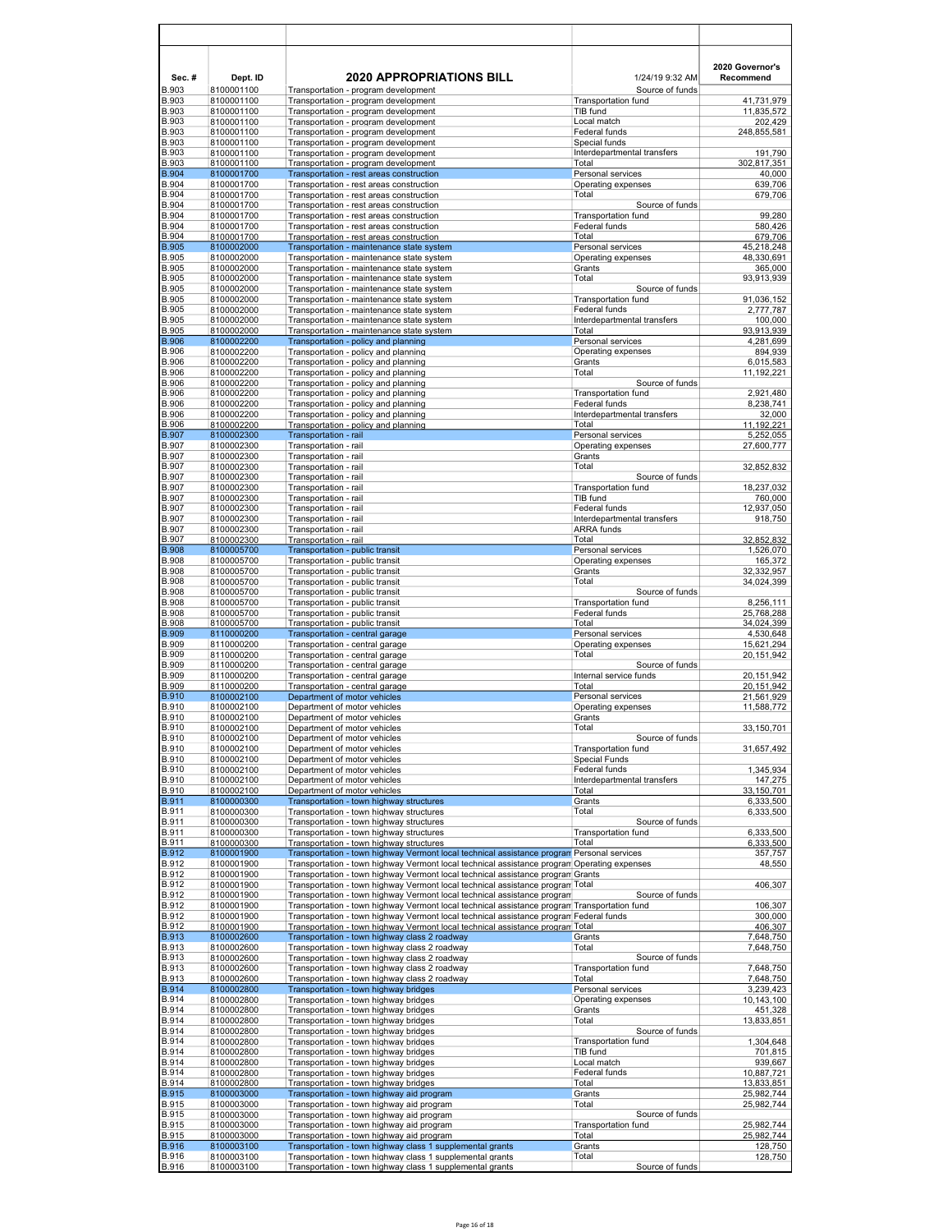| Sec.#                        | Dept. ID                 | <b>2020 APPROPRIATIONS BILL</b>                                                                                                                                                | 1/24/19 9:32 AM                                    | 2020 Governor's<br>Recommend |
|------------------------------|--------------------------|--------------------------------------------------------------------------------------------------------------------------------------------------------------------------------|----------------------------------------------------|------------------------------|
| <b>B.903</b><br>B.903        | 8100001100<br>8100001100 | Transportation - program development<br>Transportation - program development                                                                                                   | Source of funds<br><b>Transportation fund</b>      | 41,731,979                   |
| B.903                        | 8100001100               | Transportation - program development                                                                                                                                           | TIB fund                                           | 11,835,572                   |
| <b>B.903</b><br>B.903        | 8100001100<br>8100001100 | Transportation - program development<br>Transportation - program development                                                                                                   | Local match<br>Federal funds                       | 202,429<br>248,855,581       |
| B.903                        | 8100001100               | Transportation - program development                                                                                                                                           | Special funds                                      |                              |
| B.903<br><b>B.903</b>        | 8100001100<br>8100001100 | Transportation - program development<br>Transportation - program development                                                                                                   | Interdepartmental transfers<br>Total               | 191,790<br>302,817,351       |
| <b>B.904</b>                 | 8100001700               | Transportation - rest areas construction                                                                                                                                       | Personal services                                  | 40,000                       |
| B.904                        | 8100001700               | Transportation - rest areas construction                                                                                                                                       | Operating expenses                                 | 639,706                      |
| B.904<br><b>B.904</b>        | 8100001700<br>8100001700 | Transportation - rest areas construction<br>Transportation - rest areas construction                                                                                           | Total<br>Source of funds                           | 679,706                      |
| <b>B.904</b>                 | 8100001700               | Transportation - rest areas construction                                                                                                                                       | Transportation fund                                | 99,280                       |
| <b>B.904</b>                 | 8100001700<br>8100001700 | Transportation - rest areas construction                                                                                                                                       | Federal funds                                      | 580,426                      |
| B.904<br><b>B.905</b>        | 8100002000               | Transportation - rest areas construction<br>Transportation - maintenance state system                                                                                          | Total<br>Personal services                         | 679,706<br>45,218,248        |
| B.905                        | 8100002000               | Transportation - maintenance state system                                                                                                                                      | Operating expenses                                 | 48,330,691                   |
| B.905                        | 8100002000               | Transportation - maintenance state system                                                                                                                                      | Grants                                             | 365,000                      |
| B.905<br><b>B.905</b>        | 8100002000<br>8100002000 | Transportation - maintenance state system<br>Transportation - maintenance state system                                                                                         | Total<br>Source of funds                           | 93,913,939                   |
| <b>B.905</b>                 | 8100002000               | Transportation - maintenance state system                                                                                                                                      | Transportation fund                                | 91,036,152                   |
| <b>B.905</b><br>B.905        | 8100002000               | Transportation - maintenance state system                                                                                                                                      | Federal funds<br>Interdepartmental transfers       | 2,777,787                    |
| <b>B.905</b>                 | 8100002000<br>8100002000 | Transportation - maintenance state system<br>Transportation - maintenance state system                                                                                         | Total                                              | 100,000<br>93,913,939        |
| <b>B.906</b>                 | 8100002200               | Transportation - policy and planning                                                                                                                                           | Personal services                                  | 4,281,699                    |
| B.906                        | 8100002200               | Transportation - policy and planning                                                                                                                                           | Operating expenses                                 | 894,939                      |
| B.906<br><b>B.906</b>        | 8100002200<br>8100002200 | Transportation - policy and planning<br>Transportation - policy and planning                                                                                                   | Grants<br>Total                                    | 6,015,583<br>11,192,221      |
| <b>B.906</b>                 | 8100002200               | Transportation - policy and planning                                                                                                                                           | Source of funds                                    |                              |
| <b>B.906</b><br><b>B.906</b> | 8100002200<br>8100002200 | Transportation - policy and planning<br>Transportation - policy and planning                                                                                                   | <b>Transportation fund</b><br>Federal funds        | 2,921,480<br>8,238,741       |
| <b>B.906</b>                 | 8100002200               | Transportation - policy and planning                                                                                                                                           | Interdepartmental transfers                        | 32,000                       |
| <b>B.906</b>                 | 8100002200               | Transportation - policy and planning                                                                                                                                           | Total                                              | 11,192,221                   |
| <b>B.907</b><br>B.907        | 8100002300<br>8100002300 | Transportation - rail<br>Transportation - rail                                                                                                                                 | Personal services<br>Operating expenses            | 5,252,055<br>27,600,777      |
| B.907                        | 8100002300               | Transportation - rail                                                                                                                                                          | Grants                                             |                              |
| <b>B.907</b>                 | 8100002300               | Transportation - rail                                                                                                                                                          | Total                                              | 32.852.832                   |
| <b>B.907</b><br><b>B.907</b> | 8100002300<br>8100002300 | Transportation - rail<br>Transportation - rail                                                                                                                                 | Source of funds<br><b>Transportation fund</b>      | 18,237,032                   |
| B.907                        | 8100002300               | Transportation - rail                                                                                                                                                          | TIB fund                                           | 760,000                      |
| B.907                        | 8100002300               | Transportation - rail                                                                                                                                                          | Federal funds                                      | 12,937,050                   |
| <b>B.907</b><br>B.907        | 8100002300<br>8100002300 | Transportation - rail<br>Transportation - rail                                                                                                                                 | Interdepartmental transfers<br>ARRA funds          | 918,750                      |
| B.907                        | 8100002300               | Transportation - rail                                                                                                                                                          | Total                                              | 32,852,832                   |
| <b>B.908</b><br><b>B.908</b> | 8100005700               | Transportation - public transit                                                                                                                                                | Personal services                                  | 1,526,070                    |
| <b>B.908</b>                 | 8100005700<br>8100005700 | Transportation - public transit<br>Transportation - public transit                                                                                                             | Operating expenses<br>Grants                       | 165,372<br>32,332,957        |
| B.908                        | 8100005700               | Transportation - public transit                                                                                                                                                | Total                                              | 34,024,399                   |
| B.908<br><b>B.908</b>        | 8100005700<br>8100005700 | Transportation - public transit<br>Transportation - public transit                                                                                                             | Source of funds<br><b>Transportation fund</b>      | 8,256,111                    |
| <b>B.908</b>                 | 8100005700               | Transportation - public transit                                                                                                                                                | Federal funds                                      | 25,768,288                   |
| <b>B.908</b>                 | 8100005700               | Transportation - public transit                                                                                                                                                | Total                                              | 34,024,399                   |
| <b>B.909</b><br><b>B.909</b> | 8110000200<br>8110000200 | Transportation - central garage<br>Transportation - central garage                                                                                                             | Personal services<br>Operating expenses            | 4,530,648<br>15,621,294      |
| <b>B.909</b>                 | 8110000200               | Transportation - central garage                                                                                                                                                | Total                                              | 20,151,942                   |
| <b>B.909</b>                 | 8110000200               | Transportation - central garage                                                                                                                                                | Source of funds                                    |                              |
| <b>B.909</b><br><b>B.909</b> | 8110000200<br>8110000200 | Transportation - central garage<br>Transportation - central garage                                                                                                             | Internal service funds<br>Total                    | 20,151,942<br>20,151,942     |
| <b>B.910</b>                 | 8100002100               | Department of motor vehicles                                                                                                                                                   | Personal services                                  | 21,561,929                   |
| <b>B.910</b><br>B.910        | 8100002100<br>8100002100 | Department of motor vehicles<br>Department of motor vehicles                                                                                                                   | Operating expenses<br>Grants                       | 11,588,772                   |
| B.910                        | 8100002100               | Department of motor vehicles                                                                                                                                                   | Total                                              | 33,150,701                   |
| B.910                        | 8100002100               | Department of motor vehicles                                                                                                                                                   | Source of funds                                    |                              |
| <b>B.910</b><br>B.910        | 8100002100<br>8100002100 | Department of motor vehicles<br>Department of motor vehicles                                                                                                                   | <b>Transportation fund</b><br><b>Special Funds</b> | 31,657,492                   |
| <b>B.910</b>                 | 8100002100               | Department of motor vehicles                                                                                                                                                   | Federal funds                                      | 1,345,934                    |
| <b>B.910</b>                 | 8100002100               | Department of motor vehicles                                                                                                                                                   | Interdepartmental transfers                        | 147,275                      |
| <b>B.910</b><br><b>B.911</b> | 8100002100<br>8100000300 | Department of motor vehicles<br>Transportation - town highway structures                                                                                                       | Total<br>Grants                                    | 33,150,701<br>6,333,500      |
| B.911                        | 8100000300               | Transportation - town highway structures                                                                                                                                       | Total                                              | 6,333,500                    |
| <b>B.911</b><br><b>B.911</b> | 8100000300<br>8100000300 | Transportation - town highway structures                                                                                                                                       | Source of funds<br>Transportation fund             |                              |
| <b>B.911</b>                 | 8100000300               | Transportation - town highway structures<br>Transportation - town highway structures                                                                                           | Total                                              | 6,333,500<br>6,333,500       |
| <b>B.912</b>                 | 8100001900               | Transportation - town highway Vermont local technical assistance program Personal services                                                                                     |                                                    | 357,757                      |
| B.912<br>B.912               | 8100001900<br>8100001900 | Transportation - town highway Vermont local technical assistance program Operating expenses<br>Transportation - town highway Vermont local technical assistance program Grants |                                                    | 48,550                       |
| B.912                        | 8100001900               | Transportation - town highway Vermont local technical assistance program Total                                                                                                 |                                                    | 406,307                      |
| <b>B.912</b>                 | 8100001900               | Transportation - town highway Vermont local technical assistance program                                                                                                       | Source of funds                                    |                              |
| <b>B.912</b><br>B.912        | 8100001900<br>8100001900 | Transportation - town highway Vermont local technical assistance program Transportation fund                                                                                   |                                                    | 106,307<br>300,000           |
| B.912                        | 8100001900               | Transportation - town highway Vermont local technical assistance program Federal funds<br>Transportation - town highway Vermont local technical assistance program Total       |                                                    | 406,307                      |
| <b>B.913</b>                 | 8100002600               | Transportation - town highway class 2 roadway                                                                                                                                  | Grants                                             | 7,648,750                    |
| <b>B.913</b><br><b>B.913</b> | 8100002600               | Transportation - town highway class 2 roadway<br>Transportation - town highway class 2 roadway                                                                                 | Total<br>Source of funds                           | 7,648,750                    |
| B.913                        | 8100002600<br>8100002600 | Transportation - town highway class 2 roadway                                                                                                                                  | <b>Transportation fund</b>                         | 7,648,750                    |
| B.913                        | 8100002600               | Transportation - town highway class 2 roadway                                                                                                                                  | Total                                              | 7,648,750                    |
| <b>B.914</b><br><b>B.914</b> | 8100002800<br>8100002800 | Transportation - town highway bridges<br>Transportation - town highway bridges                                                                                                 | Personal services<br>Operating expenses            | 3,239,423<br>10,143,100      |
| B.914                        | 8100002800               | Transportation - town highway bridges                                                                                                                                          | Grants                                             | 451,328                      |
| B.914                        | 8100002800               | Transportation - town highway bridges                                                                                                                                          | Total                                              | 13,833,851                   |
| B.914<br><b>B.914</b>        | 8100002800<br>8100002800 | Transportation - town highway bridges<br>Transportation - town highway bridges                                                                                                 | Source of funds<br>Transportation fund             | 1,304,648                    |
| B.914                        | 8100002800               | Transportation - town highway bridges                                                                                                                                          | TIB fund                                           | 701,815                      |
| B.914                        | 8100002800               | Transportation - town highway bridges                                                                                                                                          | Local match                                        | 939,667                      |
| <b>B.914</b><br><b>B.914</b> | 8100002800<br>8100002800 | Transportation - town highway bridges<br>Transportation - town highway bridges                                                                                                 | Federal funds<br>Total                             | 10,887,721<br>13,833,851     |
| <b>B.915</b>                 | 8100003000               | Transportation - town highway aid program                                                                                                                                      | Grants                                             | 25,982,744                   |
| B.915                        | 8100003000               | Transportation - town highway aid program                                                                                                                                      | Total                                              | 25,982,744                   |
| B.915<br><b>B.915</b>        | 8100003000<br>8100003000 | Transportation - town highway aid program<br>Transportation - town highway aid program                                                                                         | Source of funds<br>Transportation fund             | 25,982,744                   |
| <b>B.915</b>                 | 8100003000               | Transportation - town highway aid program                                                                                                                                      | Total                                              | 25,982,744                   |
| <b>B.916</b><br><b>B.916</b> | 8100003100<br>8100003100 | Transportation - town highway class 1 supplemental grants<br>Transportation - town highway class 1 supplemental grants                                                         | Grants<br>Total                                    | 128,750<br>128,750           |
| <b>B.916</b>                 | 8100003100               | Transportation - town highway class 1 supplemental grants                                                                                                                      | Source of funds                                    |                              |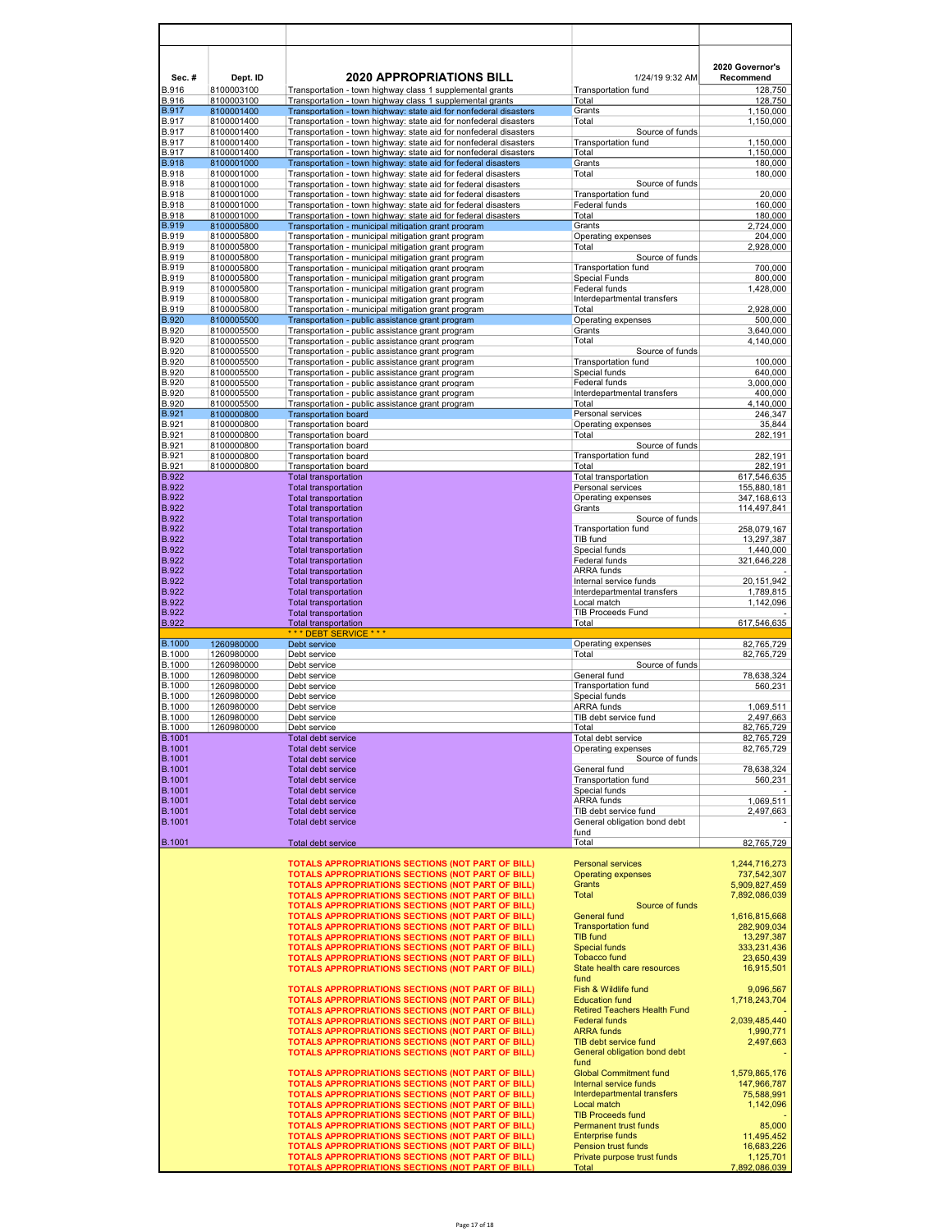| Sec.#<br>B.916        | Dept. ID<br>8100003100   | <b>2020 APPROPRIATIONS BILL</b><br>Transportation - town highway class 1 supplemental grants                                           | 1/24/19 9:32 AM<br>Transportation fund                    | 2020 Governor's<br>Recommend<br>128,750 |
|-----------------------|--------------------------|----------------------------------------------------------------------------------------------------------------------------------------|-----------------------------------------------------------|-----------------------------------------|
| B.916                 | 8100003100               | Transportation - town highway class 1 supplemental grants                                                                              | Total                                                     | 128,750                                 |
| <b>B.917</b>          | 8100001400               | Transportation - town highway: state aid for nonfederal disasters                                                                      | Grants                                                    | 1,150,000                               |
| B.917<br>B.917        | 8100001400<br>8100001400 | Transportation - town highway: state aid for nonfederal disasters<br>Transportation - town highway: state aid for nonfederal disasters | Total<br>Source of funds                                  | 1,150,000                               |
| B.917                 | 8100001400               | Transportation - town highway: state aid for nonfederal disasters                                                                      | Transportation fund                                       | 1,150,000                               |
| B.917                 | 8100001400               | Transportation - town highway: state aid for nonfederal disasters                                                                      | Total                                                     | 1,150,000                               |
| <b>B.918</b><br>B.918 | 8100001000<br>8100001000 | Transportation - town highway: state aid for federal disasters                                                                         | Grants<br>Total                                           | 180,000<br>180,000                      |
| B.918                 | 8100001000               | Transportation - town highway: state aid for federal disasters<br>Transportation - town highway: state aid for federal disasters       | Source of funds                                           |                                         |
| B.918                 | 8100001000               | Transportation - town highway: state aid for federal disasters                                                                         | Transportation fund                                       | 20,000                                  |
| B.918                 | 8100001000               | Transportation - town highway: state aid for federal disasters                                                                         | Federal funds                                             | 160,000                                 |
| B.918<br>B.919        | 8100001000<br>8100005800 | Transportation - town highway: state aid for federal disasters<br>Transportation - municipal mitigation grant program                  | Total<br>Grants                                           | 180,000<br>2,724,000                    |
| B.919                 | 8100005800               | Transportation - municipal mitigation grant program                                                                                    | Operating expenses                                        | 204,000                                 |
| B.919                 | 8100005800               | Transportation - municipal mitigation grant program                                                                                    | Total                                                     | 2,928,000                               |
| B.919<br>B.919        | 8100005800               | Transportation - municipal mitigation grant program                                                                                    | Source of funds                                           |                                         |
| B.919                 | 8100005800<br>8100005800 | Transportation - municipal mitigation grant program<br>Transportation - municipal mitigation grant program                             | Transportation fund<br><b>Special Funds</b>               | 700,000<br>800,000                      |
| B.919                 | 8100005800               | Transportation - municipal mitigation grant program                                                                                    | Federal funds                                             | 1,428,000                               |
| B.919                 | 8100005800               | Transportation - municipal mitigation grant program                                                                                    | Interdepartmental transfers                               |                                         |
| B.919<br><b>B.920</b> | 8100005800<br>8100005500 | Transportation - municipal mitigation grant program<br>Transportation - public assistance grant program                                | Total<br>Operating expenses                               | 2,928,000<br>500,000                    |
| B.920                 | 8100005500               | Transportation - public assistance grant program                                                                                       | Grants                                                    | 3,640,000                               |
| B.920                 | 8100005500               | Transportation - public assistance grant program                                                                                       | Total                                                     | 4,140,000                               |
| B.920                 | 8100005500               | Transportation - public assistance grant program                                                                                       | Source of funds                                           |                                         |
| B.920<br>B.920        | 8100005500<br>8100005500 | Transportation - public assistance grant program<br>Transportation - public assistance grant program                                   | Transportation fund<br>Special funds                      | 100,000<br>640.000                      |
| B.920                 | 8100005500               | Transportation - public assistance grant program                                                                                       | Federal funds                                             | 3,000,000                               |
| B.920                 | 8100005500               | Transportation - public assistance grant program                                                                                       | Interdepartmental transfers                               | 400,000                                 |
| B.920<br>B.921        | 8100005500<br>8100000800 | Transportation - public assistance grant program<br><b>Transportation board</b>                                                        | Total<br>Personal services                                | 4,140,000<br>246,347                    |
| B.921                 | 8100000800               | <b>Transportation board</b>                                                                                                            | Operating expenses                                        | 35.844                                  |
| B.921                 | 8100000800               | <b>Transportation board</b>                                                                                                            | Total                                                     | 282,191                                 |
| B.921<br>B.921        | 8100000800<br>8100000800 | <b>Transportation board</b><br><b>Transportation board</b>                                                                             | Source of funds<br>Transportation fund                    | 282,191                                 |
| B.921                 | 8100000800               | <b>Transportation board</b>                                                                                                            | Total                                                     | 282,191                                 |
| B.922                 |                          | <b>Total transportation</b>                                                                                                            | Total transportation                                      | 617,546,635                             |
| B.922                 |                          | <b>Total transportation</b>                                                                                                            | Personal services                                         | 155,880,181                             |
| B.922<br>B.922        |                          | <b>Total transportation</b><br><b>Total transportation</b>                                                                             | Operating expenses<br>Grants                              | 347,168,613<br>114,497,841              |
| <b>B.922</b>          |                          | <b>Total transportation</b>                                                                                                            | Source of funds                                           |                                         |
| B.922                 |                          | <b>Total transportation</b>                                                                                                            | Transportation fund                                       | 258,079,167                             |
| B.922<br>B.922        |                          | <b>Total transportation</b><br>Total transportation                                                                                    | TIB fund<br>Special funds                                 | 13,297,387<br>1,440,000                 |
| <b>B.922</b>          |                          | <b>Total transportation</b>                                                                                                            | Federal funds                                             | 321,646,228                             |
| B.922                 |                          | <b>Total transportation</b>                                                                                                            | ARRA funds                                                |                                         |
| B.922<br>B.922        |                          | <b>Total transportation</b><br><b>Total transportation</b>                                                                             | Internal service funds<br>Interdepartmental transfers     | 20,151,942<br>1,789,815                 |
| <b>B.922</b>          |                          | <b>Total transportation</b>                                                                                                            | Local match                                               | 1,142,096                               |
| B.922                 |                          | <b>Total transportation</b>                                                                                                            | <b>TIB Proceeds Fund</b>                                  |                                         |
| B.922                 |                          | <b>Total transportation</b><br>*** DEBT SERVICE ***                                                                                    | Total                                                     | 617,546,635                             |
| B.1000                | 1260980000               | Debt service                                                                                                                           | Operating expenses                                        | 82.765.729                              |
| B.1000<br>B.1000      | 1260980000<br>1260980000 | Debt service<br>Debt service                                                                                                           | Total<br>Source of funds                                  | 82,765,729                              |
| B.1000                | 1260980000               | Debt service                                                                                                                           | General fund                                              | 78.638.324                              |
| B.1000                | 1260980000               | Debt service                                                                                                                           | <b>Transportation fund</b>                                | 560,231                                 |
| B.1000<br>B.1000      | 1260980000<br>1260980000 | Debt service<br>Debt service                                                                                                           | Special funds<br>ARRA funds                               | 1,069,511                               |
| B.1000                | 1260980000               | Debt service                                                                                                                           | TIB debt service fund                                     | 2,497,663                               |
| B.1000                | 1260980000               | Debt service                                                                                                                           | Total                                                     | 82,765,729                              |
| B.1001<br>B.1001      |                          | Total debt service<br>Total debt service                                                                                               | Total debt service<br>Operating expenses                  | 82,765,729<br>82,765,729                |
| B.1001                |                          | Total debt service                                                                                                                     | Source of funds                                           |                                         |
| B.1001                |                          | Total debt service                                                                                                                     | General fund                                              | 78,638,324                              |
| B.1001<br>B.1001      |                          | Total debt service<br>Total debt service                                                                                               | Transportation fund<br>Special funds                      | 560,231                                 |
| B.1001                |                          | Total debt service                                                                                                                     | <b>ARRA</b> funds                                         | 1,069,511                               |
| B.1001                |                          | Total debt service                                                                                                                     | TIB debt service fund                                     | 2,497,663                               |
| B.1001                |                          | Total debt service                                                                                                                     | General obligation bond debt<br>fund                      |                                         |
| <b>B.1001</b>         |                          | Total debt service                                                                                                                     | Total                                                     | 82,765,729                              |
|                       |                          |                                                                                                                                        |                                                           |                                         |
|                       |                          | TOTALS APPROPRIATIONS SECTIONS (NOT PART OF BILL)<br>TOTALS APPROPRIATIONS SECTIONS (NOT PART OF BILL)                                 | <b>Personal services</b><br><b>Operating expenses</b>     | 1,244,716,273<br>737,542,307            |
|                       |                          | TOTALS APPROPRIATIONS SECTIONS (NOT PART OF BILL)                                                                                      | Grants                                                    | 5,909,827,459                           |
|                       |                          | TOTALS APPROPRIATIONS SECTIONS (NOT PART OF BILL)                                                                                      | <b>Total</b>                                              | 7,892,086,039                           |
|                       |                          | TOTALS APPROPRIATIONS SECTIONS (NOT PART OF BILL)<br>TOTALS APPROPRIATIONS SECTIONS (NOT PART OF BILL)                                 | Source of funds<br><b>General fund</b>                    | 1,616,815,668                           |
|                       |                          | TOTALS APPROPRIATIONS SECTIONS (NOT PART OF BILL)                                                                                      | <b>Transportation fund</b>                                | 282,909,034                             |
|                       |                          | TOTALS APPROPRIATIONS SECTIONS (NOT PART OF BILL)                                                                                      | <b>TIB fund</b>                                           | 13,297,387                              |
|                       |                          | TOTALS APPROPRIATIONS SECTIONS (NOT PART OF BILL)<br>TOTALS APPROPRIATIONS SECTIONS (NOT PART OF BILL)                                 | <b>Special funds</b><br><b>Tobacco fund</b>               | 333,231,436<br>23,650,439               |
|                       |                          | TOTALS APPROPRIATIONS SECTIONS (NOT PART OF BILL)                                                                                      | State health care resources                               | 16,915,501                              |
|                       |                          |                                                                                                                                        | fund                                                      |                                         |
|                       |                          | TOTALS APPROPRIATIONS SECTIONS (NOT PART OF BILL)<br>TOTALS APPROPRIATIONS SECTIONS (NOT PART OF BILL)                                 | Fish & Wildlife fund<br><b>Education fund</b>             | 9,096,567<br>1,718,243,704              |
|                       |                          | TOTALS APPROPRIATIONS SECTIONS (NOT PART OF BILL)                                                                                      | <b>Retired Teachers Health Fund</b>                       |                                         |
|                       |                          | TOTALS APPROPRIATIONS SECTIONS (NOT PART OF BILL)                                                                                      | <b>Federal funds</b>                                      | 2,039,485,440                           |
|                       |                          | TOTALS APPROPRIATIONS SECTIONS (NOT PART OF BILL)                                                                                      | <b>ARRA funds</b><br>TIB debt service fund                | 1,990,771<br>2,497,663                  |
|                       |                          | TOTALS APPROPRIATIONS SECTIONS (NOT PART OF BILL)<br>TOTALS APPROPRIATIONS SECTIONS (NOT PART OF BILL)                                 | General obligation bond debt                              |                                         |
|                       |                          | TOTALS APPROPRIATIONS SECTIONS (NOT PART OF BILL)                                                                                      | fund<br><b>Global Commitment fund</b>                     | 1,579,865,176                           |
|                       |                          | TOTALS APPROPRIATIONS SECTIONS (NOT PART OF BILL)                                                                                      | Internal service funds                                    | 147,966,787                             |
|                       |                          | TOTALS APPROPRIATIONS SECTIONS (NOT PART OF BILL)                                                                                      | Interdepartmental transfers                               | 75,588,991                              |
|                       |                          | TOTALS APPROPRIATIONS SECTIONS (NOT PART OF BILL)<br>TOTALS APPROPRIATIONS SECTIONS (NOT PART OF BILL)                                 | Local match<br><b>TIB Proceeds fund</b>                   | 1,142,096                               |
|                       |                          | TOTALS APPROPRIATIONS SECTIONS (NOT PART OF BILL)                                                                                      | <b>Permanent trust funds</b>                              | 85,000                                  |
|                       |                          | <b>TOTALS APPROPRIATIONS SECTIONS (NOT PART OF BILL)</b>                                                                               | <b>Enterprise funds</b>                                   | 11,495,452                              |
|                       |                          | TOTALS APPROPRIATIONS SECTIONS (NOT PART OF BILL)<br>TOTALS APPROPRIATIONS SECTIONS (NOT PART OF BILL)                                 | <b>Pension trust funds</b><br>Private purpose trust funds | 16,683,226<br>1,125,701                 |
|                       |                          | <b>TOTALS APPROPRIATIONS SECTIONS (NOT PART OF BILL)</b>                                                                               | Total                                                     | 7,892,086,039                           |